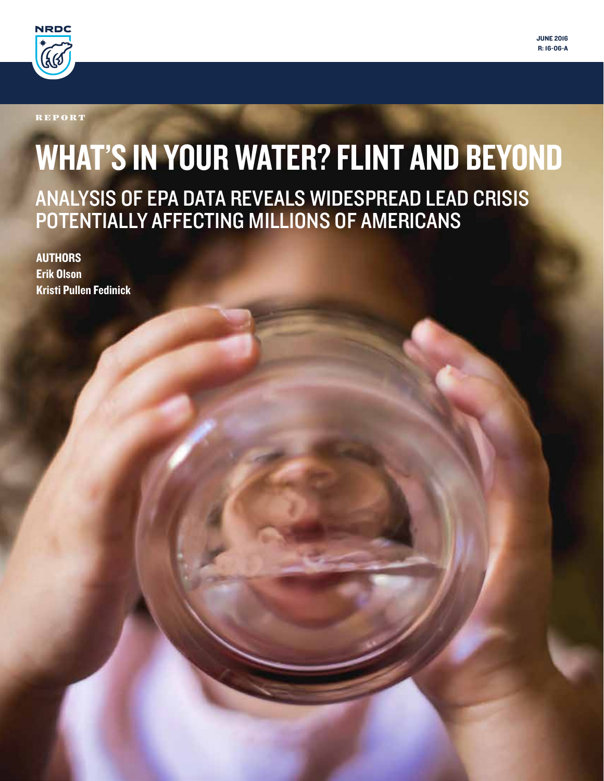

**REPORT** 

# WHAT'S IN YOUR WATER? FLINT AND BEYOND ANALYSIS OF EPA DATA REVEALS WIDESPREAD LEAD CRISIS POTENTIALLY AFFECTING MILLIONS OF AMERICANS

**AUTHORS** Erik Olson Kristi Pullen Fedinick JUNE 2016 R: 16-06-A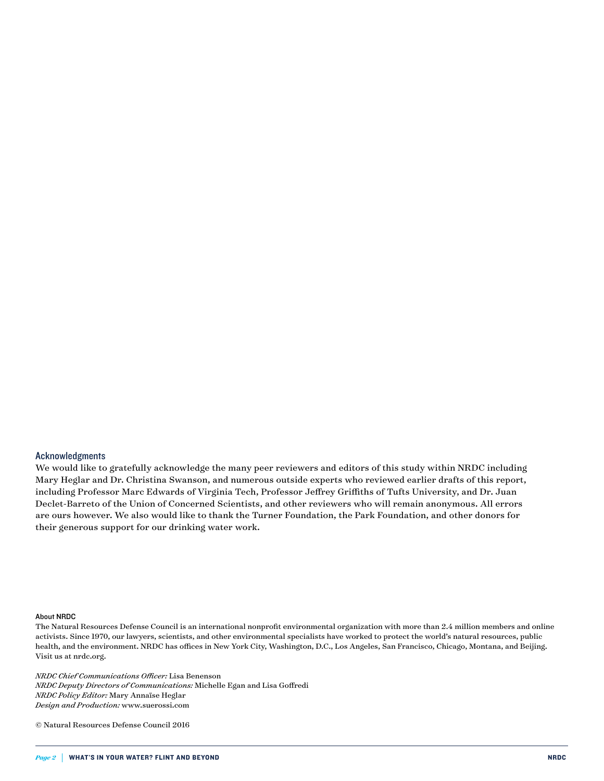#### Acknowledgments

We would like to gratefully acknowledge the many peer reviewers and editors of this study within NRDC including Mary Heglar and Dr. Christina Swanson, and numerous outside experts who reviewed earlier drafts of this report, including Professor Marc Edwards of Virginia Tech, Professor Jeffrey Griffiths of Tufts University, and Dr. Juan Declet-Barreto of the Union of Concerned Scientists, and other reviewers who will remain anonymous. All errors are ours however. We also would like to thank the Turner Foundation, the Park Foundation, and other donors for their generous support for our drinking water work.

#### About NRDC

The Natural Resources Defense Council is an international nonprofit environmental organization with more than 2.4 million members and online activists. Since 1970, our lawyers, scientists, and other environmental specialists have worked to protect the world's natural resources, public health, and the environment. NRDC has offices in New York City, Washington, D.C., Los Angeles, San Francisco, Chicago, Montana, and Beijing. Visit us at nrdc.org.

*NRDC Chief Communications Officer:* Lisa Benenson *NRDC Deputy Directors of Communications:* Michelle Egan and Lisa Goffredi *NRDC Policy Editor:* Mary Annaïse Heglar *Design and Production:* www.suerossi.com

© Natural Resources Defense Council 2016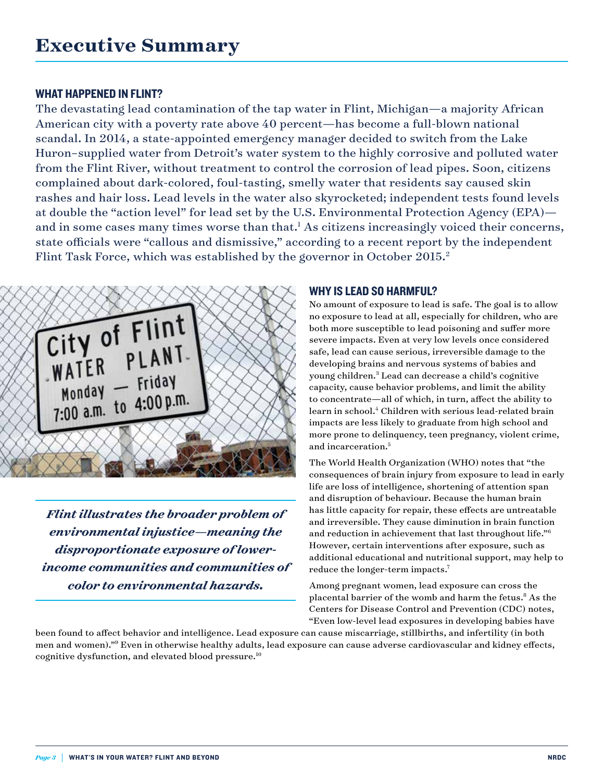### WHAT HAPPENED IN FLINT?

The devastating lead contamination of the tap water in Flint, Michigan—a majority African American city with a poverty rate above 40 percent—has become a full-blown national scandal. In 2014, a state-appointed emergency manager decided to switch from the Lake Huron–supplied water from Detroit's water system to the highly corrosive and polluted water from the Flint River, without treatment to control the corrosion of lead pipes. Soon, citizens complained about dark-colored, foul-tasting, smelly water that residents say caused skin rashes and hair loss. Lead levels in the water also skyrocketed; independent tests found levels at double the "action level" for lead set by the U.S. Environmental Protection Agency (EPA) and in some cases many times worse than that.<sup>1</sup> As citizens increasingly voiced their concerns, state officials were "callous and dismissive," according to a recent report by the independent Flint Task Force, which was established by the governor in October 2015.<sup>2</sup>



*Flint illustrates the broader problem of environmental injustice—meaning the disproportionate exposure of lowerincome communities and communities of color to environmental hazards.*

#### WHY IS LEAD SO HARMFUL?

No amount of exposure to lead is safe. The goal is to allow no exposure to lead at all, especially for children, who are both more susceptible to lead poisoning and suffer more severe impacts. Even at very low levels once considered safe, lead can cause serious, irreversible damage to the developing brains and nervous systems of babies and young children.3 Lead can decrease a child's cognitive capacity, cause behavior problems, and limit the ability to concentrate—all of which, in turn, affect the ability to learn in school.4 Children with serious lead-related brain impacts are less likely to graduate from high school and more prone to delinquency, teen pregnancy, violent crime, and incarceration.5

The World Health Organization (WHO) notes that "the consequences of brain injury from exposure to lead in early life are loss of intelligence, shortening of attention span and disruption of behaviour. Because the human brain has little capacity for repair, these effects are untreatable and irreversible. They cause diminution in brain function and reduction in achievement that last throughout life."6 However, certain interventions after exposure, such as additional educational and nutritional support, may help to reduce the longer-term impacts.7

Among pregnant women, lead exposure can cross the placental barrier of the womb and harm the fetus.<sup>8</sup> As the Centers for Disease Control and Prevention (CDC) notes, "Even low-level lead exposures in developing babies have

been found to affect behavior and intelligence. Lead exposure can cause miscarriage, stillbirths, and infertility (in both men and women)."9 Even in otherwise healthy adults, lead exposure can cause adverse cardiovascular and kidney effects, cognitive dysfunction, and elevated blood pressure.10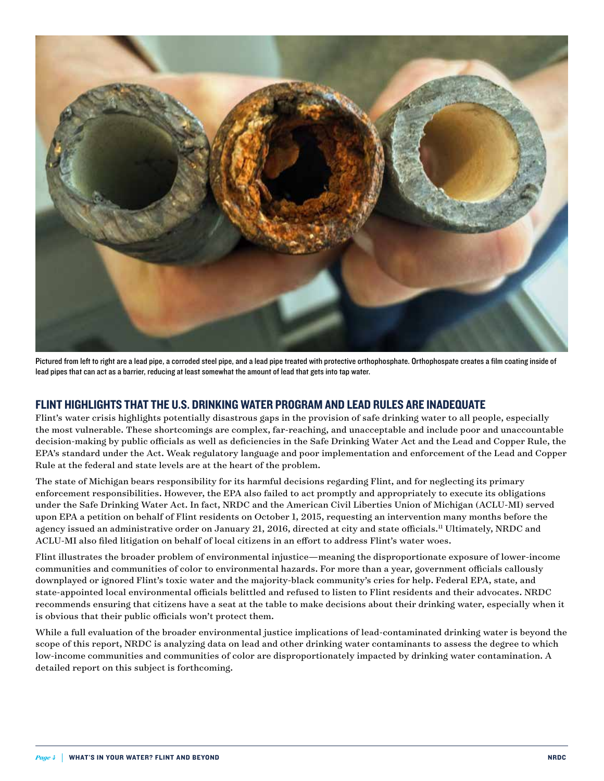

Pictured from left to right are a lead pipe, a corroded steel pipe, and a lead pipe treated with protective orthophosphate. Orthophospate creates a film coating inside of lead pipes that can act as a barrier, reducing at least somewhat the amount of lead that gets into tap water.

#### FLINT HIGHLIGHTS THAT THE U.S. DRINKING WATER PROGRAM AND LEAD RULES ARE INADEQUATE

Flint's water crisis highlights potentially disastrous gaps in the provision of safe drinking water to all people, especially the most vulnerable. These shortcomings are complex, far-reaching, and unacceptable and include poor and unaccountable decision-making by public officials as well as deficiencies in the Safe Drinking Water Act and the Lead and Copper Rule, the EPA's standard under the Act. Weak regulatory language and poor implementation and enforcement of the Lead and Copper Rule at the federal and state levels are at the heart of the problem.

The state of Michigan bears responsibility for its harmful decisions regarding Flint, and for neglecting its primary enforcement responsibilities. However, the EPA also failed to act promptly and appropriately to execute its obligations under the Safe Drinking Water Act. In fact, NRDC and the American Civil Liberties Union of Michigan (ACLU-MI) served upon EPA a petition on behalf of Flint residents on October 1, 2015, requesting an intervention many months before the agency issued an administrative order on January 21, 2016, directed at city and state officials.<sup>11</sup> Ultimately, NRDC and ACLU-MI also filed litigation on behalf of local citizens in an effort to address Flint's water woes.

Flint illustrates the broader problem of environmental injustice—meaning the disproportionate exposure of lower-income communities and communities of color to environmental hazards. For more than a year, government officials callously downplayed or ignored Flint's toxic water and the majority-black community's cries for help. Federal EPA, state, and state-appointed local environmental officials belittled and refused to listen to Flint residents and their advocates. NRDC recommends ensuring that citizens have a seat at the table to make decisions about their drinking water, especially when it is obvious that their public officials won't protect them.

While a full evaluation of the broader environmental justice implications of lead-contaminated drinking water is beyond the scope of this report, NRDC is analyzing data on lead and other drinking water contaminants to assess the degree to which low-income communities and communities of color are disproportionately impacted by drinking water contamination. A detailed report on this subject is forthcoming.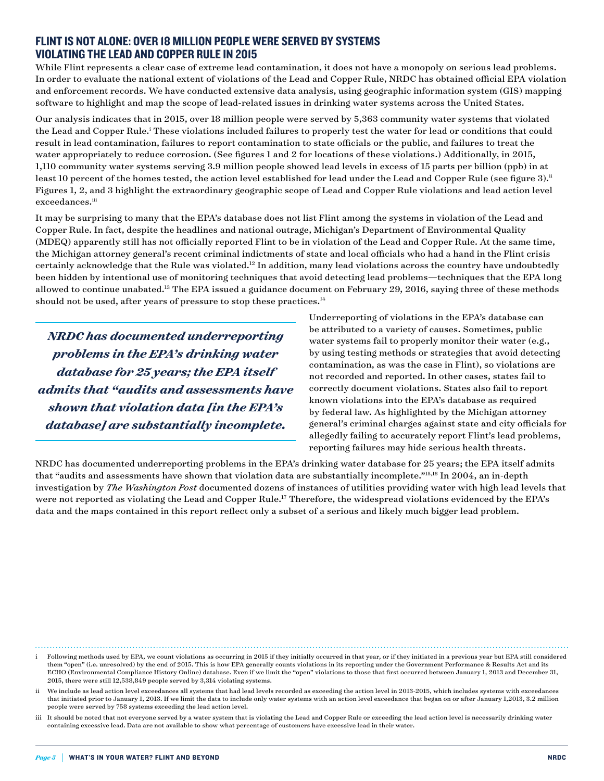#### FLINT IS NOT ALONE: OVER 18 MILLION PEOPLE WERE SERVED BY SYSTEMS VIOLATING THE LEAD AND COPPER RULE IN 2015

While Flint represents a clear case of extreme lead contamination, it does not have a monopoly on serious lead problems. In order to evaluate the national extent of violations of the Lead and Copper Rule, NRDC has obtained official EPA violation and enforcement records. We have conducted extensive data analysis, using geographic information system (GIS) mapping software to highlight and map the scope of lead-related issues in drinking water systems across the United States.

Our analysis indicates that in 2015, over 18 million people were served by 5,363 community water systems that violated the Lead and Copper Rule.<sup>i</sup> These violations included failures to properly test the water for lead or conditions that could result in lead contamination, failures to report contamination to state officials or the public, and failures to treat the water appropriately to reduce corrosion. (See figures 1 and 2 for locations of these violations.) Additionally, in 2015, 1,110 community water systems serving 3.9 million people showed lead levels in excess of 15 parts per billion (ppb) in at least 10 percent of the homes tested, the action level established for lead under the Lead and Copper Rule (see figure 3).<sup>ii</sup> Figures 1, 2, and 3 highlight the extraordinary geographic scope of Lead and Copper Rule violations and lead action level exceedances.iii

It may be surprising to many that the EPA's database does not list Flint among the systems in violation of the Lead and Copper Rule. In fact, despite the headlines and national outrage, Michigan's Department of Environmental Quality (MDEQ) apparently still has not officially reported Flint to be in violation of the Lead and Copper Rule. At the same time, the Michigan attorney general's recent criminal indictments of state and local officials who had a hand in the Flint crisis certainly acknowledge that the Rule was violated.12 In addition, many lead violations across the country have undoubtedly been hidden by intentional use of monitoring techniques that avoid detecting lead problems—techniques that the EPA long allowed to continue unabated.<sup>13</sup> The EPA issued a guidance document on February 29, 2016, saying three of these methods should not be used, after years of pressure to stop these practices.<sup>14</sup>

*NRDC has documented underreporting problems in the EPA's drinking water database for 25 years; the EPA itself admits that "audits and assessments have shown that violation data [in the EPA's database] are substantially incomplete.*

Underreporting of violations in the EPA's database can be attributed to a variety of causes. Sometimes, public water systems fail to properly monitor their water (e.g., by using testing methods or strategies that avoid detecting contamination, as was the case in Flint), so violations are not recorded and reported. In other cases, states fail to correctly document violations. States also fail to report known violations into the EPA's database as required by federal law. As highlighted by the Michigan attorney general's criminal charges against state and city officials for allegedly failing to accurately report Flint's lead problems, reporting failures may hide serious health threats.

NRDC has documented underreporting problems in the EPA's drinking water database for 25 years; the EPA itself admits that "audits and assessments have shown that violation data are substantially incomplete."15,16 In 2004, an in-depth investigation by *The Washington Post* documented dozens of instances of utilities providing water with high lead levels that were not reported as violating the Lead and Copper Rule.<sup>17</sup> Therefore, the widespread violations evidenced by the EPA's data and the maps contained in this report reflect only a subset of a serious and likely much bigger lead problem.

i Following methods used by EPA, we count violations as occurring in 2015 if they initially occurred in that year, or if they initiated in a previous year but EPA still considered them "open" (i.e. unresolved) by the end of 2015. This is how EPA generally counts violations in its reporting under the Government Performance & Results Act and its ECHO (Environmental Compliance History Online) database. Even if we limit the "open" violations to those that first occurred between January 1, 2013 and December 31, 2015, there were still 12,538,849 people served by 3,314 violating systems.

ii We include as lead action level exceedances all systems that had lead levels recorded as exceeding the action level in 2013-2015, which includes systems with exceedances that initiated prior to January 1, 2013. If we limit the data to include only water systems with an action level exceedance that began on or after January 1,2013, 3.2 million people were served by 758 systems exceeding the lead action level.

iii It should be noted that not everyone served by a water system that is violating the Lead and Copper Rule or exceeding the lead action level is necessarily drinking water containing excessive lead. Data are not available to show what percentage of customers have excessive lead in their water.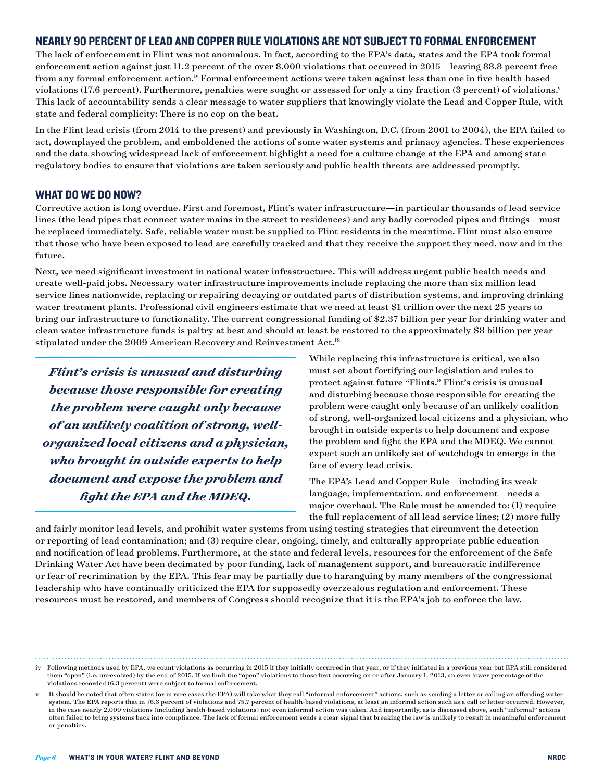#### NEARLY 90 PERCENT OF LEAD AND COPPER RULE VIOLATIONS ARE NOT SUBJECT TO FORMAL ENFORCEMENT

The lack of enforcement in Flint was not anomalous. In fact, according to the EPA's data, states and the EPA took formal enforcement action against just 11.2 percent of the over 8,000 violations that occurred in 2015—leaving 88.8 percent free from any formal enforcement action.<sup>iv</sup> Formal enforcement actions were taken against less than one in five health-based violations (17.6 percent). Furthermore, penalties were sought or assessed for only a tiny fraction (3 percent) of violations.<sup>v</sup> This lack of accountability sends a clear message to water suppliers that knowingly violate the Lead and Copper Rule, with state and federal complicity: There is no cop on the beat.

In the Flint lead crisis (from 2014 to the present) and previously in Washington, D.C. (from 2001 to 2004), the EPA failed to act, downplayed the problem, and emboldened the actions of some water systems and primacy agencies. These experiences and the data showing widespread lack of enforcement highlight a need for a culture change at the EPA and among state regulatory bodies to ensure that violations are taken seriously and public health threats are addressed promptly.

#### WHAT DO WE DO NOW?

Corrective action is long overdue. First and foremost, Flint's water infrastructure—in particular thousands of lead service lines (the lead pipes that connect water mains in the street to residences) and any badly corroded pipes and fittings—must be replaced immediately. Safe, reliable water must be supplied to Flint residents in the meantime. Flint must also ensure that those who have been exposed to lead are carefully tracked and that they receive the support they need, now and in the future.

Next, we need significant investment in national water infrastructure. This will address urgent public health needs and create well-paid jobs. Necessary water infrastructure improvements include replacing the more than six million lead service lines nationwide, replacing or repairing decaying or outdated parts of distribution systems, and improving drinking water treatment plants. Professional civil engineers estimate that we need at least \$1 trillion over the next 25 years to bring our infrastructure to functionality. The current congressional funding of \$2.37 billion per year for drinking water and clean water infrastructure funds is paltry at best and should at least be restored to the approximately \$8 billion per year stipulated under the 2009 American Recovery and Reinvestment Act.18

*Flint's crisis is unusual and disturbing because those responsible for creating the problem were caught only because of an unlikely coalition of strong, wellorganized local citizens and a physician, who brought in outside experts to help document and expose the problem and fight the EPA and the MDEQ.*

While replacing this infrastructure is critical, we also must set about fortifying our legislation and rules to protect against future "Flints." Flint's crisis is unusual and disturbing because those responsible for creating the problem were caught only because of an unlikely coalition of strong, well-organized local citizens and a physician, who brought in outside experts to help document and expose the problem and fight the EPA and the MDEQ. We cannot expect such an unlikely set of watchdogs to emerge in the face of every lead crisis.

The EPA's Lead and Copper Rule—including its weak language, implementation, and enforcement—needs a major overhaul. The Rule must be amended to: (1) require the full replacement of all lead service lines; (2) more fully

and fairly monitor lead levels, and prohibit water systems from using testing strategies that circumvent the detection or reporting of lead contamination; and (3) require clear, ongoing, timely, and culturally appropriate public education and notification of lead problems. Furthermore, at the state and federal levels, resources for the enforcement of the Safe Drinking Water Act have been decimated by poor funding, lack of management support, and bureaucratic indifference or fear of recrimination by the EPA. This fear may be partially due to haranguing by many members of the congressional leadership who have continually criticized the EPA for supposedly overzealous regulation and enforcement. These resources must be restored, and members of Congress should recognize that it is the EPA's job to enforce the law.

iv Following methods used by EPA, we count violations as occurring in 2015 if they initially occurred in that year, or if they initiated in a previous year but EPA still considered them "open" (i.e. unresolved) by the end of 2015. If we limit the "open" violations to those first occurring on or after January 1, 2013, an even lower percentage of the violations recorded (6.3 percent) were subject to formal enforcement.

v It should be noted that often states (or in rare cases the EPA) will take what they call "informal enforcement" actions, such as sending a letter or calling an offending water system. The EPA reports that in 76.3 percent of violations and 75.7 percent of health-based violations, at least an informal action such as a call or letter occurred. However, in the case nearly 2,000 violations (including health-based violations) not even informal action was taken. And importantly, as is discussed above, such "informal" actions often failed to bring systems back into compliance. The lack of formal enforcement sends a clear signal that breaking the law is unlikely to result in meaningful enforcement or penalties.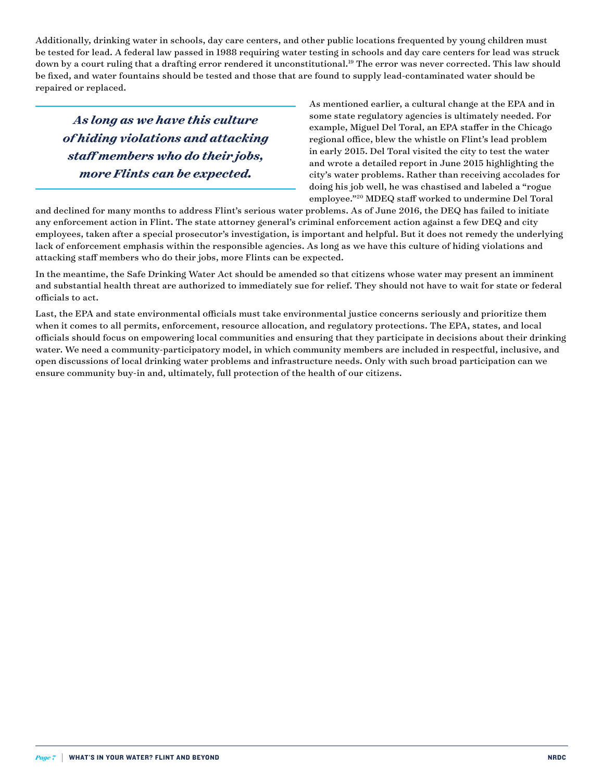Additionally, drinking water in schools, day care centers, and other public locations frequented by young children must be tested for lead. A federal law passed in 1988 requiring water testing in schools and day care centers for lead was struck down by a court ruling that a drafting error rendered it unconstitutional.<sup>19</sup> The error was never corrected. This law should be fixed, and water fountains should be tested and those that are found to supply lead-contaminated water should be repaired or replaced.

*As long as we have this culture of hiding violations and attacking staff members who do their jobs, more Flints can be expected.*

As mentioned earlier, a cultural change at the EPA and in some state regulatory agencies is ultimately needed. For example, Miguel Del Toral, an EPA staffer in the Chicago regional office, blew the whistle on Flint's lead problem in early 2015. Del Toral visited the city to test the water and wrote a detailed report in June 2015 highlighting the city's water problems. Rather than receiving accolades for doing his job well, he was chastised and labeled a "rogue employee."20 MDEQ staff worked to undermine Del Toral

and declined for many months to address Flint's serious water problems. As of June 2016, the DEQ has failed to initiate any enforcement action in Flint. The state attorney general's criminal enforcement action against a few DEQ and city employees, taken after a special prosecutor's investigation, is important and helpful. But it does not remedy the underlying lack of enforcement emphasis within the responsible agencies. As long as we have this culture of hiding violations and attacking staff members who do their jobs, more Flints can be expected.

In the meantime, the Safe Drinking Water Act should be amended so that citizens whose water may present an imminent and substantial health threat are authorized to immediately sue for relief. They should not have to wait for state or federal officials to act.

Last, the EPA and state environmental officials must take environmental justice concerns seriously and prioritize them when it comes to all permits, enforcement, resource allocation, and regulatory protections. The EPA, states, and local officials should focus on empowering local communities and ensuring that they participate in decisions about their drinking water. We need a community-participatory model, in which community members are included in respectful, inclusive, and open discussions of local drinking water problems and infrastructure needs. Only with such broad participation can we ensure community buy-in and, ultimately, full protection of the health of our citizens.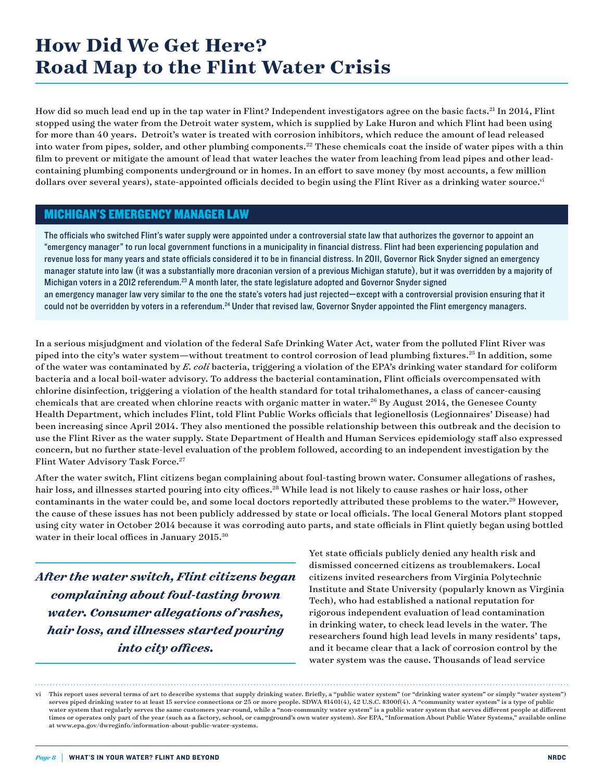## **How Did We Get Here? Road Map to the Flint Water Crisis**

How did so much lead end up in the tap water in Flint? Independent investigators agree on the basic facts.<sup>21</sup> In 2014, Flint stopped using the water from the Detroit water system, which is supplied by Lake Huron and which Flint had been using for more than 40 years. Detroit's water is treated with corrosion inhibitors, which reduce the amount of lead released into water from pipes, solder, and other plumbing components.<sup>22</sup> These chemicals coat the inside of water pipes with a thin film to prevent or mitigate the amount of lead that water leaches the water from leaching from lead pipes and other leadcontaining plumbing components underground or in homes. In an effort to save money (by most accounts, a few million dollars over several years), state-appointed officials decided to begin using the Flint River as a drinking water source.<sup>vi</sup>

#### MICHIGAN'S EMERGENCY MANAGER LAW

The officials who switched Flint's water supply were appointed under a controversial state law that authorizes the governor to appoint an "emergency manager" to run local government functions in a municipality in financial distress. Flint had been experiencing population and revenue loss for many years and state officials considered it to be in financial distress. In 2011, Governor Rick Snyder signed an emergency manager statute into law (it was a substantially more draconian version of a previous Michigan statute), but it was overridden by a majority of Michigan voters in a 2012 referendum.<sup>23</sup> A month later, the state legislature adopted and Governor Snyder signed an emergency manager law very similar to the one the state's voters had just rejected—except with a controversial provision ensuring that it could not be overridden by voters in a referendum.<sup>24</sup> Under that revised law, Governor Snyder appointed the Flint emergency managers.

In a serious misjudgment and violation of the federal Safe Drinking Water Act, water from the polluted Flint River was piped into the city's water system—without treatment to control corrosion of lead plumbing fixtures.25 In addition, some of the water was contaminated by *E. coli* bacteria, triggering a violation of the EPA's drinking water standard for coliform bacteria and a local boil-water advisory. To address the bacterial contamination, Flint officials overcompensated with chlorine disinfection, triggering a violation of the health standard for total trihalomethanes, a class of cancer-causing chemicals that are created when chlorine reacts with organic matter in water.26 By August 2014, the Genesee County Health Department, which includes Flint, told Flint Public Works officials that legionellosis (Legionnaires' Disease) had been increasing since April 2014. They also mentioned the possible relationship between this outbreak and the decision to use the Flint River as the water supply. State Department of Health and Human Services epidemiology staff also expressed concern, but no further state-level evaluation of the problem followed, according to an independent investigation by the Flint Water Advisory Task Force.<sup>27</sup>

After the water switch, Flint citizens began complaining about foul-tasting brown water. Consumer allegations of rashes, hair loss, and illnesses started pouring into city offices.<sup>28</sup> While lead is not likely to cause rashes or hair loss, other contaminants in the water could be, and some local doctors reportedly attributed these problems to the water.<sup>29</sup> However, the cause of these issues has not been publicly addressed by state or local officials. The local General Motors plant stopped using city water in October 2014 because it was corroding auto parts, and state officials in Flint quietly began using bottled water in their local offices in January 2015.30

*After the water switch, Flint citizens began complaining about foul-tasting brown water. Consumer allegations of rashes, hair loss, and illnesses started pouring into city offices.*

Yet state officials publicly denied any health risk and dismissed concerned citizens as troublemakers. Local citizens invited researchers from Virginia Polytechnic Institute and State University (popularly known as Virginia Tech), who had established a national reputation for rigorous independent evaluation of lead contamination in drinking water, to check lead levels in the water. The researchers found high lead levels in many residents' taps, and it became clear that a lack of corrosion control by the water system was the cause. Thousands of lead service

vi This report uses several terms of art to describe systems that supply drinking water. Briefly, a "public water system" (or "drinking water system" or simply "water system") serves piped drinking water to at least 15 service connections or 25 or more people. SDWA \$1401(4), 42 U.S.C. \$300f(4). A "community water system" is a type of public water system that regularly serves the same customers year-round, while a "non-community water system" is a public water system that serves different people at different times or operates only part of the year (such as a factory, school, or campground's own water system). *See* EPA, "Information About Public Water Systems," available online at [www.epa.gov/dwreginfo/information-about-public-water-systems.](http://www.epa.gov/dwreginfo/information-about-public-water-systems)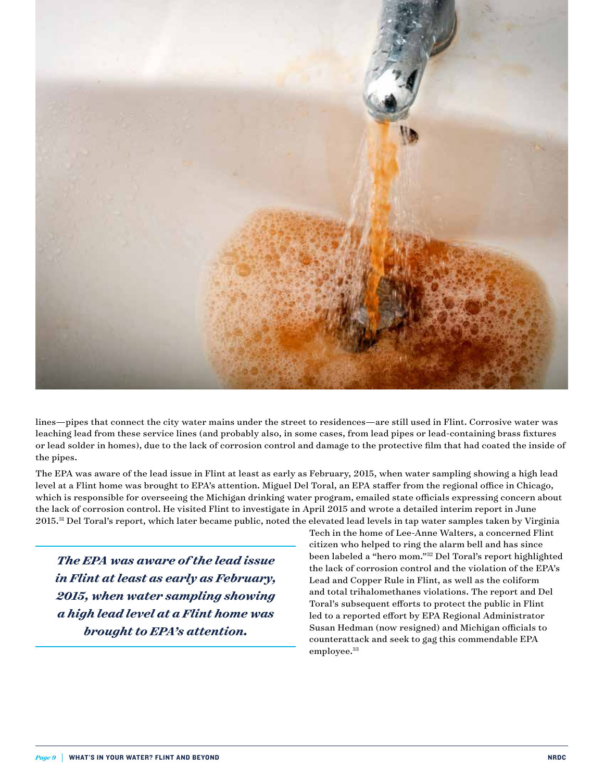

lines—pipes that connect the city water mains under the street to residences—are still used in Flint. Corrosive water was leaching lead from these service lines (and probably also, in some cases, from lead pipes or lead-containing brass fixtures or lead solder in homes), due to the lack of corrosion control and damage to the protective film that had coated the inside of the pipes.

The EPA was aware of the lead issue in Flint at least as early as February, 2015, when water sampling showing a high lead level at a Flint home was brought to EPA's attention. Miguel Del Toral, an EPA staffer from the regional office in Chicago, which is responsible for overseeing the Michigan drinking water program, emailed state officials expressing concern about the lack of corrosion control. He visited Flint to investigate in April 2015 and wrote a detailed interim report in June 2015.<sup>31</sup> Del Toral's report, which later became public, noted the elevated lead levels in tap water samples taken by Virginia

*The EPA was aware of the lead issue in Flint at least as early as February, 2015, when water sampling showing a high lead level at a Flint home was brought to EPA's attention.*

Tech in the home of Lee-Anne Walters, a concerned Flint citizen who helped to ring the alarm bell and has since been labeled a "hero mom."32 Del Toral's report highlighted the lack of corrosion control and the violation of the EPA's Lead and Copper Rule in Flint, as well as the coliform and total trihalomethanes violations. The report and Del Toral's subsequent efforts to protect the public in Flint led to a reported effort by EPA Regional Administrator Susan Hedman (now resigned) and Michigan officials to counterattack and seek to gag this commendable EPA employee.<sup>33</sup>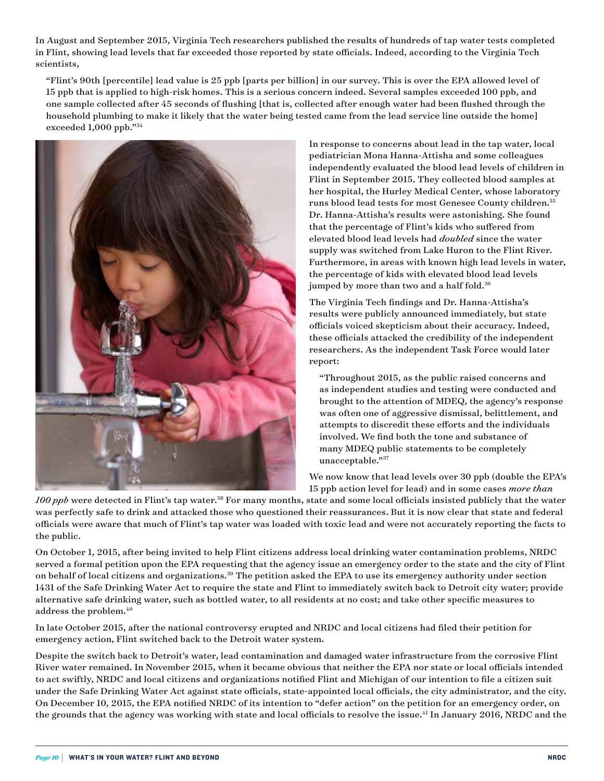In August and September 2015, Virginia Tech researchers published the results of hundreds of tap water tests completed in Flint, showing lead levels that far exceeded those reported by state officials. Indeed, according to the Virginia Tech scientists,

 "Flint's 90th [percentile] lead value is 25 ppb [parts per billion] in our survey. This is over the EPA allowed level of 15 ppb that is applied to high-risk homes. This is a serious concern indeed. Several samples exceeded 100 ppb, and one sample collected after 45 seconds of flushing [that is, collected after enough water had been flushed through the household plumbing to make it likely that the water being tested came from the lead service line outside the home] exceeded 1,000 ppb."34



In response to concerns about lead in the tap water, local pediatrician Mona Hanna-Attisha and some colleagues independently evaluated the blood lead levels of children in Flint in September 2015. They collected blood samples at her hospital, the Hurley Medical Center, whose laboratory runs blood lead tests for most Genesee County children.35 Dr. Hanna-Attisha's results were astonishing. She found that the percentage of Flint's kids who suffered from elevated blood lead levels had *doubled* since the water supply was switched from Lake Huron to the Flint River. Furthermore, in areas with known high lead levels in water, the percentage of kids with elevated blood lead levels jumped by more than two and a half fold.<sup>36</sup>

The Virginia Tech findings and Dr. Hanna-Attisha's results were publicly announced immediately, but state officials voiced skepticism about their accuracy. Indeed, these officials attacked the credibility of the independent researchers. As the independent Task Force would later report:

 "Throughout 2015, as the public raised concerns and as independent studies and testing were conducted and brought to the attention of MDEQ, the agency's response was often one of aggressive dismissal, belittlement, and attempts to discredit these efforts and the individuals involved. We find both the tone and substance of many MDEQ public statements to be completely unacceptable."37

We now know that lead levels over 30 ppb (double the EPA's 15 ppb action level for lead) and in some cases *more than* 

*100 ppb* were detected in Flint's tap water.38 For many months, state and some local officials insisted publicly that the water was perfectly safe to drink and attacked those who questioned their reassurances. But it is now clear that state and federal officials were aware that much of Flint's tap water was loaded with toxic lead and were not accurately reporting the facts to the public.

On October 1, 2015, after being invited to help Flint citizens address local drinking water contamination problems, NRDC served a formal petition upon the EPA requesting that the agency issue an emergency order to the state and the city of Flint on behalf of local citizens and organizations.39 The petition asked the EPA to use its emergency authority under section 1431 of the Safe Drinking Water Act to require the state and Flint to immediately switch back to Detroit city water; provide alternative safe drinking water, such as bottled water, to all residents at no cost; and take other specific measures to address the problem.<sup>40</sup>

In late October 2015, after the national controversy erupted and NRDC and local citizens had filed their petition for emergency action, Flint switched back to the Detroit Water system.

Despite the switch back to Detroit's water, lead contamination and damaged water infrastructure from the corrosive Flint River water remained. In November 2015, when it became obvious that neither the EPA nor state or local officials intended to act swiftly, NRDC and local citizens and organizations notified Flint and Michigan of our intention to file a citizen suit under the Safe Drinking Water Act against state officials, state-appointed local officials, the city administrator, and the city. On December 10, 2015, the EPA notified NRDC of its intention to "defer action" on the petition for an emergency order, on the grounds that the agency was working with state and local officials to resolve the issue.<sup>41</sup> In January 2016, NRDC and the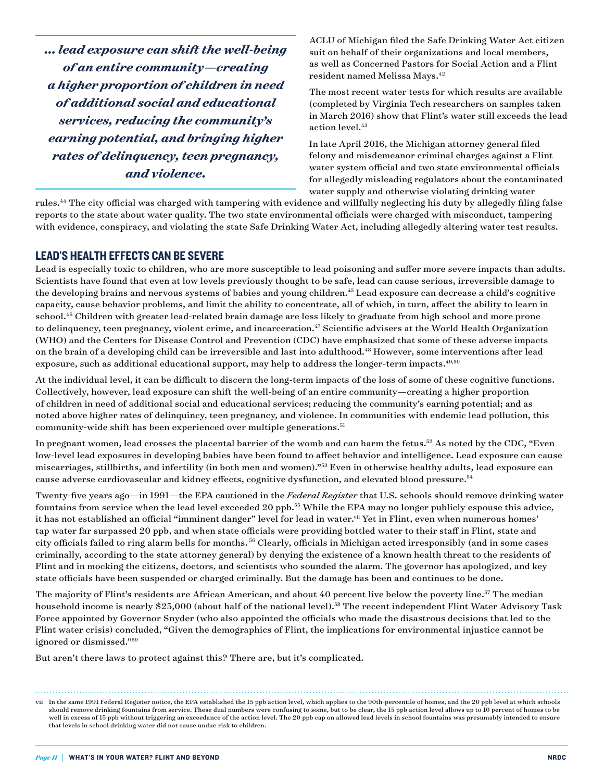*... lead exposure can shift the well-being of an entire community—creating a higher proportion of children in need of additional social and educational services, reducing the community's earning potential, and bringing higher rates of delinquency, teen pregnancy, and violence.*

ACLU of Michigan filed the Safe Drinking Water Act citizen suit on behalf of their organizations and local members, as well as Concerned Pastors for Social Action and a Flint resident named Melissa Mays.<sup>42</sup>

The most recent water tests for which results are available (completed by Virginia Tech researchers on samples taken in March 2016) show that Flint's water still exceeds the lead action level.<sup>43</sup>

In late April 2016, the Michigan attorney general filed felony and misdemeanor criminal charges against a Flint water system official and two state environmental officials for allegedly misleading regulators about the contaminated water supply and otherwise violating drinking water

rules.44 The city official was charged with tampering with evidence and willfully neglecting his duty by allegedly filing false reports to the state about water quality. The two state environmental officials were charged with misconduct, tampering with evidence, conspiracy, and violating the state Safe Drinking Water Act, including allegedly altering water test results.

#### LEAD'S HEALTH EFFECTS CAN BE SEVERE

Lead is especially toxic to children, who are more susceptible to lead poisoning and suffer more severe impacts than adults. Scientists have found that even at low levels previously thought to be safe, lead can cause serious, irreversible damage to the developing brains and nervous systems of babies and young children.<sup>45</sup> Lead exposure can decrease a child's cognitive capacity, cause behavior problems, and limit the ability to concentrate, all of which, in turn, affect the ability to learn in school.46 Children with greater lead-related brain damage are less likely to graduate from high school and more prone to delinquency, teen pregnancy, violent crime, and incarceration.<sup>47</sup> Scientific advisers at the World Health Organization (WHO) and the Centers for Disease Control and Prevention (CDC) have emphasized that some of these adverse impacts on the brain of a developing child can be irreversible and last into adulthood.<sup>48</sup> However, some interventions after lead exposure, such as additional educational support, may help to address the longer-term impacts.<sup>49,50</sup>

At the individual level, it can be difficult to discern the long-term impacts of the loss of some of these cognitive functions. Collectively, however, lead exposure can shift the well-being of an entire community—creating a higher proportion of children in need of additional social and educational services; reducing the community's earning potential; and as noted above higher rates of delinquincy, teen pregnancy, and violence. In communities with endemic lead pollution, this community-wide shift has been experienced over multiple generations.<sup>51</sup>

In pregnant women, lead crosses the placental barrier of the womb and can harm the fetus.<sup>52</sup> As noted by the CDC, "Even low-level lead exposures in developing babies have been found to affect behavior and intelligence. Lead exposure can cause miscarriages, stillbirths, and infertility (in both men and women)."53 Even in otherwise healthy adults, lead exposure can cause adverse cardiovascular and kidney effects, cognitive dysfunction, and elevated blood pressure.54

Twenty-five years ago—in 1991—the EPA cautioned in the *Federal Register* that U.S. schools should remove drinking water fountains from service when the lead level exceeded 20 ppb.55 While the EPA may no longer publicly espouse this advice, it has not established an official "imminent danger" level for lead in water.<sup>vii</sup> Yet in Flint, even when numerous homes' tap water far surpassed 20 ppb, and when state officials were providing bottled water to their staff in Flint, state and city officials failed to ring alarm bells for months. 56 Clearly, officials in Michigan acted irresponsibly (and in some cases criminally, according to the state attorney general) by denying the existence of a known health threat to the residents of Flint and in mocking the citizens, doctors, and scientists who sounded the alarm. The governor has apologized, and key state officials have been suspended or charged criminally. But the damage has been and continues to be done.

The majority of Flint's residents are African American, and about 40 percent live below the poverty line.<sup>57</sup> The median household income is nearly \$25,000 (about half of the national level).<sup>58</sup> The recent independent Flint Water Advisory Task Force appointed by Governor Snyder (who also appointed the officials who made the disastrous decisions that led to the Flint water crisis) concluded, "Given the demographics of Flint, the implications for environmental injustice cannot be ignored or dismissed."59

But aren't there laws to protect against this? There are, but it's complicated.

vii In the same 1991 Federal Register notice, the EPA established the 15 ppb action level, which applies to the 90th-percentile of homes, and the 20 ppb level at which schools should remove drinking fountains from service. These dual numbers were confusing to some, but to be clear, the 15 ppb action level allows up to 10 percent of homes to be well in excess of 15 ppb without triggering an exceedance of the action level. The 20 ppb cap on allowed lead levels in school fountains was presumably intended to ensure that levels in school drinking water did not cause undue risk to children.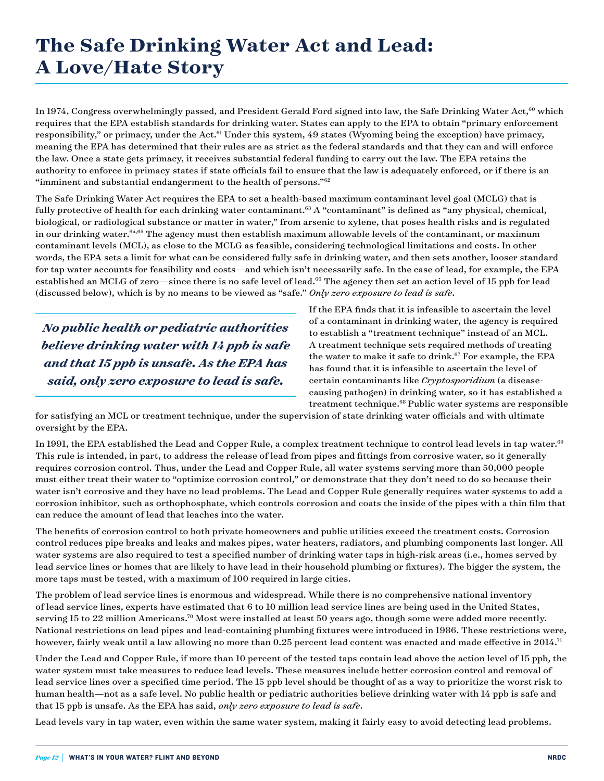## **The Safe Drinking Water Act and Lead: A Love/Hate Story**

In 1974, Congress overwhelmingly passed, and President Gerald Ford signed into law, the Safe Drinking Water Act,<sup>60</sup> which requires that the EPA establish standards for drinking water. States can apply to the EPA to obtain "primary enforcement responsibility," or primacy, under the Act.<sup>61</sup> Under this system, 49 states (Wyoming being the exception) have primacy, meaning the EPA has determined that their rules are as strict as the federal standards and that they can and will enforce the law. Once a state gets primacy, it receives substantial federal funding to carry out the law. The EPA retains the authority to enforce in primacy states if state officials fail to ensure that the law is adequately enforced, or if there is an "imminent and substantial endangerment to the health of persons." $62$ 

The Safe Drinking Water Act requires the EPA to set a health-based maximum contaminant level goal (MCLG) that is fully protective of health for each drinking water contaminant.<sup>63</sup> A "contaminant" is defined as "any physical, chemical, biological, or radiological substance or matter in water," from arsenic to xylene, that poses health risks and is regulated in our drinking water.<sup>64,65</sup> The agency must then establish maximum allowable levels of the contaminant, or maximum contaminant levels (MCL), as close to the MCLG as feasible, considering technological limitations and costs. In other words, the EPA sets a limit for what can be considered fully safe in drinking water, and then sets another, looser standard for tap water accounts for feasibility and costs—and which isn't necessarily safe. In the case of lead, for example, the EPA established an MCLG of zero—since there is no safe level of lead.<sup>66</sup> The agency then set an action level of 15 ppb for lead (discussed below), which is by no means to be viewed as "safe." *Only zero exposure to lead is safe*.

*No public health or pediatric authorities believe drinking water with 14 ppb is safe and that 15 ppb is unsafe. As the EPA has said, only zero exposure to lead is safe.*

If the EPA finds that it is infeasible to ascertain the level of a contaminant in drinking water, the agency is required to establish a "treatment technique" instead of an MCL. A treatment technique sets required methods of treating the water to make it safe to drink.<sup>67</sup> For example, the EPA has found that it is infeasible to ascertain the level of certain contaminants like *Cryptosporidium* (a diseasecausing pathogen) in drinking water, so it has established a treatment technique.68 Public water systems are responsible

for satisfying an MCL or treatment technique, under the supervision of state drinking water officials and with ultimate oversight by the EPA.

In 1991, the EPA established the Lead and Copper Rule, a complex treatment technique to control lead levels in tap water.<sup>69</sup> This rule is intended, in part, to address the release of lead from pipes and fittings from corrosive water, so it generally requires corrosion control. Thus, under the Lead and Copper Rule, all water systems serving more than 50,000 people must either treat their water to "optimize corrosion control," or demonstrate that they don't need to do so because their water isn't corrosive and they have no lead problems. The Lead and Copper Rule generally requires water systems to add a corrosion inhibitor, such as orthophosphate, which controls corrosion and coats the inside of the pipes with a thin film that can reduce the amount of lead that leaches into the water.

The benefits of corrosion control to both private homeowners and public utilities exceed the treatment costs. Corrosion control reduces pipe breaks and leaks and makes pipes, water heaters, radiators, and plumbing components last longer. All water systems are also required to test a specified number of drinking water taps in high-risk areas (i.e., homes served by lead service lines or homes that are likely to have lead in their household plumbing or fixtures). The bigger the system, the more taps must be tested, with a maximum of 100 required in large cities.

The problem of lead service lines is enormous and widespread. While there is no comprehensive national inventory of lead service lines, experts have estimated that 6 to 10 million lead service lines are being used in the United States, serving 15 to 22 million Americans.<sup>70</sup> Most were installed at least 50 years ago, though some were added more recently. National restrictions on lead pipes and lead-containing plumbing fixtures were introduced in 1986. These restrictions were, however, fairly weak until a law allowing no more than 0.25 percent lead content was enacted and made effective in 2014.<sup>71</sup>

Under the Lead and Copper Rule, if more than 10 percent of the tested taps contain lead above the action level of 15 ppb, the water system must take measures to reduce lead levels. These measures include better corrosion control and removal of lead service lines over a specified time period. The 15 ppb level should be thought of as a way to prioritize the worst risk to human health—not as a safe level. No public health or pediatric authorities believe drinking water with 14 ppb is safe and that 15 ppb is unsafe. As the EPA has said, *only zero exposure to lead is safe*.

Lead levels vary in tap water, even within the same water system, making it fairly easy to avoid detecting lead problems.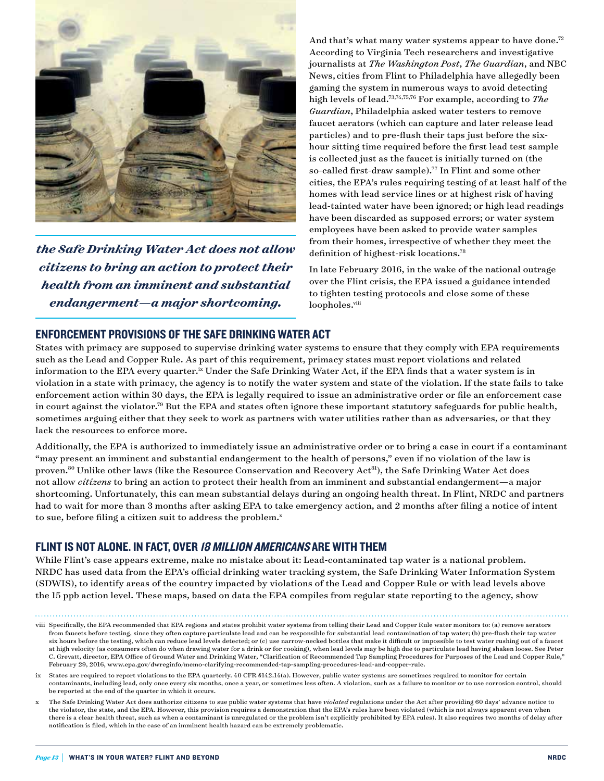

*the Safe Drinking Water Act does not allow citizens to bring an action to protect their health from an imminent and substantial endangerment—a major shortcoming.*

And that's what many water systems appear to have done.<sup>72</sup> According to Virginia Tech researchers and investigative journalists at *The Washington Post*, *The Guardian*, and NBC News, cities from Flint to Philadelphia have allegedly been gaming the system in numerous ways to avoid detecting high levels of lead.73,74,75,76 For example, according to *The Guardian*, Philadelphia asked water testers to remove faucet aerators (which can capture and later release lead particles) and to pre-flush their taps just before the sixhour sitting time required before the first lead test sample is collected just as the faucet is initially turned on (the so-called first-draw sample).<sup>77</sup> In Flint and some other cities, the EPA's rules requiring testing of at least half of the homes with lead service lines or at highest risk of having lead-tainted water have been ignored; or high lead readings have been discarded as supposed errors; or water system employees have been asked to provide water samples from their homes, irrespective of whether they meet the definition of highest-risk locations.78

In late February 2016, in the wake of the national outrage over the Flint crisis, the EPA issued a guidance intended to tighten testing protocols and close some of these loopholes.<sup>viii</sup>

#### ENFORCEMENT PROVISIONS OF THE SAFE DRINKING WATER ACT

States with primacy are supposed to supervise drinking water systems to ensure that they comply with EPA requirements such as the Lead and Copper Rule. As part of this requirement, primacy states must report violations and related information to the EPA every quarter.<sup>ix</sup> Under the Safe Drinking Water Act, if the EPA finds that a water system is in violation in a state with primacy, the agency is to notify the water system and state of the violation. If the state fails to take enforcement action within 30 days, the EPA is legally required to issue an administrative order or file an enforcement case in court against the violator.<sup>79</sup> But the EPA and states often ignore these important statutory safeguards for public health, sometimes arguing either that they seek to work as partners with water utilities rather than as adversaries, or that they lack the resources to enforce more.

Additionally, the EPA is authorized to immediately issue an administrative order or to bring a case in court if a contaminant "may present an imminent and substantial endangerment to the health of persons," even if no violation of the law is proven.<sup>80</sup> Unlike other laws (like the Resource Conservation and Recovery Act<sup>81</sup>), the Safe Drinking Water Act does not allow *citizens* to bring an action to protect their health from an imminent and substantial endangerment—a major shortcoming. Unfortunately, this can mean substantial delays during an ongoing health threat. In Flint, NRDC and partners had to wait for more than 3 months after asking EPA to take emergency action, and 2 months after filing a notice of intent to sue, before filing a citizen suit to address the problem. $^x$ 

#### FLINT IS NOT ALONE. IN FACT, OVER 18 MILLION AMERICANS ARE WITH THEM

While Flint's case appears extreme, make no mistake about it: Lead-contaminated tap water is a national problem. NRDC has used data from the EPA's official drinking water tracking system, the Safe Drinking Water Information System (SDWIS), to identify areas of the country impacted by violations of the Lead and Copper Rule or with lead levels above the 15 ppb action level. These maps, based on data the EPA compiles from regular state reporting to the agency, show

viii Specifically, the EPA recommended that EPA regions and states prohibit water systems from telling their Lead and Copper Rule water monitors to: (a) remove aerators from faucets before testing, since they often capture particulate lead and can be responsible for substantial lead contamination of tap water; (b) pre-flush their tap water six hours before the testing, which can reduce lead levels detected; or (c) use narrow-necked bottles that make it difficult or impossible to test water rushing out of a faucet at high velocity (as consumers often do when drawing water for a drink or for cooking), when lead levels may be high due to particulate lead having shaken loose. See Peter C. Grevatt, director, EPA Office of Ground Water and Drinking Water, "Clarification of Recommended Tap Sampling Procedures for Purposes of the Lead and Copper Rule," February 29, 2016, [www.epa.gov/dwreginfo/memo-clarifying-recommended-tap-sampling-procedures-lead-and-copper-rule](http://www.epa.gov/dwreginfo/memo-clarifying-recommended-tap-sampling-procedures-lead-and-copper-rule).

ix States are required to report violations to the EPA quarterly. 40 CFR §142.14(a). However, public water systems are sometimes required to monitor for certain contaminants, including lead, only once every six months, once a year, or sometimes less often. A violation, such as a failure to monitor or to use corrosion control, should be reported at the end of the quarter in which it occurs.

x The Safe Drinking Water Act does authorize citizens to sue public water systems that have *violated* regulations under the Act after providing 60 days' advance notice to the violator, the state, and the EPA. However, this provision requires a demonstration that the EPA's rules have been violated (which is not always apparent even when there is a clear health threat, such as when a contaminant is unregulated or the problem isn't explicitly prohibited by EPA rules). It also requires two months of delay after notification is filed, which in the case of an imminent health hazard can be extremely problematic.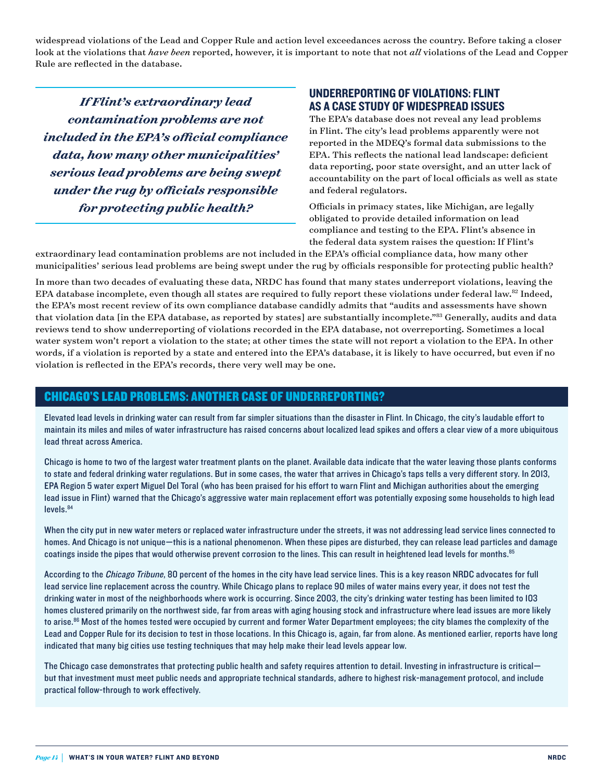widespread violations of the Lead and Copper Rule and action level exceedances across the country. Before taking a closer look at the violations that *have been* reported, however, it is important to note that not *all* violations of the Lead and Copper Rule are reflected in the database.

*If Flint's extraordinary lead contamination problems are not included in the EPA's official compliance data, how many other municipalities' serious lead problems are being swept under the rug by officials responsible for protecting public health?*

#### UNDERREPORTING OF VIOLATIONS: FLINT AS A CASE STUDY OF WIDESPREAD ISSUES

The EPA's database does not reveal any lead problems in Flint. The city's lead problems apparently were not reported in the MDEQ's formal data submissions to the EPA. This reflects the national lead landscape: deficient data reporting, poor state oversight, and an utter lack of accountability on the part of local officials as well as state and federal regulators.

Officials in primacy states, like Michigan, are legally obligated to provide detailed information on lead compliance and testing to the EPA. Flint's absence in the federal data system raises the question: If Flint's

extraordinary lead contamination problems are not included in the EPA's official compliance data, how many other municipalities' serious lead problems are being swept under the rug by officials responsible for protecting public health?

In more than two decades of evaluating these data, NRDC has found that many states underreport violations, leaving the EPA database incomplete, even though all states are required to fully report these violations under federal law.<sup>82</sup> Indeed, the EPA's most recent review of its own compliance database candidly admits that "audits and assessments have shown that violation data [in the EPA database, as reported by states] are substantially incomplete."83 Generally, audits and data reviews tend to show underreporting of violations recorded in the EPA database, not overreporting. Sometimes a local water system won't report a violation to the state; at other times the state will not report a violation to the EPA. In other words, if a violation is reported by a state and entered into the EPA's database, it is likely to have occurred, but even if no violation is reflected in the EPA's records, there very well may be one.

#### CHICAGO'S LEAD PROBLEMS: ANOTHER CASE OF UNDERREPORTING?

Elevated lead levels in drinking water can result from far simpler situations than the disaster in Flint. In Chicago, the city's laudable effort to maintain its miles and miles of water infrastructure has raised concerns about localized lead spikes and offers a clear view of a more ubiquitous lead threat across America.

Chicago is home to two of the largest water treatment plants on the planet. Available data indicate that the water leaving those plants conforms to state and federal drinking water regulations. But in some cases, the water that arrives in Chicago's taps tells a very different story. In 2013, EPA Region 5 water expert Miguel Del Toral (who has been praised for his effort to warn Flint and Michigan authorities about the emerging lead issue in Flint[\) warned that the Chicago's aggressive water main replacement effort was potentially exposing some households to high lead](http://www.chicagotribune.com/news/ct-chicago-lead-water-risk-met-20160207-story.html)  [level](http://www.chicagotribune.com/news/ct-chicago-lead-water-risk-met-20160207-story.html)s.<sup>84</sup>

When the city put in new water meters or replaced water infrastructure under the streets, it was not addressing lead service lines connected to homes. And Chicago is not unique—this is a national phenomenon. When these pipes are disturbed, they can release lead particles and damage coatings inside the pipes that would otherwise prevent corrosion to the lines. Th[is can result in heightened lead levels for mon](http://chicagotonight.wttw.com/2016/02/18/chicago-s-lead-pipes-what-you-need-know)ths.<sup>85</sup>

According to the Chicago Tribune, 80 percent of the homes in the city have lead service lines. This is a key reason NRDC advocates for full lead service line replacement across the country. While Chicago plans to replace 90 miles of water mains every year, it does not test the drinking water in most of the neighborhoods where work is occurring. Since 2003, [the city's drinking water testing has been limited to 103](http://www.chicagotribune.com/news/ct-chicago-lead-water-risk-met-20160207-story.html)  [ho](http://www.chicagotribune.com/news/ct-chicago-lead-water-risk-met-20160207-story.html)mes clustered primarily on the northwest side, far from areas with aging housing stock and infrastructure where lead issues are more likely to arise.86 Most of the homes tested were occupied by current and former Water Department employees; the city blames the complexity of the Lead and Copper Rule for its decision to test in those locations. In this Chicago is, again, far from alone. As mentioned earlier, reports have long indicated that many big cities use testing techniques that may help make their lead levels appear low.

The Chicago case demonstrates that protecting public health and safety requires attention to detail. Investing in infrastructure is critical but that investment must meet public needs and appropriate technical standards, adhere to highest risk-management protocol, and include practical follow-through to work effectively.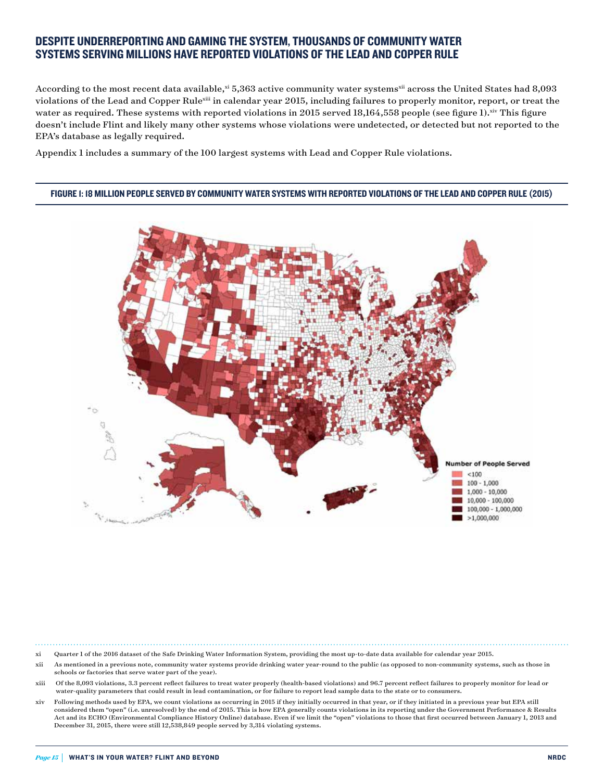#### DESPITE UNDERREPORTING AND GAMING THE SYSTEM, THOUSANDS OF COMMUNITY WATER SYSTEMS SERVING MILLIONS HAVE REPORTED VIOLATIONS OF THE LEAD AND COPPER RULE

According to the most recent data available,<sup>xi</sup> 5,363 active community water systems<sup>xii</sup> across the United States had 8,093 violations of the Lead and Copper Rulexiii in calendar year 2015, including failures to properly monitor, report, or treat the water as required. These systems with reported violations in 2015 served 18,164,558 people (see figure 1).xiv This figure doesn't include Flint and likely many other systems whose violations were undetected, or detected but not reported to the EPA's database as legally required.

Appendix 1 includes a summary of the 100 largest systems with Lead and Copper Rule violations.

#### FIGURE 1: 18 MILLION PEOPLE SERVED BY COMMUNITY WATER SYSTEMS WITH REPORTED VIOLATIONS OF THE LEAD AND COPPER RULE (2015)



xi Quarter 1 of the 2016 dataset of the Safe Drinking Water Information System, providing the most up-to-date data available for calendar year 2015.

- xii As mentioned in a previous note, community water systems provide drinking water year-round to the public (as opposed to non-community systems, such as those in schools or factories that serve water part of the year).
- xiii Of the 8,093 violations, 3.3 percent reflect failures to treat water properly (health-based violations) and 96.7 percent reflect failures to properly monitor for lead or water-quality parameters that could result in lead contamination, or for failure to report lead sample data to the state or to consumers.
- xiv Following methods used by EPA, we count violations as occurring in 2015 if they initially occurred in that year, or if they initiated in a previous year but EPA still considered them "open" (i.e. unresolved) by the end of 2015. This is how EPA generally counts violations in its reporting under the Government Performance & Results Act and its ECHO (Environmental Compliance History Online) database. Even if we limit the "open" violations to those that first occurred between January 1, 2013 and December 31, 2015, there were still 12,538,849 people served by 3,314 violating systems.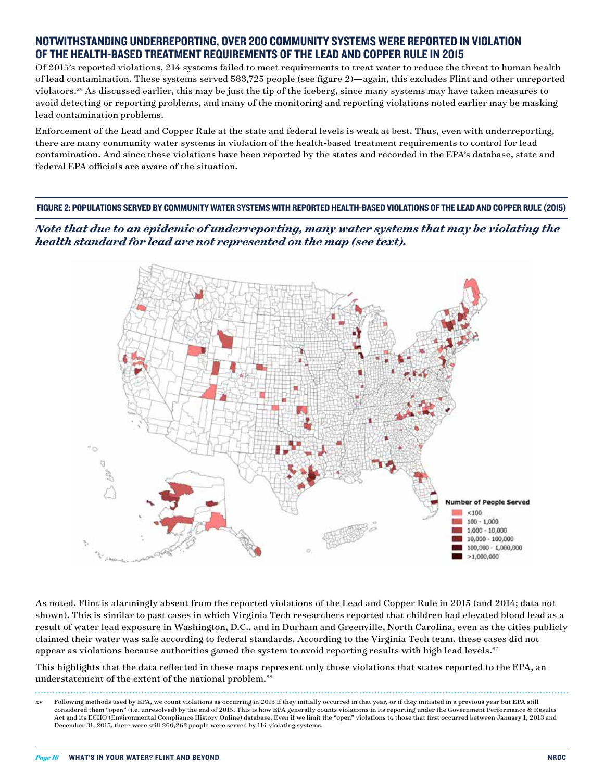#### NOTWITHSTANDING UNDERREPORTING, OVER 200 COMMUNITY SYSTEMS WERE REPORTED IN VIOLATION OF THE HEALTH-BASED TREATMENT REQUIREMENTS OF THE LEAD AND COPPER RULE IN 2015

Of 2015's reported violations, 214 systems failed to meet requirements to treat water to reduce the threat to human health of lead contamination. These systems served 583,725 people (see figure 2)—again, this excludes Flint and other unreported violators.<sup>xv</sup> As discussed earlier, this may be just the tip of the iceberg, since many systems may have taken measures to avoid detecting or reporting problems, and many of the monitoring and reporting violations noted earlier may be masking lead contamination problems.

Enforcement of the Lead and Copper Rule at the state and federal levels is weak at best. Thus, even with underreporting, there are many community water systems in violation of the health-based treatment requirements to control for lead contamination. And since these violations have been reported by the states and recorded in the EPA's database, state and federal EPA officials are aware of the situation.

FIGURE 2: POPULATIONS SERVED BY COMMUNITY WATER SYSTEMS WITH REPORTED HEALTH-BASED VIOLATIONS OF THE LEAD AND COPPER RULE (2015)

*Note that due to an epidemic of underreporting, many water systems that may be violating the health standard for lead are not represented on the map (see text).*



As noted, Flint is alarmingly absent from the reported violations of the Lead and Copper Rule in 2015 (and 2014; data not shown). This is similar to past cases in which Virginia Tech researchers reported that children had elevated blood lead as a result of water lead exposure in Washington, D.C., and in Durham and Greenville, North Carolina, even as the cities publicly claimed their water was safe according to federal standards. According to the Virginia Tech team, these cases did not appear as violations because authorities gamed the system to avoid reporting results with high lead levels.<sup>87</sup>

This highlights that the data reflected in these maps represent only those violations that states reported to the EPA, an understatement of the extent of the national problem.<sup>88</sup>

Following methods used by EPA, we count violations as occurring in 2015 if they initially occurred in that year, or if they initiated in a previous year but EPA still considered them "open" (i.e. unresolved) by the end of 2015. This is how EPA generally counts violations in its reporting under the Government Performance & Results Act and its ECHO (Environmental Compliance History Online) database. Even if we limit the "open" violations to those that first occurred between January 1, 2013 and December 31, 2015, there were still 260,262 people were served by 114 violating systems.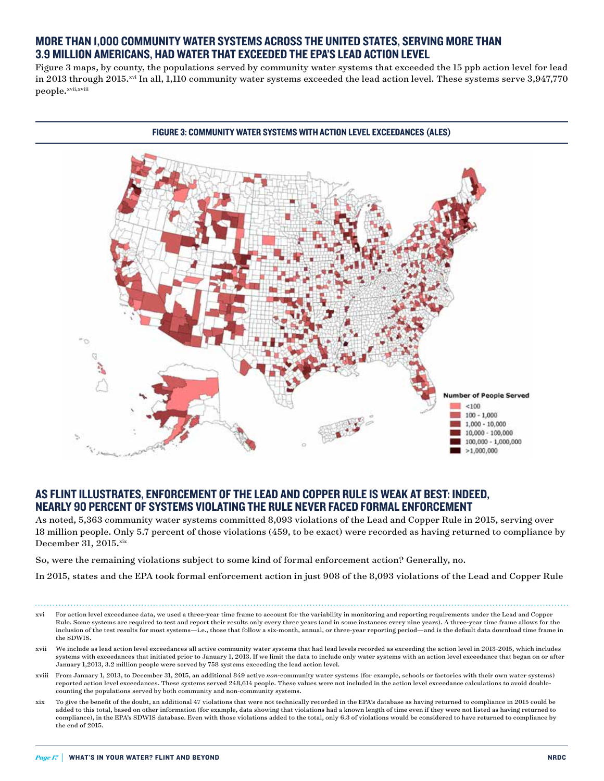#### MORE THAN 1,000 COMMUNITY WATER SYSTEMS ACROSS THE UNITED STATES, SERVING MORE THAN 3.9 MILLION AMERICANS, HAD WATER THAT EXCEEDED THE EPA'S LEAD ACTION LEVEL

Figure 3 maps, by county, the populations served by community water systems that exceeded the 15 ppb action level for lead in 2013 through 2015.xvi In all, 1,110 community water systems exceeded the lead action level. These systems serve 3,947,770 people.xvii,xviii



#### AS FLINT ILLUSTRATES, ENFORCEMENT OF THE LEAD AND COPPER RULE IS WEAK AT BEST: INDEED, NEARLY 90 PERCENT OF SYSTEMS VIOLATING THE RULE NEVER FACED FORMAL ENFORCEMENT

As noted, 5,363 community water systems committed 8,093 violations of the Lead and Copper Rule in 2015, serving over 18 million people. Only 5.7 percent of those violations (459, to be exact) were recorded as having returned to compliance by December 31, 2015.xix

So, were the remaining violations subject to some kind of formal enforcement action? Generally, no.

In 2015, states and the EPA took formal enforcement action in just 908 of the 8,093 violations of the Lead and Copper Rule

- xvi For action level exceedance data, we used a three-year time frame to account for the variability in monitoring and reporting requirements under the Lead and Copper Rule. Some systems are required to test and report their results only every three years (and in some instances every nine years). A three-year time frame allows for the inclusion of the test results for most systems—i.e., those that follow a six-month, annual, or three-year reporting period—and is the default data download time frame in the SDWIS.
- xvii We include as lead action level exceedances all active community water systems that had lead levels recorded as exceeding the action level in 2013-2015, which includes systems with exceedances that initiated prior to January 1, 2013. If we limit the data to include only water systems with an action level exceedance that began on or after January 1,2013, 3.2 million people were served by 758 systems exceeding the lead action level.
- xviii From January 1, 2013, to December 31, 2015, an additional 849 active *non*-community water systems (for example, schools or factories with their own water systems) reported action level exceedances. These systems served 248,614 people. These values were not included in the action level exceedance calculations to avoid doublecounting the populations served by both community and non-community systems.
- xix To give the benefit of the doubt, an additional 47 violations that were not technically recorded in the EPA's database as having returned to compliance in 2015 could be added to this total, based on other information (for example, data showing that violations had a known length of time even if they were not listed as having returned to compliance), in the EPA's SDWIS database. Even with those violations added to the total, only 6.3 of violations would be considered to have returned to compliance by the end of 2015.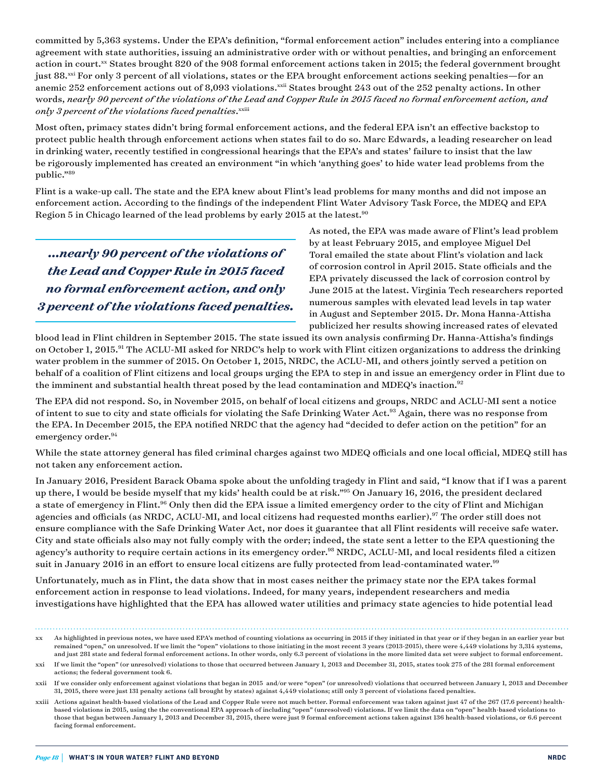committed by 5,363 systems. Under the EPA's definition, "formal enforcement action" includes entering into a compliance agreement with state authorities, issuing an administrative order with or without penalties, and bringing an enforcement action in court.xx States brought 820 of the 908 formal enforcement actions taken in 2015; the federal government brought just 88.<sup>xxi</sup> For only 3 percent of all violations, states or the EPA brought enforcement actions seeking penalties—for an anemic 252 enforcement actions out of 8,093 violations.xxii States brought 243 out of the 252 penalty actions. In other words, *nearly 90 percent of the violations of the Lead and Copper Rule in 2015 faced no formal enforcement action, and only 3 percent of the violations faced penalties*. xxiii

Most often, primacy states didn't bring formal enforcement actions, and the federal EPA isn't an effective backstop to protect public health through enforcement actions when states fail to do so. Marc Edwards, a leading researcher on lead in drinking water, recently testified in congressional hearings that the EPA's and states' failure to insist that the law be rigorously implemented has created an environment "in which 'anything goes' to hide water lead problems from the public."89

Flint is a wake-up call. The state and the EPA knew about Flint's lead problems for many months and did not impose an enforcement action. According to the findings of the independent Flint Water Advisory Task Force, the MDEQ and EPA Region 5 in Chicago learned of the lead problems by early 2015 at the latest.  $\rm ^{90}$ 

*...nearly 90 percent of the violations of the Lead and Copper Rule in 2015 faced no formal enforcement action, and only 3 percent of the violations faced penalties.* As noted, the EPA was made aware of Flint's lead problem by at least February 2015, and employee Miguel Del Toral emailed the state about Flint's violation and lack of corrosion control in April 2015. State officials and the EPA privately discussed the lack of corrosion control by June 2015 at the latest. Virginia Tech researchers reported numerous samples with elevated lead levels in tap water in August and September 2015. Dr. Mona Hanna-Attisha publicized her results showing increased rates of elevated

blood lead in Flint children in September 2015. The state issued its own analysis confirming Dr. Hanna-Attisha's findings on October 1, 2015.<sup>91</sup> The ACLU-MI asked for NRDC's help to work with Flint citizen organizations to address the drinking water problem in the summer of 2015. On October 1, 2015, NRDC, the ACLU-MI, and others jointly served a petition on behalf of a coalition of Flint citizens and local groups urging the EPA to step in and issue an emergency order in Flint due to the imminent and substantial health threat posed by the lead contamination and MDEQ's inaction.<sup>92</sup>

The EPA did not respond. So, in November 2015, on behalf of local citizens and groups, NRDC and ACLU-MI sent a notice of intent to sue to city and state officials for violating the Safe Drinking Water Act.93 Again, there was no response from the EPA. In December 2015, the EPA notified NRDC that the agency had "decided to defer action on the petition" for an emergency order.<sup>94</sup>

While the state attorney general has filed criminal charges against two MDEQ officials and one local official, MDEQ still has not taken any enforcement action.

In January 2016, President Barack Obama spoke about the unfolding tragedy in Flint and said, "I know that if I was a parent up there, I would be beside myself that my kids' health could be at risk."95 On January 16, 2016, the president declared a state of emergency in Flint.<sup>96</sup> Only then did the EPA issue a limited emergency order to the city of Flint and Michigan agencies and officials (as NRDC, ACLU-MI, and local citizens had requested months earlier).<sup>97</sup> The order still does not ensure compliance with the Safe Drinking Water Act, nor does it guarantee that all Flint residents will receive safe water. City and state officials also may not fully comply with the order; indeed, the state sent a letter to the EPA questioning the agency's authority to require certain actions in its emergency order.<sup>98</sup> NRDC, ACLU-MI, and local residents filed a citizen suit in January 2016 in an effort to ensure local citizens are fully protected from lead-contaminated water.<sup>99</sup>

Unfortunately, much as in Flint, the data show that in most cases neither the primacy state nor the EPA takes formal enforcement action in response to lead violations. Indeed, for many years, independent researchers and media investigations have highlighted that the EPA has allowed water utilities and primacy state agencies to hide potential lead

xx As highlighted in previous notes, we have used EPA's method of counting violations as occurring in 2015 if they initiated in that year or if they began in an earlier year but remained "open," on unresolved. If we limit the "open" violations to those initiating in the most recent 3 years (2013-2015), there were 4,449 violations by 3,314 systems, and just 281 state and federal formal enforcement actions. In other words, only 6.3 percent of violations in the more limited data set were subject to formal enforcement.

xxi If we limit the "open" (or unresolved) violations to those that occurred between January 1, 2013 and December 31, 2015, states took 275 of the 281 formal enforcement actions; the federal government took 6.

xxii If we consider only enforcement against violations that began in 2015 and/or were "open" (or unresolved) violations that occurred between January 1, 2013 and December 31, 2015, there were just 131 penalty actions (all brought by states) against 4,449 violations; still only 3 percent of violations faced penalties.

xxiii Actions against health-based violations of the Lead and Copper Rule were not much better. Formal enforcement was taken against just 47 of the 267 (17.6 percent) healthbased violations in 2015, using the the conventional EPA approach of including "open" (unresolved) violations. If we limit the data on "open" health-based violations to those that began between January 1, 2013 and December 31, 2015, there were just 9 formal enforcement actions taken against 136 health-based violations, or 6.6 percent facing formal enforcement.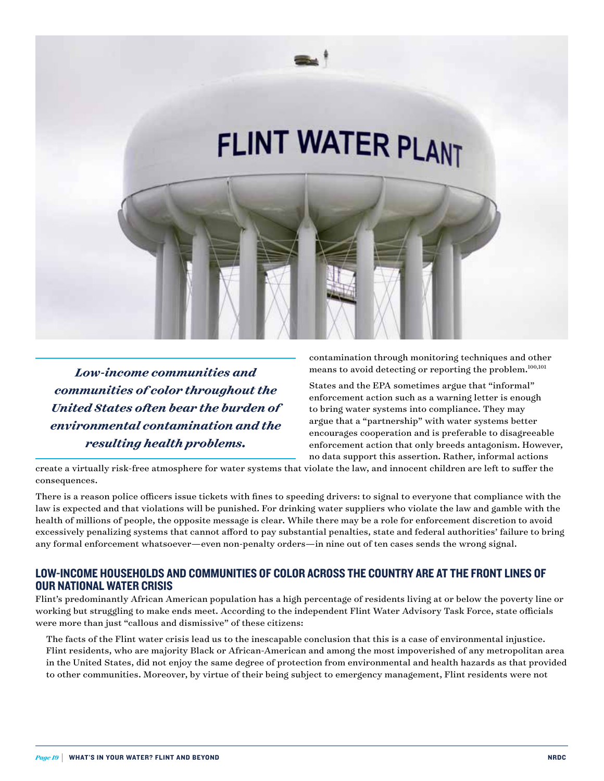

*Low-income communities and communities of color throughout the United States often bear the burden of environmental contamination and the resulting health problems.*

contamination through monitoring techniques and other means to avoid detecting or reporting the problem.100,101

States and the EPA sometimes argue that "informal" enforcement action such as a warning letter is enough to bring water systems into compliance. They may argue that a "partnership" with water systems better encourages cooperation and is preferable to disagreeable enforcement action that only breeds antagonism. However, no data support this assertion. Rather, informal actions

create a virtually risk-free atmosphere for water systems that violate the law, and innocent children are left to suffer the consequences.

There is a reason police officers issue tickets with fines to speeding drivers: to signal to everyone that compliance with the law is expected and that violations will be punished. For drinking water suppliers who violate the law and gamble with the health of millions of people, the opposite message is clear. While there may be a role for enforcement discretion to avoid excessively penalizing systems that cannot afford to pay substantial penalties, state and federal authorities' failure to bring any formal enforcement whatsoever—even non-penalty orders—in nine out of ten cases sends the wrong signal.

### LOW-INCOME HOUSEHOLDS AND COMMUNITIES OF COLOR ACROSS THE COUNTRY ARE AT THE FRONT LINES OF OUR NATIONAL WATER CRISIS

Flint's predominantly African American population has a high percentage of residents living at or below the poverty line or working but struggling to make ends meet. According to the independent Flint Water Advisory Task Force, state officials were more than just "callous and dismissive" of these citizens:

 The facts of the Flint water crisis lead us to the inescapable conclusion that this is a case of environmental injustice. Flint residents, who are majority Black or African-American and among the most impoverished of any metropolitan area in the United States, did not enjoy the same degree of protection from environmental and health hazards as that provided to other communities. Moreover, by virtue of their being subject to emergency management, Flint residents were not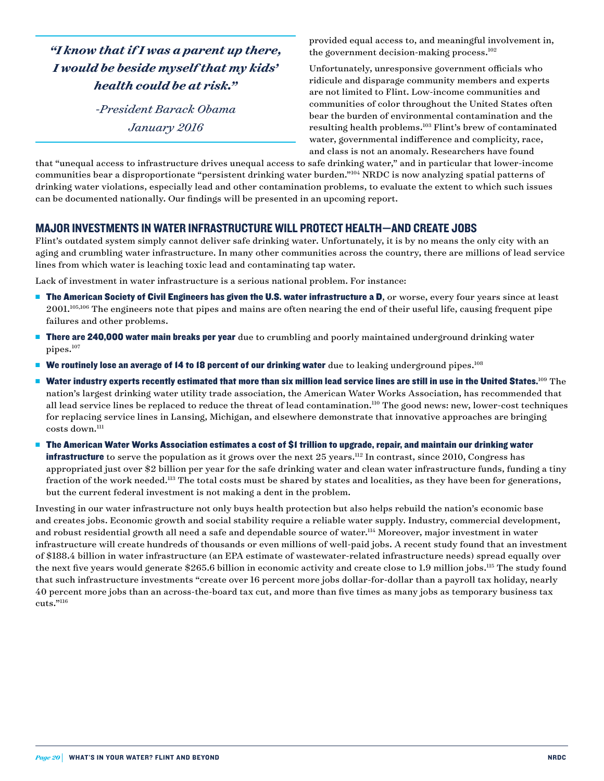*"I know that if I was a parent up there, I would be beside myself that my kids' health could be at risk."*

> *-President Barack Obama January 2016*

provided equal access to, and meaningful involvement in, the government decision-making process. $102$ 

Unfortunately, unresponsive government officials who ridicule and disparage community members and experts are not limited to Flint. Low-income communities and communities of color throughout the United States often bear the burden of environmental contamination and the resulting health problems.103 Flint's brew of contaminated water, governmental indifference and complicity, race, and class is not an anomaly. Researchers have found

that "unequal access to infrastructure drives unequal access to safe drinking water," and in particular that lower-income communities bear a disproportionate "persistent drinking water burden."104 NRDC is now analyzing spatial patterns of drinking water violations, especially lead and other contamination problems, to evaluate the extent to which such issues can be documented nationally. Our findings will be presented in an upcoming report.

#### MAJOR INVESTMENTS IN WATER INFRASTRUCTURE WILL PROTECT HEALTH—AND CREATE JOBS

Flint's outdated system simply cannot deliver safe drinking water. Unfortunately, it is by no means the only city with an aging and crumbling water infrastructure. In many other communities across the country, there are millions of lead service lines from which water is leaching toxic lead and contaminating tap water.

Lack of investment in water infrastructure is a serious national problem. For instance:

- $\blacksquare$  The American Society of Civil Engineers has given the U.S. water infrastructure a D, or worse, every four years since at least 2001.105,106 The engineers note that pipes and mains are often nearing the end of their useful life, causing frequent pipe failures and other problems.
- **There are 240,000 water main breaks per year** due to crumbling and poorly maintained underground drinking water pipes.<sup>107</sup>
- **Ne routinely lose an average of 14 to 18 percent of our drinking water** due to leaking underground pipes.<sup>108</sup>
- **Nater industry experts recently estimated that more than six million lead service lines are still in use in the United States.**<sup>109</sup> The nation's largest drinking water utility trade association, the American Water Works Association, has recommended that all lead service lines be replaced to reduce the threat of lead contamination.<sup>110</sup> The good news: new, lower-cost techniques for replacing service lines in Lansing, Michigan, and elsewhere demonstrate that innovative approaches are bringing costs down.<sup>111</sup>
- **n** The American Water Works Association estimates a cost of \$1 trillion to upgrade, repair, and maintain our drinking water **infrastructure** to serve the population as it grows over the next 25 years.<sup>112</sup> In contrast, since 2010, Congress has appropriated just over \$2 billion per year for the safe drinking water and clean water infrastructure funds, funding a tiny fraction of the work needed.<sup>113</sup> The total costs must be shared by states and localities, as they have been for generations, but the current federal investment is not making a dent in the problem.

Investing in our water infrastructure not only buys health protection but also helps rebuild the nation's economic base and creates jobs. Economic growth and social stability require a reliable water supply. Industry, commercial development, and robust residential growth all need a safe and dependable source of water.<sup>114</sup> Moreover, major investment in water infrastructure will create hundreds of thousands or even millions of well-paid jobs. A recent study found that an investment of \$188.4 billion in water infrastructure (an EPA estimate of wastewater-related infrastructure needs) spread equally over the next five years would generate \$265.6 billion in economic activity and create close to 1.9 million jobs.<sup>115</sup> The study found that such infrastructure investments "create over 16 percent more jobs dollar-for-dollar than a payroll tax holiday, nearly 40 percent more jobs than an across-the-board tax cut, and more than five times as many jobs as temporary business tax cuts."116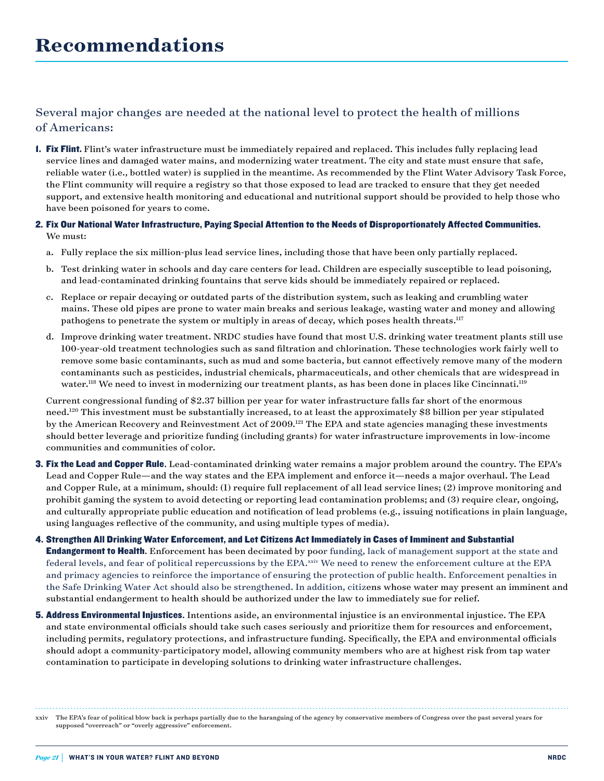## Several major changes are needed at the national level to protect the health of millions of Americans:

- **1. Fix Flint.** Flint's water infrastructure must be immediately repaired and replaced. This includes fully replacing lead service lines and damaged water mains, and modernizing water treatment. The city and state must ensure that safe, reliable water (i.e., bottled water) is supplied in the meantime. As recommended by the Flint Water Advisory Task Force, the Flint community will require a registry so that those exposed to lead are tracked to ensure that they get needed support, and extensive health monitoring and educational and nutritional support should be provided to help those who have been poisoned for years to come.
- 2. Fix Our National Water Infrastructure, Paying Special Attention to the Needs of Disproportionately Affected Communities. We must:
	- a. Fully replace the six million-plus lead service lines, including those that have been only partially replaced.
	- b. Test drinking water in schools and day care centers for lead. Children are especially susceptible to lead poisoning, and lead-contaminated drinking fountains that serve kids should be immediately repaired or replaced.
	- c. Replace or repair decaying or outdated parts of the distribution system, such as leaking and crumbling water mains. These old pipes are prone to water main breaks and serious leakage, wasting water and money and allowing pathogens to penetrate the system or multiply in areas of decay, which poses health threats.<sup>117</sup>
	- d. Improve drinking water treatment. NRDC studies have found that most U.S. drinking water treatment plants still use 100-year-old treatment technologies such as sand filtration and chlorination. These technologies work fairly well to remove some basic contaminants, such as mud and some bacteria, but cannot effectively remove many of the modern contaminants such as pesticides, industrial chemicals, pharmaceuticals, and other chemicals that are widespread in water.<sup>118</sup> We need to invest in modernizing our treatment plants, as has been done in places like Cincinnati.<sup>119</sup>

 Current congressional funding of \$2.37 billion per year for water infrastructure falls far short of the enormous need.<sup>120</sup> This investment must be substantially increased, to at least the approximately \$8 billion per year stipulated by the American Recovery and Reinvestment Act of 2009.<sup>121</sup> The EPA and state agencies managing these investments should better leverage and prioritize funding (including grants) for water infrastructure improvements in low-income communities and communities of color.

- **3. Fix the Lead and Copper Rule.** Lead-contaminated drinking water remains a major problem around the country. The EPA's Lead and Copper Rule—and the way states and the EPA implement and enforce it—needs a major overhaul. The Lead and Copper Rule, at a minimum, should: (1) require full replacement of all lead service lines; (2) improve monitoring and prohibit gaming the system to avoid detecting or reporting lead contamination problems; and (3) require clear, ongoing, and culturally appropriate public education and notification of lead problems (e.g., issuing notifications in plain language, using languages reflective of the community, and using multiple types of media).
- 4. Strengthen All Drinking Water Enforcement, and Let Citizens Act Immediately in Cases of Imminent and Substantial **Endangerment to Health.** Enforcement has been decimated by poor funding, lack of management support at the state and federal levels, and fear of political repercussions by the EPA.xxiv We need to renew the enforcement culture at the EPA and primacy agencies to reinforce the importance of ensuring the protection of public health. Enforcement penalties in the Safe Drinking Water Act should also be strengthened. In addition, citizens whose water may present an imminent and substantial endangerment to health should be authorized under the law to immediately sue for relief.
- **5. Address Environmental Injustices.** Intentions aside, an environmental injustice is an environmental injustice. The EPA and state environmental officials should take such cases seriously and prioritize them for resources and enforcement, including permits, regulatory protections, and infrastructure funding. Specifically, the EPA and environmental officials should adopt a community-participatory model, allowing community members who are at highest risk from tap water contamination to participate in developing solutions to drinking water infrastructure challenges.

xxiv The EPA's fear of political blow back is perhaps partially due to the haranguing of the agency by conservative members of Congress over the past several years for supposed "overreach" or "overly aggressive" enforcement.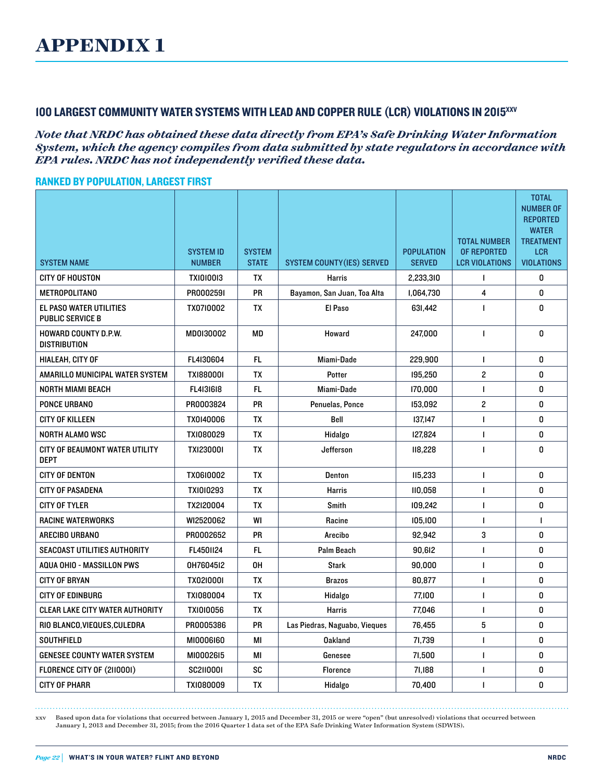## 100 LARGEST COMMUNITY WATER SYSTEMS WITH LEAD AND COPPER RULE (LCR) VIOLATIONS IN 2015xxv

#### *Note that NRDC has obtained these data directly from EPA's Safe Drinking Water Information System, which the agency compiles from data submitted by state regulators in accordance with EPA rules. NRDC has not independently verified these data.*

#### RANKED BY POPULATION, LARGEST FIRST

| <b>SYSTEM NAME</b>                                        | <b>SYSTEM ID</b><br><b>NUMBER</b> | <b>SYSTEM</b><br><b>STATE</b> | <b>SYSTEM COUNTY (IES) SERVED</b> | <b>POPULATION</b><br><b>SERVED</b> | <b>TOTAL NUMBER</b><br>OF REPORTED<br><b>LCR VIOLATIONS</b> | <b>TOTAL</b><br><b>NUMBER OF</b><br><b>REPORTED</b><br><b>WATER</b><br><b>TREATMENT</b><br><b>LCR</b><br><b>VIOLATIONS</b> |
|-----------------------------------------------------------|-----------------------------------|-------------------------------|-----------------------------------|------------------------------------|-------------------------------------------------------------|----------------------------------------------------------------------------------------------------------------------------|
| <b>CITY OF HOUSTON</b>                                    | <b>TXI0I00I3</b>                  | TX                            | Harris                            | 2,233,310                          | $\mathbf{I}$                                                | 0                                                                                                                          |
| <b>METROPOLITANO</b>                                      | PR000259I                         | <b>PR</b>                     | Bayamon, San Juan, Toa Alta       | 1,064,730                          | 4                                                           | 0                                                                                                                          |
| <b>EL PASO WATER UTILITIES</b><br><b>PUBLIC SERVICE B</b> | TX0710002                         | <b>TX</b>                     | El Paso                           | 631,442                            | $\mathbf{I}$                                                | 0                                                                                                                          |
| <b>HOWARD COUNTY D.P.W.</b><br><b>DISTRIBUTION</b>        | MD0I30002                         | MD                            | Howard                            | 247.000                            | $\mathbf{I}$                                                | 0                                                                                                                          |
| <b>HIALEAH. CITY OF</b>                                   | FL4I30604                         | <b>FL</b>                     | Miami-Dade                        | 229.900                            | $\mathbf{I}$                                                | 0                                                                                                                          |
| AMARILLO MUNICIPAL WATER SYSTEM                           | TX1880001                         | <b>TX</b>                     | Potter                            | 195,250                            | $\overline{c}$                                              | 0                                                                                                                          |
| <b>NORTH MIAMI BEACH</b>                                  | FL4131618                         | FL.                           | Miami-Dade                        | 170,000                            | $\mathbf{I}$                                                | 0                                                                                                                          |
| <b>PONCE URBANO</b>                                       | PR0003824                         | <b>PR</b>                     | Penuelas, Ponce                   | 153.092                            | $\overline{c}$                                              | 0                                                                                                                          |
| <b>CITY OF KILLEEN</b>                                    | TX0140006                         | <b>TX</b>                     | Bell                              | 137.147                            | $\mathbf{I}$                                                | 0                                                                                                                          |
| NORTH ALAMO WSC                                           | TXI080029                         | TX                            | Hidalgo                           | 127,824                            | $\mathbf{I}$                                                | 0                                                                                                                          |
| CITY OF BEAUMONT WATER UTILITY<br><b>DEPT</b>             | <b>TXI23000I</b>                  | <b>TX</b>                     | Jefferson                         | 118,228                            | $\mathbf{I}$                                                | 0                                                                                                                          |
| <b>CITY OF DENTON</b>                                     | TX0610002                         | <b>TX</b>                     | Denton                            | 115,233                            | L                                                           | 0                                                                                                                          |
| <b>CITY OF PASADENA</b>                                   | TX1010293                         | TX                            | Harris                            | 110.058                            | $\mathbf{I}$                                                | 0                                                                                                                          |
| <b>CITY OF TYLER</b>                                      | TX2I20004                         | TX                            | Smith                             | 109.242                            | $\mathbf{I}$                                                | 0                                                                                                                          |
| <b>RACINE WATERWORKS</b>                                  | WI2520062                         | WI                            | Racine                            | 105,100                            | 1                                                           | -1                                                                                                                         |
| ARECIBO URBANO                                            | PR0002652                         | <b>PR</b>                     | Arecibo                           | 92.942                             | 3                                                           | 0                                                                                                                          |
| <b>SEACOAST UTILITIES AUTHORITY</b>                       | FL4501124                         | FL.                           | Palm Beach                        | 90,612                             | L                                                           | 0                                                                                                                          |
| AQUA OHIO - MASSILLON PWS                                 | 0H76045I2                         | 0H                            | Stark                             | 90,000                             | L                                                           | 0                                                                                                                          |
| <b>CITY OF BRYAN</b>                                      | <b>TX02I000I</b>                  | TX                            | <b>Brazos</b>                     | 80.877                             | $\mathbf{I}$                                                | 0                                                                                                                          |
| <b>CITY OF EDINBURG</b>                                   | TXI080004                         | TX                            | Hidalgo                           | 77,100                             | $\mathbf{I}$                                                | 0                                                                                                                          |
| <b>CLEAR LAKE CITY WATER AUTHORITY</b>                    | <b>TXI0I0056</b>                  | TX                            | <b>Harris</b>                     | 77,046                             | $\mathbf{I}$                                                | 0                                                                                                                          |
| RIO BLANCO.VIEQUES.CULEDRA                                | PR0005386                         | <b>PR</b>                     | Las Piedras, Naguabo, Vieques     | 76.455                             | 5                                                           | 0                                                                                                                          |
| <b>SOUTHFIELD</b>                                         | <b>MI0006160</b>                  | МI                            | <b>Oakland</b>                    | 71,739                             | $\mathbf{I}$                                                | 0                                                                                                                          |
| <b>GENESEE COUNTY WATER SYSTEM</b>                        | MI0002615                         | МI                            | Genesee                           | 71,500                             | L                                                           | 0                                                                                                                          |
| FLORENCE CITY OF (2110001)                                | <b>SC2110001</b>                  | SC                            | <b>Florence</b>                   | 71,188                             | L                                                           | 0                                                                                                                          |
| <b>CITY OF PHARR</b>                                      | TXI080009                         | TX                            | Hidalgo                           | 70,400                             | L                                                           | 0                                                                                                                          |

xxv Based upon data for violations that occurred between January 1, 2015 and December 31, 2015 or were "open" (but unresolved) violations that occurred between

January 1, 2013 and December 31, 2015; from the 2016 Quarter 1 data set of the EPA Safe Drinking Water Information System (SDWIS).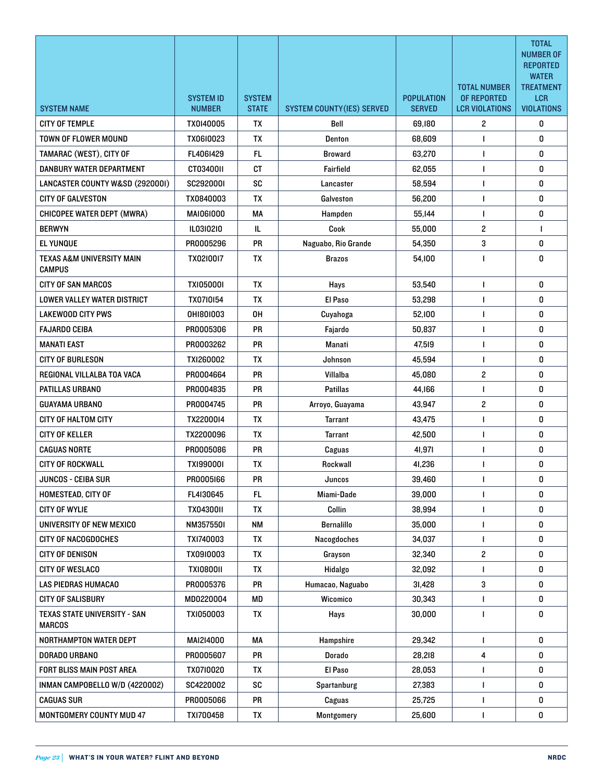|                                                       |                  |               |                                   |                   |                         | <b>TOTAL</b><br><b>NUMBER OF</b><br><b>REPORTED</b> |
|-------------------------------------------------------|------------------|---------------|-----------------------------------|-------------------|-------------------------|-----------------------------------------------------|
|                                                       |                  |               |                                   |                   | <b>TOTAL NUMBER</b>     | <b>WATER</b>                                        |
|                                                       | <b>SYSTEM ID</b> | <b>SYSTEM</b> |                                   | <b>POPULATION</b> | OF REPORTED             | <b>TREATMENT</b><br><b>LCR</b>                      |
| <b>SYSTEM NAME</b>                                    | <b>NUMBER</b>    | <b>STATE</b>  | <b>SYSTEM COUNTY (IES) SERVED</b> | <b>SERVED</b>     | <b>LCR VIOLATIONS</b>   | <b>VIOLATIONS</b>                                   |
| <b>CITY OF TEMPLE</b>                                 | TX0140005        | <b>TX</b>     | Bell                              | 69,180            | $\overline{2}$          | 0                                                   |
| <b>TOWN OF FLOWER MOUND</b>                           | TX06I0023        | <b>TX</b>     | Denton                            | 68,609            |                         | 0                                                   |
| TAMARAC (WEST), CITY OF                               | FL4061429        | <b>FL</b>     | <b>Broward</b>                    | 63,270            | 1                       | 0                                                   |
| DANBURY WATER DEPARTMENT                              | CT03400II        | <b>CT</b>     | Fairfield                         | 62,055            | $\mathbf{I}$            | 0                                                   |
| LANCASTER COUNTY W&SD (2920001)                       | SC2920001        | SC            | Lancaster                         | 58,594            | 1                       | 0                                                   |
| <b>CITY OF GALVESTON</b>                              | TX0840003        | TX            | Galveston                         | 56,200            | $\mathbf{I}$            | 0                                                   |
| <b>CHICOPEE WATER DEPT (MWRA)</b>                     | <b>MAI06I000</b> | MA            | Hampden                           | 55,144            | $\mathbf{I}$            | 0                                                   |
| <b>BERWYN</b>                                         | IL03I02I0        | IL.           | Cook                              | 55,000            | $\overline{c}$          | 1                                                   |
| <b>EL YUNQUE</b>                                      | PR0005296        | PR.           | Naguabo, Rio Grande               | 54,350            | 3                       | 0                                                   |
| <b>TEXAS A&amp;M UNIVERSITY MAIN</b><br><b>CAMPUS</b> | TX02I00I7        | <b>TX</b>     | <b>Brazos</b>                     | 54,100            | 1                       | 0                                                   |
| <b>CITY OF SAN MARCOS</b>                             | <b>TXI05000I</b> | <b>TX</b>     | Hays                              | 53,540            | $\mathbf{I}$            | 0                                                   |
| LOWER VALLEY WATER DISTRICT                           | TX0710154        | TX            | El Paso                           | 53,298            | $\mathbf{I}$            | 0                                                   |
| <b>LAKEWOOD CITY PWS</b>                              | 0H1801003        | 0H            | Cuyahoga                          | 52,100            | 1                       | 0                                                   |
| <b>FAJARDO CEIBA</b>                                  | PR0005306        | <b>PR</b>     | Fajardo                           | 50,837            | 1                       | 0                                                   |
| <b>MANATI EAST</b>                                    | PR0003262        | <b>PR</b>     | <b>Manati</b>                     | 47,519            | 1                       | 0                                                   |
| <b>CITY OF BURLESON</b>                               | TXI260002        | <b>TX</b>     | Johnson                           | 45,594            | 1                       | 0                                                   |
| REGIONAL VILLALBA TOA VACA                            | PR0004664        | <b>PR</b>     | Villalba                          | 45,080            | $\mathbf{2}$            | 0                                                   |
| PATILLAS URBANO                                       | PR0004835        | <b>PR</b>     | <b>Patillas</b>                   | 44,166            | 1                       | 0                                                   |
| <b>GUAYAMA URBANO</b>                                 | PR0004745        | PR            | Arroyo, Guayama                   | 43,947            | $\overline{\mathbf{c}}$ | 0                                                   |
| CITY OF HALTOM CITY                                   | TX2200014        | <b>TX</b>     | <b>Tarrant</b>                    | 43.475            | 1                       | 0                                                   |
| <b>CITY OF KELLER</b>                                 | TX2200096        | <b>TX</b>     | <b>Tarrant</b>                    | 42,500            | 1                       | 0                                                   |
| <b>CAGUAS NORTE</b>                                   | PR0005086        | <b>PR</b>     | Caguas                            | 41,971            |                         | 0                                                   |
| <b>CITY OF ROCKWALL</b>                               | <b>TXI99000I</b> | TX            | Rockwall                          | 41,236            | L                       | 0                                                   |
| JUNCOS - CEIBA SUR                                    | PR0005166        | PR            | Juncos                            | 39,460            | L                       | U                                                   |
| <b>HOMESTEAD, CITY OF</b>                             | FL4I30645        | FL.           | Miami-Dade                        | 39,000            | L                       | 0                                                   |
| <b>CITY OF WYLIE</b>                                  | TX0430011        | TX            | Collin                            | 38.994            | L                       | 0                                                   |
| UNIVERSITY OF NEW MEXICO                              | NM3575501        | <b>NM</b>     | <b>Bernalillo</b>                 | 35,000            | L                       | 0                                                   |
| <b>CITY OF NACOGDOCHES</b>                            | TX1740003        | TX            | Nacogdoches                       | 34,037            | L                       | 0                                                   |
| <b>CITY OF DENISON</b>                                | TX0910003        | TX            | Grayson                           | 32,340            | $\overline{\mathbf{c}}$ | 0                                                   |
| <b>CITY OF WESLACO</b>                                | <b>TXI0800II</b> | TX            | Hidalgo                           | 32,092            | Н                       | 0                                                   |
| <b>LAS PIEDRAS HUMACAO</b>                            | PR0005376        | PR            | Humacao, Naguabo                  | 31,428            | 3                       | 0                                                   |
| <b>CITY OF SALISBURY</b>                              | MD0220004        | MD            | Wicomico                          | 30,343            | L                       | 0                                                   |
| TEXAS STATE UNIVERSITY - SAN<br><b>MARCOS</b>         | TX1050003        | TX            | Hays                              | 30,000            | L                       | 0                                                   |
| NORTHAMPTON WATER DEPT                                | MAI214000        | МA            | Hampshire                         | 29,342            | $\mathbf{I}$            | 0                                                   |
| DORADO URBANO                                         | PR0005607        | PR            | <b>Dorado</b>                     | 28,218            | 4                       | 0                                                   |
| FORT BLISS MAIN POST AREA                             | TX0710020        | TX            | El Paso                           | 28,053            | L                       | 0                                                   |
| INMAN CAMPOBELLO W/D (4220002)                        | SC4220002        | SC            | Spartanburg                       | 27,383            | L                       | 0                                                   |
| <b>CAGUAS SUR</b>                                     | PR0005066        | PR            | Caguas                            | 25,725            |                         | 0                                                   |
| MONTGOMERY COUNTY MUD 47                              | TXI700458        | TX            | Montgomery                        | 25,600            | L                       | 0                                                   |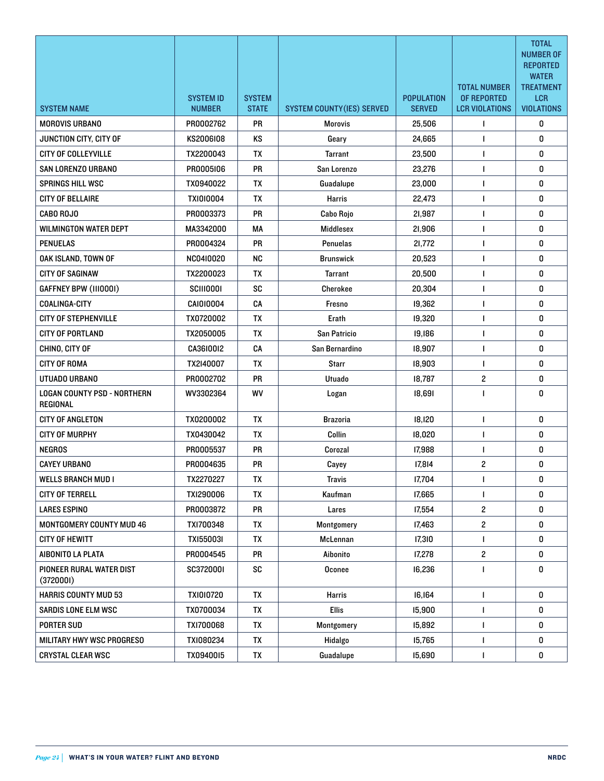|                                                | <b>SYSTEM ID</b> | <b>SYSTEM</b> |                                   | <b>POPULATION</b> | <b>TOTAL NUMBER</b><br>OF REPORTED | <b>TOTAL</b><br><b>NUMBER OF</b><br><b>REPORTED</b><br><b>WATER</b><br><b>TREATMENT</b><br><b>LCR</b> |
|------------------------------------------------|------------------|---------------|-----------------------------------|-------------------|------------------------------------|-------------------------------------------------------------------------------------------------------|
| <b>SYSTEM NAME</b>                             | <b>NUMBER</b>    | <b>STATE</b>  | <b>SYSTEM COUNTY (IES) SERVED</b> | <b>SERVED</b>     | <b>LCR VIOLATIONS</b>              | <b>VIOLATIONS</b>                                                                                     |
| <b>MOROVIS URBANO</b>                          | PR0002762        | PR            | <b>Morovis</b>                    | 25,506            | $\mathbf{I}$                       | 0                                                                                                     |
| JUNCTION CITY, CITY OF                         | KS2006I08        | <b>KS</b>     | Geary                             | 24,665            | 1                                  | 0                                                                                                     |
| <b>CITY OF COLLEYVILLE</b>                     | TX2200043        | <b>TX</b>     | Tarrant                           | 23,500            | $\mathbf{I}$                       | 0                                                                                                     |
| SAN LORENZO URBANO                             | PR0005106        | <b>PR</b>     | San Lorenzo                       | 23,276            | $\mathbf{I}$                       | 0                                                                                                     |
| <b>SPRINGS HILL WSC</b>                        | TX0940022        | <b>TX</b>     | Guadalupe                         | 23,000            | 1                                  | 0                                                                                                     |
| <b>CITY OF BELLAIRE</b>                        | <b>TXI0I0004</b> | <b>TX</b>     | <b>Harris</b>                     | 22,473            | $\mathbf{I}$                       | 0                                                                                                     |
| <b>CABO ROJO</b>                               | PR0003373        | <b>PR</b>     | Cabo Rojo                         | 21,987            | 1                                  | 0                                                                                                     |
| <b>WILMINGTON WATER DEPT</b>                   | MA3342000        | MA            | Middlesex                         | 21,906            | $\mathbf{I}$                       | 0                                                                                                     |
| <b>PENUELAS</b>                                | PR0004324        | PR            | <b>Penuelas</b>                   | 21,772            | $\mathbf{I}$                       | 0                                                                                                     |
| OAK ISLAND, TOWN OF                            | NC0410020        | <b>NC</b>     | <b>Brunswick</b>                  | 20,523            | $\mathbf{I}$                       | 0                                                                                                     |
| <b>CITY OF SAGINAW</b>                         | TX2200023        | TX            | <b>Tarrant</b>                    | 20,500            | $\mathbf{I}$                       | 0                                                                                                     |
| GAFFNEY BPW (III000I)                          | <b>SCIII000I</b> | <b>SC</b>     | Cherokee                          | 20,304            | $\mathbf{I}$                       | 0                                                                                                     |
| <b>COALINGA-CITY</b>                           | CAI010004        | CA            | Fresno                            | 19,362            | 1                                  | 0                                                                                                     |
| <b>CITY OF STEPHENVILLE</b>                    | TX0720002        | TX            | Erath                             | 19,320            | $\mathbf{I}$                       | 0                                                                                                     |
| <b>CITY OF PORTLAND</b>                        | TX2050005        | TX            | San Patricio                      | 19,186            | $\mathbf{I}$                       | 0                                                                                                     |
| CHINO, CITY OF                                 | CA3610012        | CA            | San Bernardino                    | 18,907            | $\mathbf{I}$                       | 0                                                                                                     |
| <b>CITY OF ROMA</b>                            | TX2I40007        | TX            | <b>Starr</b>                      | 18,903            | $\mathbf{I}$                       | 0                                                                                                     |
| UTUADO URBANO                                  | PR0002702        | <b>PR</b>     | <b>Utuado</b>                     | 18,787            | $\overline{\mathbf{c}}$            | 0                                                                                                     |
| <b>LOGAN COUNTY PSD - NORTHERN</b><br>REGIONAL | WV3302364        | <b>WV</b>     | Logan                             | 18,691            |                                    | 0                                                                                                     |
| <b>CITY OF ANGLETON</b>                        | TX0200002        | <b>TX</b>     | <b>Brazoria</b>                   | 18,120            | $\mathbf{I}$                       | 0                                                                                                     |
| <b>CITY OF MURPHY</b>                          | TX0430042        | TX            | Collin                            | 18,020            | $\mathbf{I}$                       | 0                                                                                                     |
| <b>NEGROS</b>                                  | PR0005537        | <b>PR</b>     | Corozal                           | 17,988            | $\mathbf{I}$                       | 0                                                                                                     |
| <b>CAYEY URBANO</b>                            | PR0004635        | <b>PR</b>     | Cayey                             | 17,814            | $\mathbf{2}$                       | 0                                                                                                     |
| <b>WELLS BRANCH MUD I</b>                      | TX2270227        | TX            | <b>Travis</b>                     | 17,704            | L                                  | 0                                                                                                     |
| <b>CITY OF TERRELL</b>                         | TXI290006        | TX            | Kaufman                           | 17,665            | L                                  | 0                                                                                                     |
| <b>LARES ESPINO</b>                            | PR0003872        | PR            | Lares                             | 17,554            | $\overline{c}$                     | 0                                                                                                     |
| MONTGOMERY COUNTY MUD 46                       | TXI700348        | TX            | Montgomery                        | 17,463            | $\overline{c}$                     | 0                                                                                                     |
| <b>CITY OF HEWITT</b>                          | TX1550031        | TX            | McLennan                          | 17,310            | L                                  | 0                                                                                                     |
| AIBONITO LA PLATA                              | PR0004545        | <b>PR</b>     | Aibonito                          | 17,278            | $\overline{c}$                     | 0                                                                                                     |
| PIONEER RURAL WATER DIST<br>(3720001)          | SC3720001        | SC            | Oconee                            | 16,236            | L                                  | 0                                                                                                     |
| <b>HARRIS COUNTY MUD 53</b>                    | <b>TXI0I0720</b> | TX            | <b>Harris</b>                     | 16,164            | L                                  | 0                                                                                                     |
| SARDIS LONE ELM WSC                            | TX0700034        | TX            | <b>Ellis</b>                      | 15,900            | L                                  | 0                                                                                                     |
| <b>PORTER SUD</b>                              | TXI700068        | TX            | Montgomery                        | 15,892            | L                                  | 0                                                                                                     |
| MILITARY HWY WSC PROGRESO                      | TX1080234        | TX            | Hidalgo                           | 15,765            | L                                  | 0                                                                                                     |
| <b>CRYSTAL CLEAR WSC</b>                       | TX0940015        | TX            | Guadalupe                         | 15,690            | L                                  | 0                                                                                                     |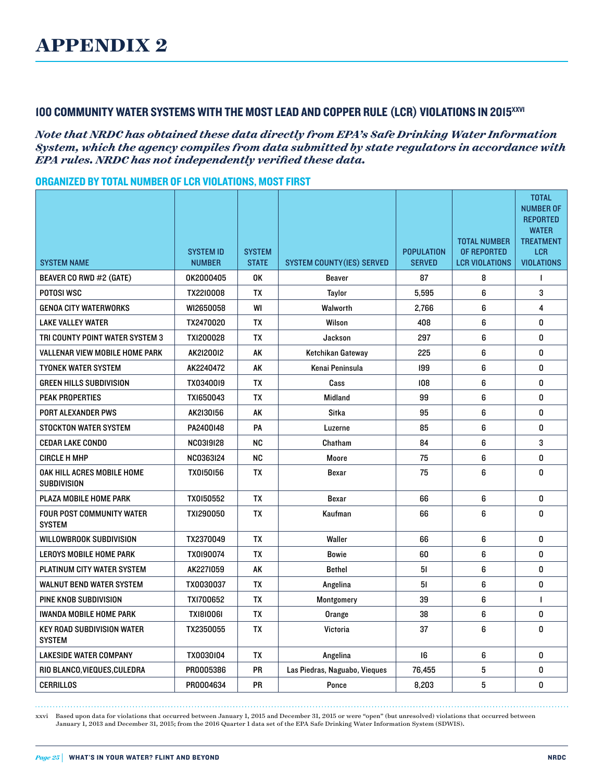## 100 COMMUNITY WATER SYSTEMS WITH THE MOST LEAD AND COPPER RULE (LCR) VIOLATIONS IN 2015<sup>xxvi</sup>

*Note that NRDC has obtained these data directly from EPA's Safe Drinking Water Information System, which the agency compiles from data submitted by state regulators in accordance with EPA rules. NRDC has not independently verified these data.*

#### ORGANIZED BY TOTAL NUMBER OF LCR VIOLATIONS, MOST FIRST

|                                                    |                  |               |                                   |                   |                                    | <b>TOTAL</b><br><b>NUMBER OF</b><br><b>REPORTED</b><br><b>WATER</b> |
|----------------------------------------------------|------------------|---------------|-----------------------------------|-------------------|------------------------------------|---------------------------------------------------------------------|
|                                                    | <b>SYSTEM ID</b> | <b>SYSTEM</b> |                                   | <b>POPULATION</b> | <b>TOTAL NUMBER</b><br>OF REPORTED | <b>TREATMENT</b><br><b>LCR</b>                                      |
| <b>SYSTEM NAME</b>                                 | <b>NUMBER</b>    | <b>STATE</b>  | <b>SYSTEM COUNTY (IES) SERVED</b> | <b>SERVED</b>     | <b>LCR VIOLATIONS</b>              | <b>VIOLATIONS</b>                                                   |
| BEAVER CO RWD #2 (GATE)                            | 0K2000405        | 0K            | Beaver                            | 87                | 8                                  | 1                                                                   |
| POTOSI WSC                                         | TX2210008        | TХ            | Taylor                            | 5,595             | 6                                  | 3                                                                   |
| <b>GENOA CITY WATERWORKS</b>                       | WI2650058        | WI            | Walworth                          | 2.766             | 6                                  | 4                                                                   |
| <b>LAKE VALLEY WATER</b>                           | TX2470020        | TX            | Wilson                            | 408               | 6                                  | 0                                                                   |
| TRI COUNTY POINT WATER SYSTEM 3                    | TXI200028        | TX            | Jackson                           | 297               | 6                                  | 0                                                                   |
| <b>VALLENAR VIEW MOBILE HOME PARK</b>              | AK2120012        | AK            | Ketchikan Gateway                 | 225               | 6                                  | 0                                                                   |
| <b>TYONEK WATER SYSTEM</b>                         | AK2240472        | AK            | Kenai Peninsula                   | 199               | 6                                  | 0                                                                   |
| <b>GREEN HILLS SUBDIVISION</b>                     | TX0340019        | TX            | Cass                              | 108               | 6                                  | 0                                                                   |
| <b>PEAK PROPERTIES</b>                             | TX1650043        | TX            | Midland                           | 99                | 6                                  | 0                                                                   |
| <b>PORT ALEXANDER PWS</b>                          | AK2130156        | AK            | Sitka                             | 95                | 6                                  | 0                                                                   |
| <b>STOCKTON WATER SYSTEM</b>                       | PA2400148        | PA            | Luzerne                           | 85                | 6                                  | 0                                                                   |
| <b>CEDAR LAKE CONDO</b>                            | <b>NC03I9I28</b> | <b>NC</b>     | Chatham                           | 84                | 6                                  | 3                                                                   |
| <b>CIRCLE H MHP</b>                                | NC0363I24        | <b>NC</b>     | Moore                             | 75                | 6                                  | 0                                                                   |
| OAK HILL ACRES MOBILE HOME<br><b>SUBDIVISION</b>   | <b>TX0150156</b> | TX            | Bexar                             | 75                | 6                                  | 0                                                                   |
| PLAZA MOBILE HOME PARK                             | TX0150552        | <b>TX</b>     | <b>Bexar</b>                      | 66                | 6                                  | 0                                                                   |
| <b>FOUR POST COMMUNITY WATER</b><br><b>SYSTEM</b>  | TXI290050        | TX            | Kaufman                           | 66                | 6                                  | 0                                                                   |
| <b>WILLOWBROOK SUBDIVISION</b>                     | TX2370049        | <b>TX</b>     | Waller                            | 66                | 6                                  | 0                                                                   |
| <b>LEROYS MOBILE HOME PARK</b>                     | TX0190074        | TX            | Bowie                             | 60                | 6                                  | 0                                                                   |
| PLATINUM CITY WATER SYSTEM                         | AK2271059        | AK            | <b>Bethel</b>                     | 51                | 6                                  | 0                                                                   |
| <b>WALNUT BEND WATER SYSTEM</b>                    | TX0030037        | <b>TX</b>     | Angelina                          | 51                | 6                                  | 0                                                                   |
| PINE KNOB SUBDIVISION                              | TX1700652        | <b>TX</b>     | Montgomery                        | 39                | 6                                  | $\mathbf{I}$                                                        |
| <b>IWANDA MOBILE HOME PARK</b>                     | TX1810061        | <b>TX</b>     | Orange                            | 38                | 6                                  | 0                                                                   |
| <b>KEY ROAD SUBDIVISION WATER</b><br><b>SYSTEM</b> | TX2350055        | TX            | Victoria                          | 37                | 6                                  | 0                                                                   |
| <b>LAKESIDE WATER COMPANY</b>                      | TX0030104        | TX            | Angelina                          | 16                | 6                                  | 0                                                                   |
| RIO BLANCO, VIEQUES, CULEDRA                       | PR0005386        | <b>PR</b>     | Las Piedras, Naguabo, Vieques     | 76,455            | 5                                  | 0                                                                   |
| <b>CERRILLOS</b>                                   | PR0004634        | <b>PR</b>     | Ponce                             | 8,203             | 5                                  | 0                                                                   |

xxvi Based upon data for violations that occurred between January 1, 2015 and December 31, 2015 or were "open" (but unresolved) violations that occurred between January 1, 2013 and December 31, 2015; from the 2016 Quarter 1 data set of the EPA Safe Drinking Water Information System (SDWIS).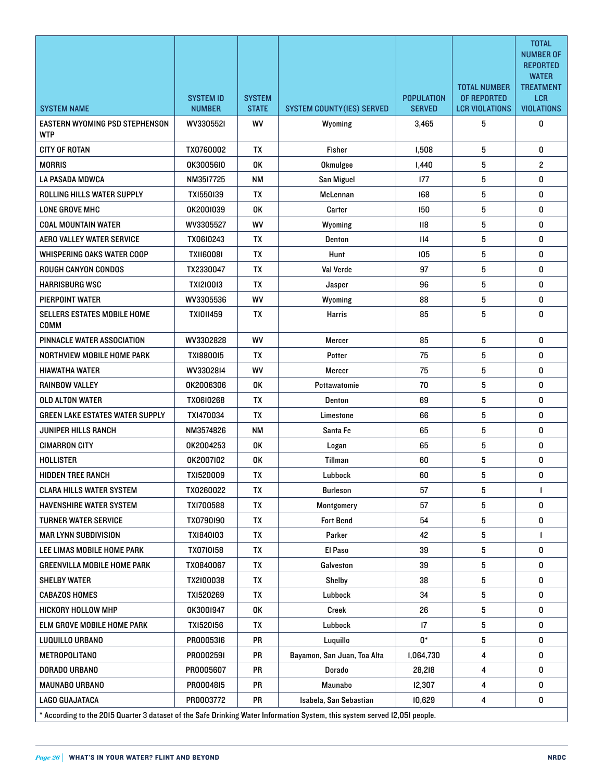|                                                                                                                            |                  |               |                                  |                   |                       | <b>TOTAL</b><br><b>NUMBER OF</b><br><b>REPORTED</b> |
|----------------------------------------------------------------------------------------------------------------------------|------------------|---------------|----------------------------------|-------------------|-----------------------|-----------------------------------------------------|
|                                                                                                                            |                  |               |                                  |                   | <b>TOTAL NUMBER</b>   | <b>WATER</b><br><b>TREATMENT</b>                    |
|                                                                                                                            | <b>SYSTEM ID</b> | <b>SYSTEM</b> |                                  | <b>POPULATION</b> | OF REPORTED           | <b>LCR</b>                                          |
| <b>SYSTEM NAME</b>                                                                                                         | <b>NUMBER</b>    | <b>STATE</b>  | <b>SYSTEM COUNTY(IES) SERVED</b> | <b>SERVED</b>     | <b>LCR VIOLATIONS</b> | <b>VIOLATIONS</b>                                   |
| EASTERN WYOMING PSD STEPHENSON<br>WTP                                                                                      | WV3305521        | <b>WV</b>     | Wyoming                          | 3,465             | 5                     | 0                                                   |
| <b>CITY OF ROTAN</b>                                                                                                       | TX0760002        | <b>TX</b>     | Fisher                           | 1,508             | 5                     | 0                                                   |
| <b>MORRIS</b>                                                                                                              | 0K30056I0        | 0K            | Okmulgee                         | I,440             | 5                     | $\overline{c}$                                      |
| LA PASADA MDWCA                                                                                                            | NM3517725        | <b>NM</b>     | San Miguel                       | 177               | 5                     | 0                                                   |
| ROLLING HILLS WATER SUPPLY                                                                                                 | TX1550139        | <b>TX</b>     | McLennan                         | 168               | 5                     | 0                                                   |
| LONE GROVE MHC                                                                                                             | 0K2001039        | 0K            | Carter                           | 150               | 5                     | 0                                                   |
| <b>COAL MOUNTAIN WATER</b>                                                                                                 | WV3305527        | <b>WV</b>     | Wyoming                          | $\overline{118}$  | 5                     | 0                                                   |
| <b>AERO VALLEY WATER SERVICE</b>                                                                                           | TX06I0243        | <b>TX</b>     | Denton                           | II4               | 5                     | 0                                                   |
| WHISPERING OAKS WATER COOP                                                                                                 | TX1160081        | <b>TX</b>     | Hunt                             | 105               | 5                     | 0                                                   |
| <b>ROUGH CANYON CONDOS</b>                                                                                                 | TX2330047        | TХ            | Val Verde                        | 97                | 5                     | 0                                                   |
| HARRISBURG WSC                                                                                                             | <b>TXI2I00I3</b> | <b>TX</b>     | Jasper                           | 96                | 5                     | 0                                                   |
| PIERPOINT WATER                                                                                                            | WV3305536        | <b>WV</b>     | Wyoming                          | 88                | 5                     | 0                                                   |
| SELLERS ESTATES MOBILE HOME<br>COMM                                                                                        | <b>TXI0II459</b> | TХ            | Harris                           | 85                | 5                     | 0                                                   |
| PINNACLE WATER ASSOCIATION                                                                                                 | WV3302828        | WV            | <b>Mercer</b>                    | 85                | 5                     | 0                                                   |
| NORTHVIEW MOBILE HOME PARK                                                                                                 | TX1880015        | ТX            | Potter                           | 75                | 5                     | 0                                                   |
| HIAWATHA WATER                                                                                                             | WV3302814        | <b>WV</b>     | Mercer                           | 75                | 5                     | 0                                                   |
| RAINBOW VALLEY                                                                                                             | 0K2006306        | 0K            | Pottawatomie                     | 70                | 5                     | 0                                                   |
| <b>OLD ALTON WATER</b>                                                                                                     | TX0610268        | <b>TX</b>     | <b>Denton</b>                    | 69                | 5                     | 0                                                   |
| GREEN LAKE ESTATES WATER SUPPLY                                                                                            | TXI470034        | ТX            | Limestone                        | 66                | 5                     | 0                                                   |
| JUNIPER HILLS RANCH                                                                                                        | NM3574826        | NΜ            | Santa Fe                         | 65                | 5                     | 0                                                   |
| <b>CIMARRON CITY</b>                                                                                                       | OK2004253        | 0K            | Logan                            | 65                | 5                     | 0                                                   |
| <b>HOLLISTER</b>                                                                                                           | 0K2007I02        | 0K            | Tillman                          | 60                | 5                     | 0                                                   |
| <b>HIDDEN TREE RANCH</b>                                                                                                   | TXI520009        | TX            | Lubbock                          | 60                | 5                     | 0                                                   |
| <b>CLARA HILLS WATER SYSTEM</b>                                                                                            | TX0260022        | TX            | Burleson                         | 57                | 5                     | $\mathbf{I}$                                        |
| <b>HAVENSHIRE WATER SYSTEM</b>                                                                                             | TXI700588        | TX            | Montgomery                       | 57                | 5                     | 0                                                   |
| TURNER WATER SERVICE                                                                                                       | TX0790190        | TX            | <b>Fort Bend</b>                 | 54                | 5                     | 0                                                   |
| <b>MAR LYNN SUBDIVISION</b>                                                                                                | TX1840103        | TX            | Parker                           | 42                | 5                     |                                                     |
| LEE LIMAS MOBILE HOME PARK                                                                                                 | TX0710158        | TX            | El Paso                          | 39                | 5                     | 0                                                   |
| GREENVILLA MOBILE HOME PARK                                                                                                | TX0840067        | TX            | Galveston                        | 39                | 5                     | 0                                                   |
| SHELBY WATER                                                                                                               | TX2I00038        | TΧ            | Shelby                           | 38                | 5                     | 0                                                   |
| <b>CABAZOS HOMES</b>                                                                                                       | TX1520269        | TX            | Lubbock                          | 34                | 5                     | 0                                                   |
| HICKORY HOLLOW MHP                                                                                                         | 0K3001947        | 0K            | Creek                            | 26                | 5                     | 0                                                   |
| ELM GROVE MOBILE HOME PARK                                                                                                 | TX1520156        | TX            | Lubbock                          | $\mathsf{I}7$     | 5                     | 0                                                   |
| LUQUILLO URBANO                                                                                                            | PR0005316        | PR            | Luquillo                         | 0*                | 5                     | 0                                                   |
| <b>METROPOLITANO</b>                                                                                                       | PR0002591        | PR            | Bayamon, San Juan, Toa Alta      | 1,064,730         | 4                     | 0                                                   |
| DORADO URBANO                                                                                                              | PR0005607        | PR            | Dorado                           | 28,218            | 4                     | 0                                                   |
| MAUNABO URBANO                                                                                                             | PR0004815        | PR            | Maunabo                          | 12,307            | 4                     | 0                                                   |
| LAGO GUAJATACA                                                                                                             | PR0003772        | PR            | Isabela, San Sebastian           | 10,629            | 4                     | 0                                                   |
| * According to the 2015 Quarter 3 dataset of the Safe Drinking Water Information System, this system served I2,05I people. |                  |               |                                  |                   |                       |                                                     |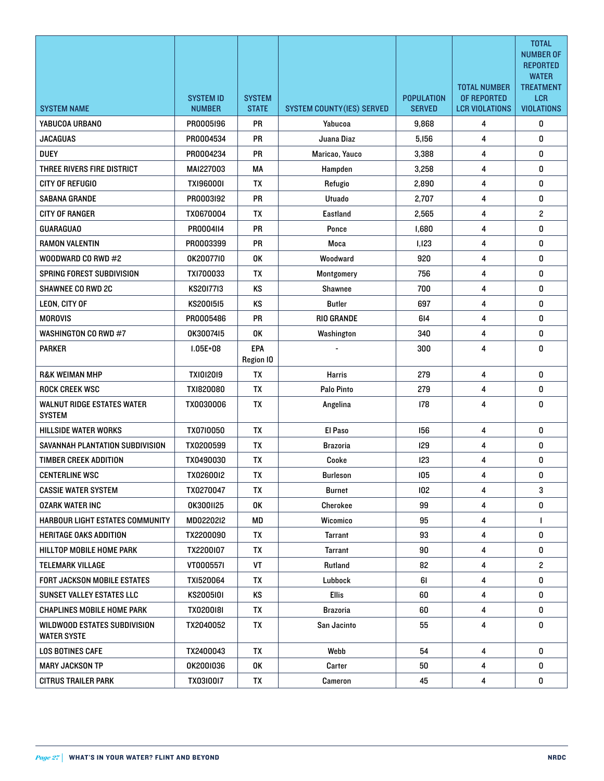|                                                           | <b>SYSTEM ID</b> | <b>SYSTEM</b>           |                                   | <b>POPULATION</b> | <b>TOTAL NUMBER</b><br>OF REPORTED | <b>TOTAL</b><br><b>NUMBER OF</b><br><b>REPORTED</b><br><b>WATER</b><br><b>TREATMENT</b><br><b>LCR</b> |
|-----------------------------------------------------------|------------------|-------------------------|-----------------------------------|-------------------|------------------------------------|-------------------------------------------------------------------------------------------------------|
| <b>SYSTEM NAME</b>                                        | <b>NUMBER</b>    | <b>STATE</b>            | <b>SYSTEM COUNTY (IES) SERVED</b> | <b>SERVED</b>     | <b>LCR VIOLATIONS</b>              | <b>VIOLATIONS</b>                                                                                     |
| YABUCOA URBANO                                            | PR0005196        | <b>PR</b>               | Yabucoa                           | 9,868             | 4                                  | 0                                                                                                     |
| <b>JACAGUAS</b>                                           | PR0004534        | <b>PR</b>               | Juana Diaz                        | 5,156             | 4                                  | 0                                                                                                     |
| <b>DUEY</b>                                               | PR0004234        | <b>PR</b>               | Maricao, Yauco                    | 3,388             | 4                                  | 0                                                                                                     |
| THREE RIVERS FIRE DISTRICT                                | MAI227003        | МA                      | Hampden                           | 3,258             | 4                                  | 0                                                                                                     |
| CITY OF REFUGIO                                           | TX1960001        | TX                      | Refugio                           | 2,890             | 4                                  | 0                                                                                                     |
| <b>SABANA GRANDE</b>                                      | PR0003I92        | PR                      | Utuado                            | 2,707             | 4                                  | 0                                                                                                     |
| CITY OF RANGER                                            | TX0670004        | TX                      | Eastland                          | 2,565             | 4                                  | $\overline{c}$                                                                                        |
| <b>GUARAGUAO</b>                                          | PR0004114        | <b>PR</b>               | Ponce                             | 1,680             | 4                                  | 0                                                                                                     |
| <b>RAMON VALENTIN</b>                                     | PR0003399        | <b>PR</b>               | Moca                              | 1,123             | 4                                  | 0                                                                                                     |
| WOODWARD CO RWD #2                                        | 0K2007710        | 0K                      | Woodward                          | 920               | 4                                  | 0                                                                                                     |
| SPRING FOREST SUBDIVISION                                 | TXI700033        | TX                      | Montgomery                        | 756               | 4                                  | 0                                                                                                     |
| <b>SHAWNEE CO RWD 2C</b>                                  | KS2017713        | <b>KS</b>               | Shawnee                           | 700               | 4                                  | 0                                                                                                     |
| LEON, CITY OF                                             | KS2001515        | KS                      | <b>Butler</b>                     | 697               | 4                                  | 0                                                                                                     |
| <b>MOROVIS</b>                                            | PR0005486        | <b>PR</b>               | <b>RIO GRANDE</b>                 | 614               | 4                                  | 0                                                                                                     |
| WASHINGTON CO RWD #7                                      | 0K3007415        | 0K                      | Washington                        | 340               | 4                                  | 0                                                                                                     |
| <b>PARKER</b>                                             | $1.05E + 08$     | <b>EPA</b><br>Region IO |                                   | 300               | 4                                  | 0                                                                                                     |
| <b>R&amp;K WEIMAN MHP</b>                                 | <b>TXI0I20I9</b> | TX                      | <b>Harris</b>                     | 279               | 4                                  | 0                                                                                                     |
| <b>ROCK CREEK WSC</b>                                     | TX1820080        | <b>TX</b>               | Palo Pinto                        | 279               | 4                                  | 0                                                                                                     |
| <b>WALNUT RIDGE ESTATES WATER</b><br><b>SYSTEM</b>        | TX0030006        | TX                      | Angelina                          | 178               | 4                                  | 0                                                                                                     |
| HILLSIDE WATER WORKS                                      | TX0710050        | <b>TX</b>               | El Paso                           | 156               | 4                                  | 0                                                                                                     |
| SAVANNAH PLANTATION SUBDIVISION                           | TX0200599        | TX                      | <b>Brazoria</b>                   | 129               | 4                                  | 0                                                                                                     |
| <b>TIMBER CREEK ADDITION</b>                              | TX0490030        | TX                      | Cooke                             | 123               | 4                                  | 0                                                                                                     |
| <b>CENTERLINE WSC</b>                                     | TX0260012        | TX                      | Burleson                          | 105               | 4                                  | 0                                                                                                     |
| <b>CASSIE WATER SYSTEM</b>                                | TX0270047        | TX                      | <b>Burnet</b>                     | 102               | 4                                  | 3                                                                                                     |
| <b>OZARK WATER INC</b>                                    | OK3001125        | 0K                      | Cherokee                          | 99                | 4                                  | 0                                                                                                     |
| HARBOUR LIGHT ESTATES COMMUNITY                           | MD0220212        | MD                      | Wicomico                          | 95                | 4                                  | $\mathbf{I}$                                                                                          |
| HERITAGE OAKS ADDITION                                    | TX2200090        | TX                      | Tarrant                           | 93                | 4                                  | 0                                                                                                     |
| HILLTOP MOBILE HOME PARK                                  | TX2200107        | TX                      | <b>Tarrant</b>                    | 90                | 4                                  | 0                                                                                                     |
| <b>TELEMARK VILLAGE</b>                                   | VT000557I        | VT                      | Rutland                           | 82                | 4                                  | $\overline{2}$                                                                                        |
| <b>FORT JACKSON MOBILE ESTATES</b>                        | TX1520064        | TX                      | Lubbock                           | 61                | 4                                  | 0                                                                                                     |
| SUNSET VALLEY ESTATES LLC                                 | KS2005I0I        | KS                      | <b>Ellis</b>                      | 60                | 4                                  | 0                                                                                                     |
| CHAPLINES MOBILE HOME PARK                                | TX0200181        | TX                      | Brazoria                          | 60                | 4                                  | 0                                                                                                     |
| <b>WILDWOOD ESTATES SUBDIVISION</b><br><b>WATER SYSTE</b> | TX2040052        | TX                      | San Jacinto                       | 55                | 4                                  | 0                                                                                                     |
| <b>LOS BOTINES CAFE</b>                                   | TX2400043        | TX                      | Webb                              | 54                | 4                                  | 0                                                                                                     |
| <b>MARY JACKSON TP</b>                                    | 0K200I036        | 0K                      | Carter                            | 50                | 4                                  | 0                                                                                                     |
| CITRUS TRAILER PARK                                       | TX0310017        | TX                      | Cameron                           | 45                | 4                                  | 0                                                                                                     |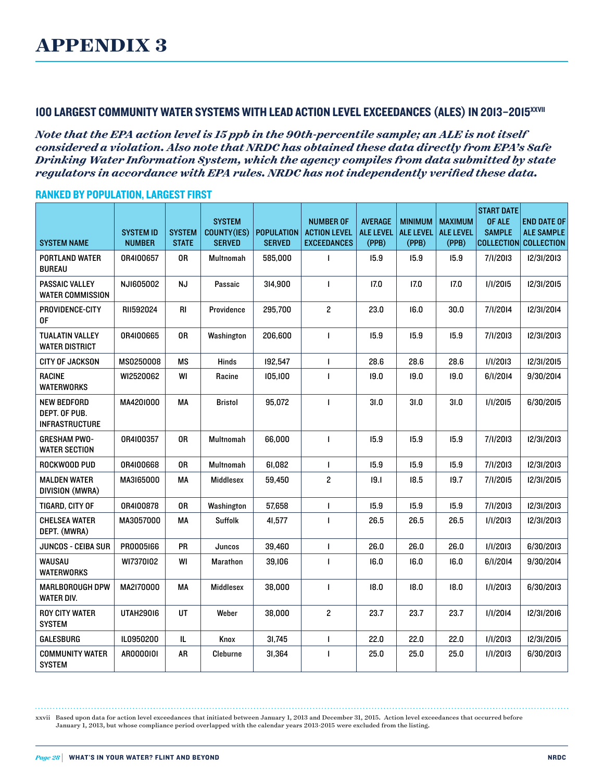## 100 LARGEST COMMUNITY WATER SYSTEMS WITH LEAD ACTION LEVEL EXCEEDANCES (ALES) IN 2013–2015xxvii

*Note that the EPA action level is 15 ppb in the 90th-percentile sample; an ALE is not itself considered a violation. Also note that NRDC has obtained these data directly from EPA's Safe Drinking Water Information System, which the agency compiles from data submitted by state regulators in accordance with EPA rules. NRDC has not independently verified these data.*

#### RANKED BY POPULATION, LARGEST FIRST

| <b>SYSTEM NAME</b>                                    | <b>SYSTEM ID</b><br><b>NUMBER</b> | <b>SYSTEM</b><br><b>STATE</b> | <b>SYSTEM</b><br><b>COUNTY(IES)</b><br><b>SERVED</b> | <b>POPULATION</b><br><b>SERVED</b> | <b>NUMBER OF</b><br><b>ACTION LEVEL</b><br><b>EXCEEDANCES</b> | <b>AVERAGE</b><br><b>ALE LEVEL</b><br>(PPB) | <b>MINIMUM</b><br><b>ALE LEVEL</b><br>(PPB) | <b>MAXIMUM</b><br><b>ALE LEVEL</b><br>(PPB) | <b>START DATE</b><br>OF ALE<br><b>SAMPLE</b> | <b>END DATE OF</b><br><b>ALE SAMPLE</b><br>COLLECTION COLLECTION |
|-------------------------------------------------------|-----------------------------------|-------------------------------|------------------------------------------------------|------------------------------------|---------------------------------------------------------------|---------------------------------------------|---------------------------------------------|---------------------------------------------|----------------------------------------------|------------------------------------------------------------------|
| PORTLAND WATER<br><b>BUREAU</b>                       | 0R4I00657                         | 0R                            | Multnomah                                            | 585,000                            | $\mathbf{I}$                                                  | 15.9                                        | 15.9                                        | 15.9                                        | 7/1/2013                                     | 12/31/2013                                                       |
| PASSAIC VALLEY<br><b>WATER COMMISSION</b>             | NJI605002                         | NJ                            | Passaic                                              | 314,900                            | $\mathbf{I}$                                                  | 17.0                                        | 17.0                                        | 17.0                                        | 1/1/2015                                     | 12/31/2015                                                       |
| PROVIDENCE-CITY<br>0F                                 | RII592024                         | RI                            | Providence                                           | 295,700                            | 2                                                             | 23.0                                        | 16.0                                        | 30.0                                        | 7/1/2014                                     | 12/31/2014                                                       |
| <b>TUALATIN VALLEY</b><br>WATER DISTRICT              | 0R4I00665                         | 0R                            | Washington                                           | 206,600                            | $\mathbf{I}$                                                  | 15.9                                        | 15.9                                        | 15.9                                        | 7/1/2013                                     | 12/31/2013                                                       |
| CITY OF JACKSON                                       | MS0250008                         | ΜS                            | Hinds                                                | 192,547                            | $\mathbf{I}$                                                  | 28.6                                        | 28.6                                        | 28.6                                        | 1/1/2013                                     | 12/31/2015                                                       |
| <b>RACINE</b><br><b>WATERWORKS</b>                    | WI2520062                         | WI                            | Racine                                               | 105,100                            | $\mathbf{I}$                                                  | 19.0                                        | 19.0                                        | 19.0                                        | 6/1/2014                                     | 9/30/2014                                                        |
| NEW BEDFORD<br>DEPT. OF PUB.<br><b>INFRASTRUCTURE</b> | MA4201000                         | MA                            | <b>Bristol</b>                                       | 95,072                             | $\mathbf{I}$                                                  | 31.0                                        | 31.0                                        | 31.0                                        | 1/1/2015                                     | 6/30/2015                                                        |
| <b>GRESHAM PWO-</b><br><b>WATER SECTION</b>           | 0R4I00357                         | 0R                            | <b>Multnomah</b>                                     | 66,000                             | $\blacksquare$                                                | 15.9                                        | 15.9                                        | 15.9                                        | 7/1/2013                                     | 12/31/2013                                                       |
| ROCKWOOD PUD                                          | 0R4I00668                         | 0R                            | <b>Multnomah</b>                                     | 61,082                             | $\mathbf{I}$                                                  | 15.9                                        | 15.9                                        | 15.9                                        | 7/1/2013                                     | 12/31/2013                                                       |
| <b>MALDEN WATER</b><br>DIVISION (MWRA)                | MA3165000                         | МA                            | Middlesex                                            | 59,450                             | $\overline{\mathbf{c}}$                                       | 19.1                                        | 18.5                                        | 19.7                                        | 7/1/2015                                     | 12/31/2015                                                       |
| TIGARD, CITY OF                                       | 0R4I00878                         | 0R                            | Washington                                           | 57,658                             | $\mathbf{I}$                                                  | 15.9                                        | 15.9                                        | 15.9                                        | 7/1/2013                                     | 12/31/2013                                                       |
| CHELSEA WATER<br>DEPT. (MWRA)                         | MA3057000                         | MA                            | <b>Suffolk</b>                                       | 41,577                             | $\mathbf{I}$                                                  | 26.5                                        | 26.5                                        | 26.5                                        | 1/1/2013                                     | 12/31/2013                                                       |
| JUNCOS - CEIBA SUR                                    | PR0005166                         | PR                            | Juncos                                               | 39,460                             | $\mathbf{I}$                                                  | 26.0                                        | 26.0                                        | 26.0                                        | 1/1/2013                                     | 6/30/2013                                                        |
| WAUSAU<br>WATERWORKS                                  | WI7370102                         | WI                            | <b>Marathon</b>                                      | 39,106                             | $\mathbf{I}$                                                  | 16.0                                        | 16.0                                        | 16.0                                        | 6/1/2014                                     | 9/30/2014                                                        |
| MARLBOROUGH DPW<br><b>WATER DIV.</b>                  | MA2170000                         | МA                            | Middlesex                                            | 38,000                             | $\mathbf{I}$                                                  | 18.0                                        | 18.0                                        | 18.0                                        | 1/1/2013                                     | 6/30/2013                                                        |
| <b>ROY CITY WATER</b><br><b>SYSTEM</b>                | <b>UTAH29016</b>                  | UT                            | Weber                                                | 38,000                             | $\mathbf{2}$                                                  | 23.7                                        | 23.7                                        | 23.7                                        | 1/1/2014                                     | 12/31/2016                                                       |
| GALESBURG                                             | IL0950200                         | IL                            | Knox                                                 | 31,745                             | $\mathbf{I}$                                                  | 22.0                                        | 22.0                                        | 22.0                                        | 1/1/2013                                     | 12/31/2015                                                       |
| <b>COMMUNITY WATER</b><br><b>SYSTEM</b>               | AR0000101                         | AR                            | Cleburne                                             | 31,364                             | 1                                                             | 25.0                                        | 25.0                                        | 25.0                                        | 1/1/2013                                     | 6/30/2013                                                        |

xxvii Based upon data for action level exceedances that initiated between January 1, 2013 and December 31, 2015. Action level exceedances that occurred before January 1, 2013, but whose compliance period overlapped with the calendar years 2013-2015 were excluded from the listing.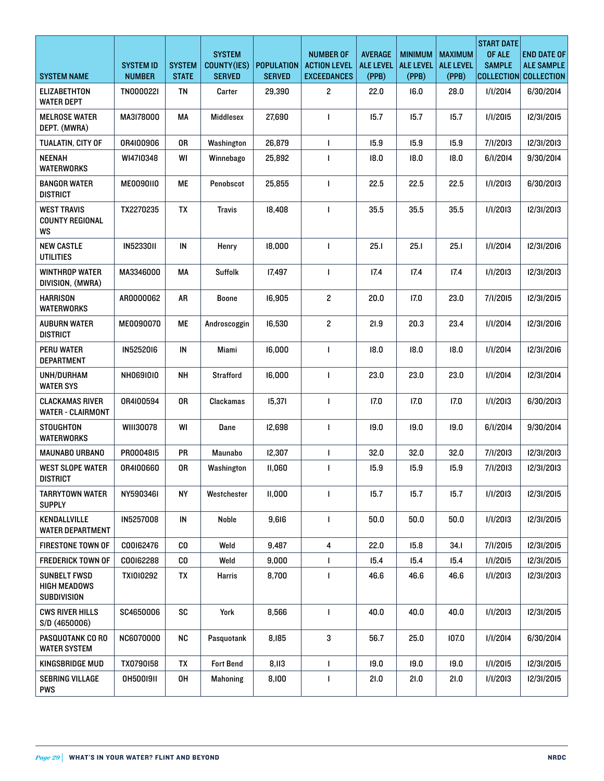| <b>SYSTEM NAME</b>                                 | <b>SYSTEM ID</b><br><b>NUMBER</b> | <b>SYSTEM</b><br><b>STATE</b> | <b>SYSTEM</b><br>COUNTY(IES)<br><b>SERVED</b> | <b>POPULATION</b><br><b>SERVED</b> | <b>NUMBER OF</b><br><b>ACTION LEVEL</b><br><b>EXCEEDANCES</b> | <b>AVERAGE</b><br><b>ALE LEVEL</b><br>(PPB) | <b>MINIMUM</b><br><b>ALE LEVEL</b><br>(PPB) | <b>MAXIMUM</b><br><b>ALE LEVEL</b><br>(PPB) | <b>START DATE</b><br>OF ALE<br><b>SAMPLE</b> | <b>END DATE OF</b><br><b>ALE SAMPLE</b><br>COLLECTION COLLECTION |
|----------------------------------------------------|-----------------------------------|-------------------------------|-----------------------------------------------|------------------------------------|---------------------------------------------------------------|---------------------------------------------|---------------------------------------------|---------------------------------------------|----------------------------------------------|------------------------------------------------------------------|
| <b>ELIZABETHTON</b><br><b>WATER DEPT</b>           | TN000022I                         | TN                            | Carter                                        | 29,390                             | $\overline{c}$                                                | 22.0                                        | 16.0                                        | 28.0                                        | 1/1/2014                                     | 6/30/2014                                                        |
| <b>MELROSE WATER</b><br>DEPT. (MWRA)               | MA3178000                         | МA                            | <b>Middlesex</b>                              | 27,690                             | $\mathbf{I}$                                                  | 15.7                                        | 15.7                                        | 15.7                                        | 1/1/2015                                     | 12/31/2015                                                       |
| TUALATIN, CITY OF                                  | 0R4I00906                         | 0R                            | Washington                                    | 26,879                             | $\mathbf{I}$                                                  | 15.9                                        | 15.9                                        | 15.9                                        | 7/I/2013                                     | 12/31/2013                                                       |
| <b>NEENAH</b><br><b>WATERWORKS</b>                 | WI4710348                         | WI                            | Winnebago                                     | 25,892                             |                                                               | 18.0                                        | 18.0                                        | 18.0                                        | 6/1/2014                                     | 9/30/2014                                                        |
| <b>BANGOR WATER</b><br><b>DISTRICT</b>             | ME0090110                         | МE                            | Penobscot                                     | 25,855                             | 1                                                             | 22.5                                        | 22.5                                        | 22.5                                        | 1/1/2013                                     | 6/30/2013                                                        |
| <b>WEST TRAVIS</b><br><b>COUNTY REGIONAL</b><br>WS | TX2270235                         | TX                            | <b>Travis</b>                                 | 18,408                             | $\mathbf{I}$                                                  | 35.5                                        | 35.5                                        | 35.5                                        | 1/1/2013                                     | 12/31/2013                                                       |
| <b>NEW CASTLE</b><br><b>UTILITIES</b>              | <b>IN5233011</b>                  | $\sf IN$                      | Henry                                         | 18.000                             | $\mathbf{I}$                                                  | 25.1                                        | 25.1                                        | 25.1                                        | 1/1/2014                                     | 12/31/2016                                                       |
| <b>WINTHROP WATER</b><br>DIVISION, (MWRA)          | MA3346000                         | МA                            | <b>Suffolk</b>                                | 17,497                             | $\mathbf{I}$                                                  | 17.4                                        | 17.4                                        | 17.4                                        | 1/1/2013                                     | 12/31/2013                                                       |
| <b>HARRISON</b><br><b>WATERWORKS</b>               | AR0000062                         | AR                            | <b>Boone</b>                                  | 16,905                             | $\overline{\mathbf{c}}$                                       | 20.0                                        | 17.0                                        | 23.0                                        | 7/1/2015                                     | 12/31/2015                                                       |
| <b>AUBURN WATER</b><br><b>DISTRICT</b>             | ME0090070                         | ME                            | Androscoggin                                  | 16,530                             | $\overline{\mathbf{c}}$                                       | 21.9                                        | 20.3                                        | 23.4                                        | 1/1/2014                                     | 12/31/2016                                                       |
| <b>PERU WATER</b><br><b>DEPARTMENT</b>             | IN5252016                         | IN                            | Miami                                         | 16,000                             | $\mathbf{I}$                                                  | 18.0                                        | 18.0                                        | 18.0                                        | 1/1/2014                                     | 12/31/2016                                                       |
| UNH/DURHAM<br><b>WATER SYS</b>                     | NH0691010                         | <b>NH</b>                     | <b>Strafford</b>                              | 16,000                             | $\mathbf{I}$                                                  | 23.0                                        | 23.0                                        | 23.0                                        | 1/1/2014                                     | 12/31/2014                                                       |
| <b>CLACKAMAS RIVER</b><br><b>WATER - CLAIRMONT</b> | 0R4I00594                         | 0R                            | <b>Clackamas</b>                              | 15,371                             | $\mathbf{I}$                                                  | 17.0                                        | 17.0                                        | 17.0                                        | 1/1/2013                                     | 6/30/2013                                                        |
| STOUGHTON<br><b>WATERWORKS</b>                     | WIII30078                         | WI                            | Dane                                          | 12,698                             | $\mathbf{I}$                                                  | 19.0                                        | 19.0                                        | 19.0                                        | 6/1/2014                                     | 9/30/2014                                                        |
| MAUNABO URBANO                                     | PR0004815                         | PR                            | Maunabo                                       | 12,307                             | $\mathbf{I}$                                                  | 32.0                                        | 32.0                                        | 32.0                                        | 7/1/2013                                     | 12/31/2013                                                       |
| <b>WEST SLOPE WATER</b><br>DISTRICT                | 0R4I00660                         | 0R                            | Washington                                    | 11,060                             |                                                               | 15.9                                        | 15.9                                        | 15.9                                        | 7/1/2013                                     | 12/31/2013                                                       |
| <b>TARRYTOWN WATER</b><br><b>SUPPLY</b>            | NY5903461                         | <b>NY</b>                     | Westchester                                   | II,000                             | $\mathbf{I}$                                                  | 15.7                                        | 15.7                                        | 15.7                                        | 1/1/2013                                     | 12/31/2015                                                       |
| KENDALLVILLE<br>WATER DEPARTMENT                   | IN5257008                         | ${\sf IN}$                    | Noble                                         | 9,616                              | $\mathbf{I}$                                                  | 50.0                                        | 50.0                                        | 50.0                                        | 1/1/2013                                     | 12/31/2015                                                       |
| FIRESTONE TOWN OF                                  | C00162476                         | $c_{0}$                       | Weld                                          | 9,487                              | 4                                                             | 22.0                                        | 15.8                                        | 34.1                                        | 7/1/2015                                     | 12/31/2015                                                       |
| <b>FREDERICK TOWN OF</b>                           | C00162288                         | CO.                           | Weld                                          | 9,000                              | $\mathbf{I}$                                                  | 15.4                                        | 15.4                                        | 15.4                                        | 1/1/2015                                     | 12/31/2015                                                       |
| <b>SUNBELT FWSD</b><br>HIGH MEADOWS<br>SUBDIVISION | TX1010292                         | TX                            | Harris                                        | 8,700                              | $\mathbf{I}$                                                  | 46.6                                        | 46.6                                        | 46.6                                        | 1/1/2013                                     | 12/31/2013                                                       |
| <b>CWS RIVER HILLS</b><br>S/D (4650006)            | SC4650006                         | SC                            | York                                          | 8,566                              | $\mathbf{I}$                                                  | 40.0                                        | 40.0                                        | 40.0                                        | 1/1/2013                                     | 12/31/2015                                                       |
| PASQUOTANK CO RO<br><b>WATER SYSTEM</b>            | NC6070000                         | <b>NC</b>                     | Pasquotank                                    | 8,185                              | 3                                                             | 56.7                                        | 25.0                                        | 107.0                                       | 1/1/2014                                     | 6/30/2014                                                        |
| KINGSBRIDGE MUD                                    | TX0790158                         | TX                            | <b>Fort Bend</b>                              | 8,113                              | $\mathbf{I}$                                                  | 19.0                                        | 19.0                                        | 19.0                                        | 1/1/2015                                     | 12/31/2015                                                       |
| SEBRING VILLAGE<br><b>PWS</b>                      | 0H5001911                         | 0H                            | <b>Mahoning</b>                               | 8,100                              | $\mathbf{I}$                                                  | 21.0                                        | 21.0                                        | 21.0                                        | 1/1/2013                                     | 12/31/2015                                                       |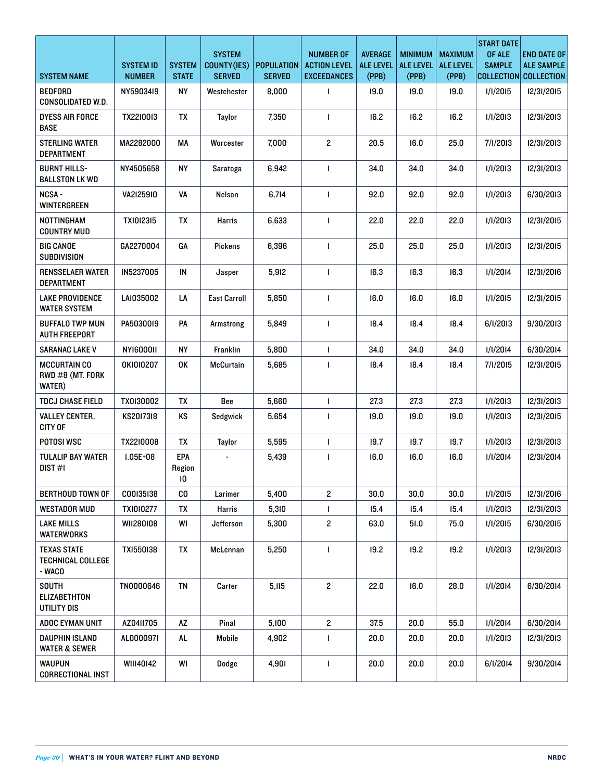|                                                    |                                   |                               | <b>SYSTEM</b>                |                                    | <b>NUMBER OF</b>                          | <b>AVERAGE</b>            | <b>MINIMUM</b>            | <b>MAXIMUM</b>            | <b>START DATE</b><br>OF ALE | <b>END DATE OF</b>                         |
|----------------------------------------------------|-----------------------------------|-------------------------------|------------------------------|------------------------------------|-------------------------------------------|---------------------------|---------------------------|---------------------------|-----------------------------|--------------------------------------------|
| <b>SYSTEM NAME</b>                                 | <b>SYSTEM ID</b><br><b>NUMBER</b> | <b>SYSTEM</b><br><b>STATE</b> | COUNTY(IES)<br><b>SERVED</b> | <b>POPULATION</b><br><b>SERVED</b> | <b>ACTION LEVEL</b><br><b>EXCEEDANCES</b> | <b>ALE LEVEL</b><br>(PPB) | <b>ALE LEVEL</b><br>(PPB) | <b>ALE LEVEL</b><br>(PPB) | <b>SAMPLE</b>               | <b>ALE SAMPLE</b><br>COLLECTION COLLECTION |
| <b>BEDFORD</b><br><b>CONSOLIDATED W.D.</b>         | NY59034I9                         | <b>NY</b>                     | Westchester                  | 8,000                              | $\mathbf{I}$                              | 19.0                      | 19.0                      | 19.0                      | 1/1/2015                    | 12/31/2015                                 |
| <b>DYESS AIR FORCE</b><br><b>BASE</b>              | TX2210013                         | TX                            | <b>Taylor</b>                | 7,350                              | $\mathbf{I}$                              | 16.2                      | 16.2                      | 16.2                      | 1/1/2013                    | 12/31/2013                                 |
| <b>STERLING WATER</b><br><b>DEPARTMENT</b>         | MA2282000                         | МA                            | Worcester                    | 7,000                              | $\overline{c}$                            | 20.5                      | 16.0                      | 25.0                      | 7/I/2013                    | 12/31/2013                                 |
| <b>BURNT HILLS-</b><br><b>BALLSTON LK WD</b>       | NY4505658                         | <b>NY</b>                     | Saratoga                     | 6,942                              | $\mathbf{I}$                              | 34.0                      | 34.0                      | 34.0                      | 1/1/2013                    | 12/31/2013                                 |
| NCSA-<br>WINTERGREEN                               | VA2I25910                         | VA                            | Nelson                       | 6,714                              | 1                                         | 92.0                      | 92.0                      | 92.0                      | 1/1/2013                    | 6/30/2013                                  |
| <b>NOTTINGHAM</b><br><b>COUNTRY MUD</b>            | <b>TXI0I23I5</b>                  | TX                            | Harris                       | 6,633                              | 1                                         | 22.0                      | 22.0                      | 22.0                      | 1/1/2013                    | 12/31/2015                                 |
| <b>BIG CANOE</b><br><b>SUBDIVISION</b>             | GA2270004                         | GA                            | <b>Pickens</b>               | 6,396                              | $\mathbf{I}$                              | 25.0                      | 25.0                      | 25.0                      | 1/1/2013                    | 12/31/2015                                 |
| <b>RENSSELAER WATER</b><br><b>DEPARTMENT</b>       | IN5237005                         | ${\sf IN}$                    | Jasper                       | 5,912                              | $\mathbf{I}$                              | 16.3                      | 16.3                      | 16.3                      | 1/1/2014                    | 12/31/2016                                 |
| <b>LAKE PROVIDENCE</b><br><b>WATER SYSTEM</b>      | LAI035002                         | LA                            | <b>East Carroll</b>          | 5,850                              | $\mathbf{I}$                              | 16.0                      | 16.0                      | 16.0                      | 1/1/2015                    | 12/31/2015                                 |
| <b>BUFFALO TWP MUN</b><br><b>AUTH FREEPORT</b>     | PA5030019                         | PA                            | Armstrong                    | 5,849                              | $\mathbf{I}$                              | 18.4                      | 18.4                      | 18.4                      | 6/1/2013                    | 9/30/2013                                  |
| <b>SARANAC LAKE V</b>                              | <b>NYI600011</b>                  | <b>NY</b>                     | <b>Franklin</b>              | 5,800                              | $\mathbf{I}$                              | 34.0                      | 34.0                      | 34.0                      | 1/1/2014                    | 6/30/2014                                  |
| <b>MCCURTAIN CO</b><br>RWD #8 (MT. FORK<br>WATER)  | OKI010207                         | 0K                            | <b>McCurtain</b>             | 5,685                              | $\mathbf{I}$                              | 18.4                      | 18.4                      | 18.4                      | 7/1/2015                    | 12/31/2015                                 |
| <b>TDCJ CHASE FIELD</b>                            | TX0I30002                         | TX                            | Bee                          | 5,660                              | $\mathbf{I}$                              | 27.3                      | 27.3                      | 27.3                      | 1/1/2013                    | 12/31/2013                                 |
| <b>VALLEY CENTER.</b><br><b>CITY OF</b>            | KS2017318                         | KS                            | Sedgwick                     | 5,654                              | 1                                         | 19.0                      | 19.0                      | 19.0                      | 1/1/2013                    | 12/31/2015                                 |
| POTOSI WSC                                         | TX2210008                         | TX                            | Taylor                       | 5,595                              | $\mathbf{I}$                              | 19.7                      | 19.7                      | 19.7                      | 1/1/2013                    | 12/31/2013                                 |
| <b>TULALIP BAY WATER</b><br>DIST#1                 | $1.05E + 08$                      | EPA<br>Region<br>10           |                              | 5,439                              | 1                                         | 16.0                      | 16.0                      | 16.0                      | 1/1/2014                    | 12/31/2014                                 |
| <b>BERTHOUD TOWN OF</b>                            | C00I35I38                         | CO                            | Larimer                      | 5,400                              | $\overline{c}$                            | 30.0                      | 30.0                      | 30.0                      | 1/1/2015                    | 12/31/2016                                 |
| <b>WESTADOR MUD</b>                                | <b>TXI0I0277</b>                  | ТX                            | <b>Harris</b>                | 5,310                              | L                                         | 15.4                      | 15.4                      | 15.4                      | 1/1/2013                    | 12/31/2013                                 |
| <b>LAKE MILLS</b><br><b>WATERWORKS</b>             | WII280I08                         | WI                            | Jefferson                    | 5,300                              | $\overline{\mathbf{c}}$                   | 63.0                      | 51.0                      | 75.0                      | 1/1/2015                    | 6/30/2015                                  |
| <b>TEXAS STATE</b><br>TECHNICAL COLLEGE<br>- WACO  | TX1550138                         | TX                            | McLennan                     | 5,250                              | 1                                         | 19.2                      | 19.2                      | 19.2                      | 1/1/2013                    | 12/31/2013                                 |
| <b>SOUTH</b><br><b>ELIZABETHTON</b><br>UTILITY DIS | TN0000646                         | TN                            | Carter                       | 5,115                              | $\overline{\mathbf{c}}$                   | 22.0                      | 16.0                      | 28.0                      | 1/1/2014                    | 6/30/2014                                  |
| ADOC EYMAN UNIT                                    | AZ0411705                         | AZ                            | Pinal                        | 5,100                              | $\overline{c}$                            | 37.5                      | 20.0                      | 55.0                      | 1/1/2014                    | 6/30/2014                                  |
| DAUPHIN ISLAND<br><b>WATER &amp; SEWER</b>         | AL000097I                         | AL.                           | Mobile                       | 4,902                              | 1                                         | 20.0                      | 20.0                      | 20.0                      | 1/1/2013                    | 12/31/2013                                 |
| <b>WAUPUN</b><br><b>CORRECTIONAL INST</b>          | WIII40142                         | WI                            | Dodge                        | 4,901                              | 1                                         | 20.0                      | 20.0                      | 20.0                      | 6/1/2014                    | 9/30/2014                                  |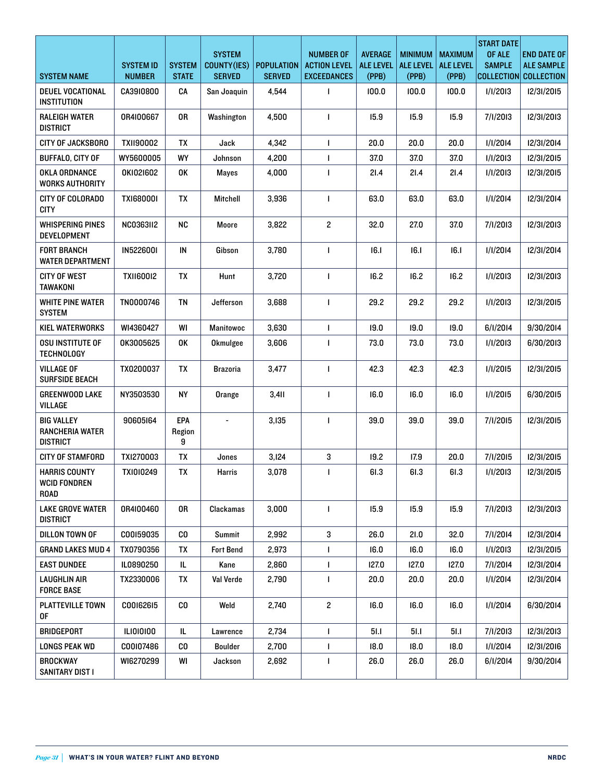| <b>SYSTEM NAME</b>                                      | <b>SYSTEM ID</b><br><b>NUMBER</b> | <b>SYSTEM</b><br><b>STATE</b> | <b>SYSTEM</b><br>COUNTY(IES)<br><b>SERVED</b> | <b>POPULATION</b><br><b>SERVED</b> | <b>NUMBER OF</b><br><b>ACTION LEVEL</b><br><b>EXCEEDANCES</b> | <b>AVERAGE</b><br><b>ALE LEVEL</b><br>(PPB) | <b>MINIMUM</b><br><b>ALE LEVEL</b><br>(PPB) | <b>MAXIMUM</b><br><b>ALE LEVEL</b><br>(PPB) | <b>START DATE</b><br>OF ALE<br><b>SAMPLE</b> | <b>END DATE OF</b><br><b>ALE SAMPLE</b><br>COLLECTION COLLECTION |
|---------------------------------------------------------|-----------------------------------|-------------------------------|-----------------------------------------------|------------------------------------|---------------------------------------------------------------|---------------------------------------------|---------------------------------------------|---------------------------------------------|----------------------------------------------|------------------------------------------------------------------|
| DEUEL VOCATIONAL<br>INSTITUTION                         | CA3910800                         | CA                            | San Joaquin                                   | 4,544                              | 1                                                             | 100.0                                       | 100.0                                       | 100.0                                       | 1/1/2013                                     | 12/31/2015                                                       |
| <b>RALEIGH WATER</b><br><b>DISTRICT</b>                 | 0R4I00667                         | 0R                            | Washington                                    | 4,500                              | 1                                                             | 15.9                                        | 15.9                                        | 15.9                                        | 7/1/2013                                     | 12/31/2013                                                       |
| CITY OF JACKSBORO                                       | TXII90002                         | TX                            | Jack                                          | 4,342                              | $\mathbf{I}$                                                  | 20.0                                        | 20.0                                        | 20.0                                        | 1/1/2014                                     | 12/31/2014                                                       |
| <b>BUFFALO, CITY OF</b>                                 | WY5600005                         | WY                            | Johnson                                       | 4,200                              | $\mathbf{I}$                                                  | 37.0                                        | 37.0                                        | 37.0                                        | 1/1/2013                                     | 12/31/2015                                                       |
| OKLA ORDNANCE<br><b>WORKS AUTHORITY</b>                 | OKI021602                         | 0K                            | <b>Mayes</b>                                  | 4,000                              | 1                                                             | 21.4                                        | 21.4                                        | 21.4                                        | 1/1/2013                                     | 12/31/2015                                                       |
| CITY OF COLORADO<br><b>CITY</b>                         | TX1680001                         | TX                            | <b>Mitchell</b>                               | 3,936                              | $\mathbf{I}$                                                  | 63.0                                        | 63.0                                        | 63.0                                        | 1/1/2014                                     | 12/31/2014                                                       |
| WHISPERING PINES<br><b>DEVELOPMENT</b>                  | <b>NC0363II2</b>                  | <b>NC</b>                     | Moore                                         | 3,822                              | $\mathbf{2}$                                                  | 32.0                                        | 27.0                                        | 37.0                                        | 7/I/2013                                     | 12/31/2013                                                       |
| <b>FORT BRANCH</b><br><b>WATER DEPARTMENT</b>           | <b>IN5226001</b>                  | IN                            | Gibson                                        | 3,780                              | 1                                                             | 16.1                                        | 16.1                                        | 16.1                                        | 1/1/2014                                     | 12/31/2014                                                       |
| <b>CITY OF WEST</b><br><b>TAWAKONI</b>                  | <b>TXII60012</b>                  | TX                            | Hunt                                          | 3,720                              | 1                                                             | 16.2                                        | 16.2                                        | 16.2                                        | 1/1/2013                                     | 12/31/2013                                                       |
| <b>WHITE PINE WATER</b><br><b>SYSTEM</b>                | TN0000746                         | TN                            | Jefferson                                     | 3.688                              | 1                                                             | 29.2                                        | 29.2                                        | 29.2                                        | 1/1/2013                                     | 12/31/2015                                                       |
| KIEL WATERWORKS                                         | WI4360427                         | WI                            | <b>Manitowoc</b>                              | 3,630                              | $\mathbf{I}$                                                  | 19.0                                        | 19.0                                        | 19.0                                        | 6/1/2014                                     | 9/30/2014                                                        |
| OSU INSTITUTE OF<br><b>TECHNOLOGY</b>                   | OK3005625                         | 0K                            | Okmulgee                                      | 3,606                              | 1                                                             | 73.0                                        | 73.0                                        | 73.0                                        | 1/1/2013                                     | 6/30/2013                                                        |
| <b>VILLAGE OF</b><br>SURFSIDE BEACH                     | TX0200037                         | TX                            | <b>Brazoria</b>                               | 3,477                              | $\mathbf{I}$                                                  | 42.3                                        | 42.3                                        | 42.3                                        | 1/1/2015                                     | 12/31/2015                                                       |
| <b>GREENWOOD LAKE</b><br>VILLAGE                        | NY3503530                         | <b>NY</b>                     | Orange                                        | 3,411                              | 1                                                             | 16.0                                        | 16.0                                        | 16.0                                        | 1/1/2015                                     | 6/30/2015                                                        |
| <b>BIG VALLEY</b><br>RANCHERIA WATER<br><b>DISTRICT</b> | 90605164                          | EPA<br>Region<br>9            | $\overline{\phantom{a}}$                      | 3,135                              | 1                                                             | 39.0                                        | 39.0                                        | 39.0                                        | 7/1/2015                                     | 12/31/2015                                                       |
| <b>CITY OF STAMFORD</b>                                 | TXI270003                         | TΧ                            | Jones                                         | 3,124                              | 3                                                             | 19.2                                        | 17.9                                        | 20.0                                        | 7/1/2015                                     | 12/31/2015                                                       |
| <b>HARRIS COUNTY</b><br><b>WCID FONDREN</b><br>ROAD     | TX1010249                         | TX                            | Harris                                        | 3,078                              |                                                               | 61.3                                        | 61.3                                        | 61.3                                        | <b>I/I/2013</b>                              | 12/31/2015                                                       |
| <b>LAKE GROVE WATER</b><br><b>DISTRICT</b>              | 0R4I00460                         | 0R                            | Clackamas                                     | 3,000                              | $\mathbf{I}$                                                  | 15.9                                        | 15.9                                        | 15.9                                        | 7/1/2013                                     | 12/31/2013                                                       |
| DILLON TOWN OF                                          | C00I59035                         | CO                            | Summit                                        | 2,992                              | 3                                                             | 26.0                                        | 21.0                                        | 32.0                                        | 7/1/2014                                     | 12/31/2014                                                       |
| <b>GRAND LAKES MUD 4</b>                                | TX0790356                         | TX                            | <b>Fort Bend</b>                              | 2,973                              | L                                                             | 16.0                                        | 16.0                                        | 16.0                                        | 1/1/2013                                     | 12/31/2015                                                       |
| <b>EAST DUNDEE</b>                                      | IL0890250                         | IL.                           | Kane                                          | 2,860                              | $\mathbf{I}$                                                  | 127.0                                       | 127.0                                       | 127.0                                       | 7/1/2014                                     | 12/31/2014                                                       |
| LAUGHLIN AIR<br><b>FORCE BASE</b>                       | TX2330006                         | TX                            | Val Verde                                     | 2,790                              | 1                                                             | 20.0                                        | 20.0                                        | 20.0                                        | 1/1/2014                                     | 12/31/2014                                                       |
| <b>PLATTEVILLE TOWN</b><br>0F                           | CO0162615                         | CO.                           | Weld                                          | 2,740                              | $\overline{c}$                                                | 16.0                                        | 16.0                                        | 16.0                                        | 1/1/2014                                     | 6/30/2014                                                        |
| BRIDGEPORT                                              | <b>ILIOI0I00</b>                  | IL                            | Lawrence                                      | 2,734                              | $\mathbf{I}$                                                  | 51.1                                        | 51.1                                        | 51.1                                        | 7/I/2013                                     | 12/31/2013                                                       |
| LONGS PEAK WD                                           | C00107486                         | CO                            | <b>Boulder</b>                                | 2,700                              | $\mathbf{I}$                                                  | 18.0                                        | 18.0                                        | 18.0                                        | 1/1/2014                                     | 12/31/2016                                                       |
| <b>BROCKWAY</b><br>SANITARY DIST I                      | WI6270299                         | WI                            | Jackson                                       | 2,692                              |                                                               | 26.0                                        | 26.0                                        | 26.0                                        | 6/1/2014                                     | 9/30/2014                                                        |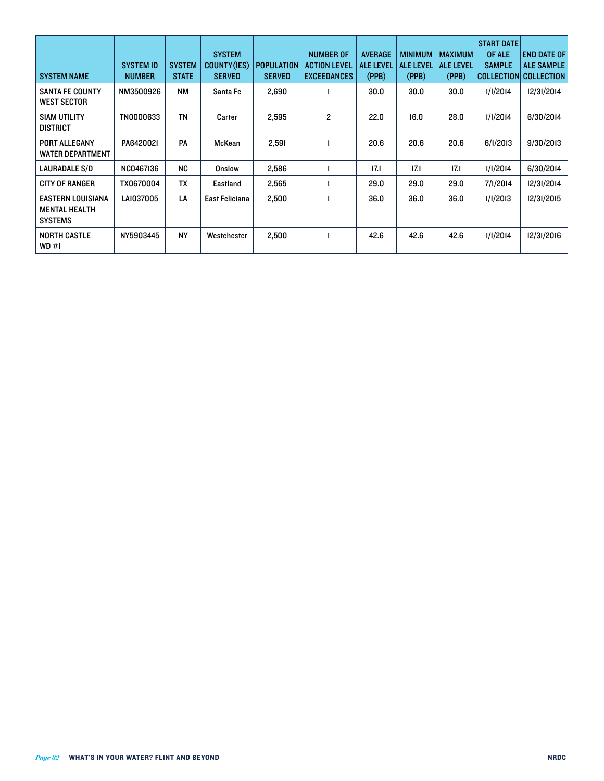| <b>SYSTEM NAME</b>                                                 | <b>SYSTEM ID</b><br><b>NUMBER</b> | <b>SYSTEM</b><br><b>STATE</b> | <b>SYSTEM</b><br>COUNTY(IES)<br><b>SERVED</b> | <b>POPULATION</b><br><b>SERVED</b> | <b>NUMBER OF</b><br><b>ACTION LEVEL</b><br><b>EXCEEDANCES</b> | <b>AVERAGE</b><br><b>ALE LEVEL</b><br>(PPB) | <b>MINIMUM</b><br><b>ALE LEVEL</b><br>(PPB) | <b>MAXIMUM</b><br><b>ALE LEVEL</b><br>(PPB) | <b>START DATE</b><br>OF ALE<br><b>SAMPLE</b> | <b>END DATE OF</b><br><b>ALE SAMPLE</b><br> COLLECTION  COLLECTION |
|--------------------------------------------------------------------|-----------------------------------|-------------------------------|-----------------------------------------------|------------------------------------|---------------------------------------------------------------|---------------------------------------------|---------------------------------------------|---------------------------------------------|----------------------------------------------|--------------------------------------------------------------------|
| <b>SANTA FE COUNTY</b><br><b>WEST SECTOR</b>                       | NM3500926                         | <b>NM</b>                     | Santa Fe                                      | 2,690                              |                                                               | 30.0                                        | 30.0                                        | 30.0                                        | 1/1/2014                                     | 12/31/2014                                                         |
| <b>SIAM UTILITY</b><br><b>DISTRICT</b>                             | TN0000633                         | <b>TN</b>                     | Carter                                        | 2,595                              | 2                                                             | 22.0                                        | 16.0                                        | 28.0                                        | 1/1/2014                                     | 6/30/2014                                                          |
| PORT ALLEGANY<br><b>WATER DEPARTMENT</b>                           | PA642002I                         | PA                            | McKean                                        | 2,591                              |                                                               | 20.6                                        | 20.6                                        | 20.6                                        | 6/1/2013                                     | 9/30/2013                                                          |
| <b>LAURADALE S/D</b>                                               | NC0467136                         | <b>NC</b>                     | Onslow                                        | 2,586                              |                                                               | 17.1                                        | 17.1                                        | 17.1                                        | 1/1/2014                                     | 6/30/2014                                                          |
| <b>CITY OF RANGER</b>                                              | TX0670004                         | TX                            | Eastland                                      | 2,565                              |                                                               | 29.0                                        | 29.0                                        | 29.0                                        | 7/1/2014                                     | 12/31/2014                                                         |
| <b>EASTERN LOUISIANA</b><br><b>MENTAL HEALTH</b><br><b>SYSTEMS</b> | LAI037005                         | LA                            | East Feliciana                                | 2,500                              |                                                               | 36.0                                        | 36.0                                        | 36.0                                        | 1/1/2013                                     | 12/31/2015                                                         |
| <b>NORTH CASTLE</b><br>WD#1                                        | NY5903445                         | <b>NY</b>                     | Westchester                                   | 2,500                              |                                                               | 42.6                                        | 42.6                                        | 42.6                                        | 1/1/2014                                     | 12/31/2016                                                         |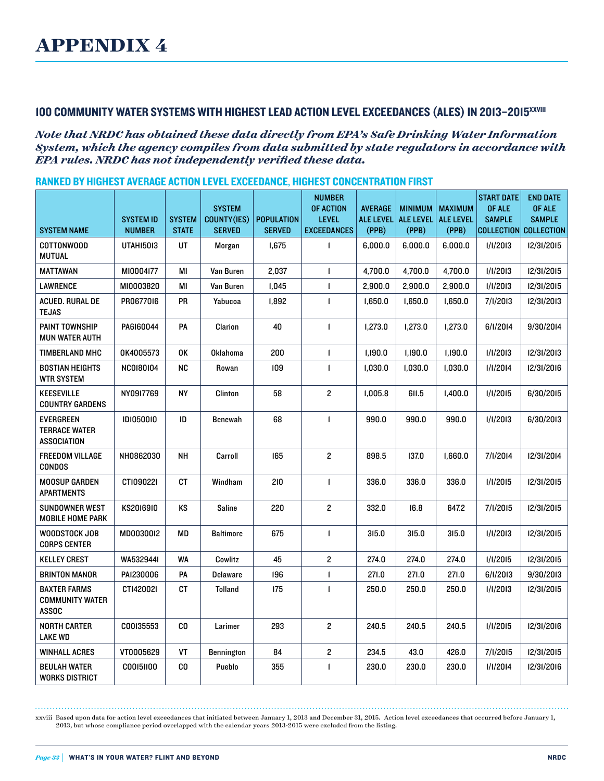## 100 COMMUNITY WATER SYSTEMS WITH HIGHEST LEAD ACTION LEVEL EXCEEDANCES (ALES) IN 2013–2015xxviii

*Note that NRDC has obtained these data directly from EPA's Safe Drinking Water Information System, which the agency compiles from data submitted by state regulators in accordance with EPA rules. NRDC has not independently verified these data.*

| <b>SYSTEM NAME</b>                                      | <b>SYSTEM ID</b><br><b>NUMBER</b> | <b>SYSTEM</b><br><b>STATE</b> | <b>SYSTEM</b><br><b>COUNTY(IES)</b><br><b>SERVED</b> | <b>POPULATION</b><br><b>SERVED</b> | <b>NUMBER</b><br>OF ACTION<br><b>LEVEL</b><br><b>EXCEEDANCES</b> | <b>AVERAGE</b><br><b>ALE LEVEL</b><br>(PPB) | <b>MINIMUM</b><br><b>ALE LEVEL</b><br>(PPB) | <b>MAXIMUM</b><br><b>ALE LEVEL</b><br>(PPB) | <b>START DATE</b><br>OF ALE<br><b>SAMPLE</b><br><b>COLLECTION</b> | <b>END DATE</b><br>OF ALE<br><b>SAMPLE</b><br><b>COLLECTION</b> |
|---------------------------------------------------------|-----------------------------------|-------------------------------|------------------------------------------------------|------------------------------------|------------------------------------------------------------------|---------------------------------------------|---------------------------------------------|---------------------------------------------|-------------------------------------------------------------------|-----------------------------------------------------------------|
| COTTONWOOD<br><b>MUTUAL</b>                             | <b>UTAHI5013</b>                  | UT                            | Morgan                                               | 1,675                              | $\blacksquare$                                                   | 6.000.0                                     | 6,000.0                                     | 6,000.0                                     | 1/1/2013                                                          | 12/31/2015                                                      |
| <b>MATTAWAN</b>                                         | MI0004I77                         | ΜI                            | Van Buren                                            | 2,037                              | $\mathbf{I}$                                                     | 4,700.0                                     | 4,700.0                                     | 4,700.0                                     | 1/1/2013                                                          | 12/31/2015                                                      |
| <b>LAWRENCE</b>                                         | MI0003820                         | ΜI                            | Van Buren                                            | 1,045                              | $\blacksquare$                                                   | 2,900.0                                     | 2,900.0                                     | 2,900.0                                     | 1/1/2013                                                          | 12/31/2015                                                      |
| ACUED. RURAL DE<br><b>TEJAS</b>                         | PR0677016                         | PR                            | Yabucoa                                              | 1,892                              | $\blacksquare$                                                   | 1,650.0                                     | 1,650.0                                     | 1,650.0                                     | 7/1/2013                                                          | 12/31/2013                                                      |
| PAINT TOWNSHIP<br><b>MUN WATER AUTH</b>                 | PA6160044                         | PA                            | Clarion                                              | 40                                 | $\blacksquare$                                                   | 1,273.0                                     | 1,273.0                                     | 1,273.0                                     | 6/1/2014                                                          | 9/30/2014                                                       |
| TIMBERLAND MHC                                          | 0K4005573                         | 0K                            | <b>Oklahoma</b>                                      | 200                                | $\blacksquare$                                                   | 1,190.0                                     | 1,190.0                                     | 1,190.0                                     | 1/1/2013                                                          | 12/31/2013                                                      |
| <b>BOSTIAN HEIGHTS</b><br><b>WTR SYSTEM</b>             | <b>NC0180104</b>                  | <b>NC</b>                     | Rowan                                                | 109                                | $\mathbf{I}$                                                     | 1,030.0                                     | 1,030.0                                     | 1,030.0                                     | 1/1/2014                                                          | 12/31/2016                                                      |
| <b>KEESEVILLE</b><br><b>COUNTRY GARDENS</b>             | NY0917769                         | <b>NY</b>                     | Clinton                                              | 58                                 | $\overline{c}$                                                   | 1,005.8                                     | 611.5                                       | 1,400.0                                     | 1/1/2015                                                          | 6/30/2015                                                       |
| <b>EVERGREEN</b><br><b>TERRACE WATER</b><br>ASSOCIATION | <b>IDI0500IO</b>                  | ID                            | <b>Benewah</b>                                       | 68                                 | $\mathbf{I}$                                                     | 990.0                                       | 990.0                                       | 990.0                                       | 1/1/2013                                                          | 6/30/2013                                                       |
| <b>FREEDOM VILLAGE</b><br><b>CONDOS</b>                 | NH0862030                         | <b>NH</b>                     | Carroll                                              | 165                                | $\overline{\mathbf{c}}$                                          | 898.5                                       | 137.0                                       | 1,660.0                                     | 7/1/2014                                                          | 12/31/2014                                                      |
| <b>MOOSUP GARDEN</b><br>APARTMENTS                      | CTI09022I                         | СT                            | Windham                                              | 210                                | $\blacksquare$                                                   | 336.0                                       | 336.0                                       | 336.0                                       | 1/1/2015                                                          | 12/31/2015                                                      |
| <b>SUNDOWNER WEST</b><br><b>MOBILE HOME PARK</b>        | KS2016910                         | KS                            | Saline                                               | 220                                | $\overline{\mathbf{c}}$                                          | 332.0                                       | 16.8                                        | 647.2                                       | 7/1/2015                                                          | 12/31/2015                                                      |
| WOODSTOCK JOB<br><b>CORPS CENTER</b>                    | MD0030012                         | MD                            | <b>Baltimore</b>                                     | 675                                | $\mathbf{I}$                                                     | 315.0                                       | 315.0                                       | 315.0                                       | 1/1/2013                                                          | 12/31/2015                                                      |
| <b>KELLEY CREST</b>                                     | WA5329441                         | <b>WA</b>                     | Cowlitz                                              | 45                                 | $\overline{\mathbf{c}}$                                          | 274.0                                       | 274.0                                       | 274.0                                       | 1/1/2015                                                          | 12/31/2015                                                      |
| <b>BRINTON MANOR</b>                                    | PAI230006                         | PA                            | <b>Delaware</b>                                      | 196                                | $\mathbf{I}$                                                     | 271.0                                       | 271.0                                       | 271.0                                       | 6/1/2013                                                          | 9/30/2013                                                       |
| <b>BAXTER FARMS</b><br><b>COMMUNITY WATER</b><br>ASSOC  | CT1420021                         | <b>CT</b>                     | <b>Tolland</b>                                       | 175                                | $\mathbf{I}$                                                     | 250.0                                       | 250.0                                       | 250.0                                       | 1/1/2013                                                          | 12/31/2015                                                      |
| NORTH CARTER<br>LAKE WD                                 | C00I35553                         | CO.                           | Larimer                                              | 293                                | $\overline{\mathbf{c}}$                                          | 240.5                                       | 240.5                                       | 240.5                                       | 1/1/2015                                                          | 12/31/2016                                                      |
| <b>WINHALL ACRES</b>                                    | VT0005629                         | VT                            | <b>Bennington</b>                                    | 84                                 | $\overline{\mathbf{c}}$                                          | 234.5                                       | 43.0                                        | 426.0                                       | 7/1/2015                                                          | 12/31/2015                                                      |
| <b>BEULAH WATER</b><br><b>WORKS DISTRICT</b>            | C00151100                         | CO                            | Pueblo                                               | 355                                | $\blacksquare$                                                   | 230.0                                       | 230.0                                       | 230.0                                       | 1/1/2014                                                          | 12/31/2016                                                      |

xxviii Based upon data for action level exceedances that initiated between January 1, 2013 and December 31, 2015. Action level exceedances that occurred before January 1, 2013, but whose compliance period overlapped with the calendar years 2013-2015 were excluded from the listing.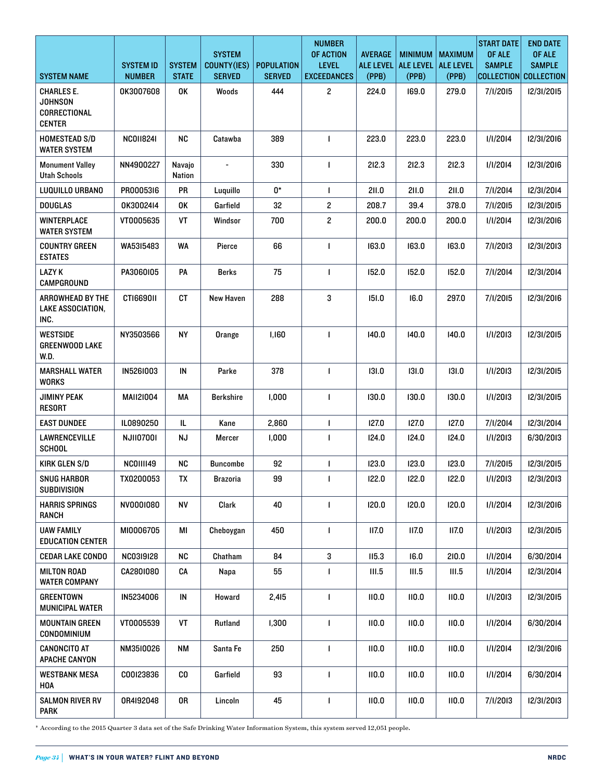|                                                               |                                   |                               | <b>SYSTEM</b>                |                                    | <b>NUMBER</b><br><b>OF ACTION</b>  | <b>AVERAGE</b>            | <b>MINIMUM</b>            | <b>MAXIMUM</b>            | <b>START DATE</b><br>OF ALE        | <b>END DATE</b><br>OF ALE          |
|---------------------------------------------------------------|-----------------------------------|-------------------------------|------------------------------|------------------------------------|------------------------------------|---------------------------|---------------------------|---------------------------|------------------------------------|------------------------------------|
| SYSTEM NAME                                                   | <b>SYSTEM ID</b><br><b>NUMBER</b> | <b>SYSTEM</b><br><b>STATE</b> | COUNTY(IES)<br><b>SERVED</b> | <b>POPULATION</b><br><b>SERVED</b> | <b>LEVEL</b><br><b>EXCEEDANCES</b> | <b>ALE LEVEL</b><br>(PPB) | <b>ALE LEVEL</b><br>(PPB) | <b>ALE LEVEL</b><br>(PPB) | <b>SAMPLE</b><br><b>COLLECTION</b> | <b>SAMPLE</b><br><b>COLLECTION</b> |
| CHARLES E.<br><b>JOHNSON</b><br>CORRECTIONAL<br><b>CENTER</b> | 0K3007608                         | 0K                            | Woods                        | 444                                | $\overline{\mathbf{c}}$            | 224.0                     | 169.0                     | 279.0                     | 7/1/2015                           | 12/31/2015                         |
| <b>HOMESTEAD S/D</b><br><b>WATER SYSTEM</b>                   | <b>NC0118241</b>                  | <b>NC</b>                     | Catawba                      | 389                                | $\mathbf{I}$                       | 223.0                     | 223.0                     | 223.0                     | 1/1/2014                           | 12/31/2016                         |
| <b>Monument Valley</b><br><b>Utah Schools</b>                 | NN4900227                         | Navajo<br>Nation              |                              | 330                                | $\mathbf{I}$                       | 212.3                     | 212.3                     | 212.3                     | 1/1/2014                           | 12/31/2016                         |
| LUQUILLO URBANO                                               | PR0005316                         | PR                            | Luquillo                     | 0*                                 | $\mathbf{I}$                       | 211.0                     | 211.0                     | 211.0                     | 7/1/2014                           | 12/31/2014                         |
| <b>DOUGLAS</b>                                                | 0K3002414                         | 0K                            | Garfield                     | 32                                 | $\overline{c}$                     | 208.7                     | 39.4                      | 378.0                     | 7/1/2015                           | 12/31/2015                         |
| WINTERPLACE<br><b>WATER SYSTEM</b>                            | VT0005635                         | VT                            | Windsor                      | 700                                | $\overline{c}$                     | 200.0                     | 200.0                     | 200.0                     | 1/1/2014                           | 12/31/2016                         |
| <b>COUNTRY GREEN</b><br><b>ESTATES</b>                        | WA5315483                         | <b>WA</b>                     | Pierce                       | 66                                 | $\mathbf{I}$                       | 163.0                     | 163.0                     | 163.0                     | 7/1/2013                           | 12/31/2013                         |
| <b>LAZY K</b><br>CAMPGROUND                                   | PA3060105                         | PA                            | <b>Berks</b>                 | 75                                 | $\mathbf{I}$                       | 152.0                     | 152.0                     | 152.0                     | 7/1/2014                           | 12/31/2014                         |
| ARROWHEAD BY THE<br>LAKE ASSOCIATION,<br>INC.                 | CTI669011                         | CT                            | New Haven                    | 288                                | 3                                  | 151.0                     | 16.0                      | 297.0                     | 7/1/2015                           | 12/31/2016                         |
| <b>WESTSIDE</b><br><b>GREENWOOD LAKE</b><br>W.D.              | NY3503566                         | <b>NY</b>                     | Orange                       | 1,160                              | $\mathbf{I}$                       | 140.0                     | 140.0                     | 140.0                     | 1/1/2013                           | 12/31/2015                         |
| <b>MARSHALL WATER</b><br><b>WORKS</b>                         | IN5261003                         | IN                            | Parke                        | 378                                | $\mathbf{I}$                       | 131.0                     | 131.0                     | 131.0                     | 1/1/2013                           | 12/31/2015                         |
| <b>JIMINY PEAK</b><br><b>RESORT</b>                           | MAII2I004                         | MA                            | <b>Berkshire</b>             | 1,000                              | $\mathbf{I}$                       | 130.0                     | 130.0                     | 130.0                     | 1/1/2013                           | 12/31/2015                         |
| <b>EAST DUNDEE</b>                                            | IL0890250                         | IL                            | Kane                         | 2,860                              | $\mathbf{I}$                       | 127.0                     | 127.0                     | 127.0                     | 7/1/2014                           | 12/31/2014                         |
| <b>LAWRENCEVILLE</b><br><b>SCHOOL</b>                         | <b>NJII0700I</b>                  | ΝJ                            | Mercer                       | 1,000                              | $\mathbf{I}$                       | 124.0                     | 124.0                     | 124.0                     | 1/1/2013                           | 6/30/2013                          |
| KIRK GLEN S/D                                                 | NCOIIII49                         | NC                            | Buncombe                     | 92                                 | $\mathbf{I}$                       | 123.0                     | 123.0                     | 123.0                     | 7/1/2015                           | 12/31/2015                         |
| <b>SNUG HARBOR</b><br>SUBDIVISION                             | TX0200053                         | <b>TX</b>                     | <b>Brazoria</b>              | 99                                 | $\mathbf{I}$                       | 122.0                     | 122.0                     | 122.0                     | 1/1/2013                           | 12/31/2013                         |
| <b>HARRIS SPRINGS</b><br>RANCH                                | NV0001080                         | ΝV                            | Clark                        | 40                                 | $\mathbf{I}$                       | 120.0                     | 120.0                     | 120.0                     | 1/1/2014                           | 12/31/2016                         |
| <b>UAW FAMILY</b><br><b>EDUCATION CENTER</b>                  | MI0006705                         | МI                            | Cheboygan                    | 450                                | $\mathbf{I}$                       | 117.0                     | II7.0                     | II7.0                     | 1/1/2013                           | 12/31/2015                         |
| CEDAR LAKE CONDO                                              | <b>NC03I9I28</b>                  | <b>NC</b>                     | Chatham                      | 84                                 | 3                                  | II5.3                     | 16.0                      | 210.0                     | 1/1/2014                           | 6/30/2014                          |
| <b>MILTON ROAD</b><br><b>WATER COMPANY</b>                    | CA2801080                         | CA                            | Napa                         | 55                                 | $\mathbf{I}$                       | III.5                     | III.5                     | III.5                     | 1/1/2014                           | 12/31/2014                         |
| GREENTOWN<br><b>MUNICIPAL WATER</b>                           | IN5234006                         | IN                            | Howard                       | 2,415                              | $\mathbf{I}$                       | 110.0                     | 110.0                     | 110.0                     | 1/1/2013                           | 12/31/2015                         |
| MOUNTAIN GREEN<br>CONDOMINIUM                                 | VT0005539                         | VT                            | Rutland                      | 1,300                              | $\mathbf{I}$                       | 110.0                     | 110.0                     | 110.0                     | 1/1/2014                           | 6/30/2014                          |
| <b>CANONCITO AT</b><br><b>APACHE CANYON</b>                   | NM3510026                         | ΝM                            | Santa Fe                     | 250                                | $\mathbf{I}$                       | 110.0                     | 110.0                     | 110.0                     | 1/1/2014                           | 12/31/2016                         |
| <b>WESTBANK MESA</b><br>HOA                                   | C00I23836                         | C0                            | Garfield                     | 93                                 | $\mathbf{I}$                       | 110.0                     | 110.0                     | 110.0                     | 1/1/2014                           | 6/30/2014                          |
| <b>SALMON RIVER RV</b><br><b>PARK</b>                         | 0R4I92048                         | 0R                            | Lincoln                      | 45                                 | $\mathbf{I}$                       | 110.0                     | 110.0                     | 110.0                     | 7/I/2013                           | 12/31/2013                         |

\* According to the 2015 Quarter 3 data set of the Safe Drinking Water Information System, this system served 12,051 people.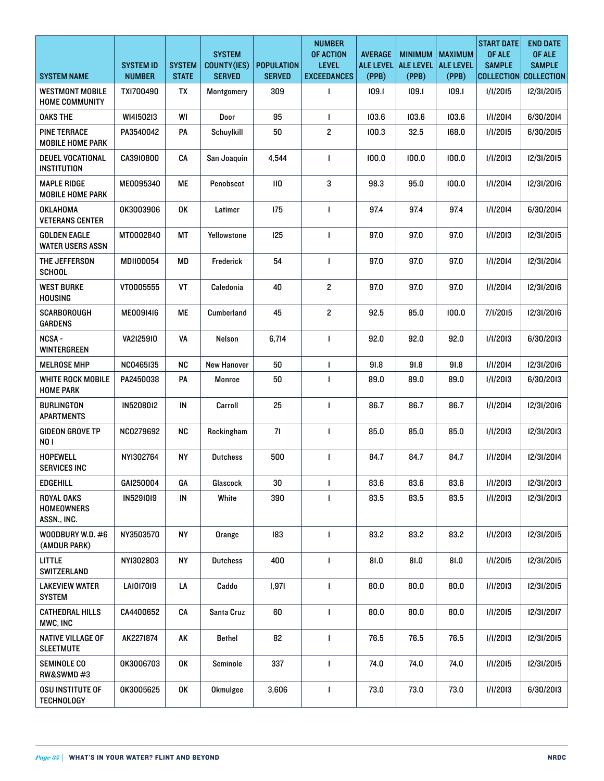| <b>SYSTEM NAME</b>                              | <b>SYSTEM ID</b><br><b>NUMBER</b> | <b>SYSTEM</b><br><b>STATE</b> | <b>SYSTEM</b><br>COUNTY(IES)<br><b>SERVED</b> | <b>POPULATION</b><br><b>SERVED</b> | <b>NUMBER</b><br>OF ACTION<br><b>LEVEL</b><br><b>EXCEEDANCES</b> | <b>AVERAGE</b><br><b>ALE LEVEL</b><br>(PPB) | <b>MINIMUM</b><br><b>ALE LEVEL</b><br>(PPB) | <b>MAXIMUM</b><br><b>ALE LEVEL</b><br>(PPB) | <b>START DATE</b><br>OF ALE<br><b>SAMPLE</b><br>COLLECTION COLLECTION | <b>END DATE</b><br>OF ALE<br><b>SAMPLE</b> |
|-------------------------------------------------|-----------------------------------|-------------------------------|-----------------------------------------------|------------------------------------|------------------------------------------------------------------|---------------------------------------------|---------------------------------------------|---------------------------------------------|-----------------------------------------------------------------------|--------------------------------------------|
| <b>WESTMONT MOBILE</b><br><b>HOME COMMUNITY</b> | TXI700490                         | TX                            | Montgomery                                    | 309                                | $\mathbf{I}$                                                     | 109.1                                       | 109.1                                       | 109.1                                       | 1/1/2015                                                              | 12/31/2015                                 |
| <b>OAKS THE</b>                                 | WI4150213                         | WI                            | Door                                          | 95                                 | $\mathbf{I}$                                                     | 103.6                                       | 103.6                                       | 103.6                                       | 1/1/2014                                                              | 6/30/2014                                  |
| <b>PINE TERRACE</b><br><b>MOBILE HOME PARK</b>  | PA3540042                         | PA                            | Schuylkill                                    | 50                                 | $\overline{\mathbf{c}}$                                          | 100.3                                       | 32.5                                        | 168.0                                       | 1/1/2015                                                              | 6/30/2015                                  |
| <b>DEUEL VOCATIONAL</b><br><b>INSTITUTION</b>   | CA3910800                         | CA                            | San Joaquin                                   | 4,544                              | $\mathbf{I}$                                                     | 100.0                                       | 100.0                                       | 100.0                                       | 1/1/2013                                                              | 12/31/2015                                 |
| MAPLE RIDGE<br><b>MOBILE HOME PARK</b>          | ME0095340                         | МE                            | Penobscot                                     | $\mathsf{II0}$                     | 3                                                                | 98.3                                        | 95.0                                        | 100.0                                       | 1/1/2014                                                              | 12/31/2016                                 |
| OKLAHOMA<br><b>VETERANS CENTER</b>              | 0K3003906                         | OK                            | Latimer                                       | 175                                | $\mathbf{I}$                                                     | 97.4                                        | 97.4                                        | 97.4                                        | 1/1/2014                                                              | 6/30/2014                                  |
| <b>GOLDEN EAGLE</b><br><b>WATER USERS ASSN</b>  | MT0002840                         | МT                            | Yellowstone                                   | 125                                | $\mathbf{I}$                                                     | 97.0                                        | 97.0                                        | 97.0                                        | 1/1/2013                                                              | 12/31/2015                                 |
| THE JEFFERSON<br><b>SCHOOL</b>                  | MDII00054                         | MD                            | Frederick                                     | 54                                 | $\mathbf{I}$                                                     | 97.0                                        | 97.0                                        | 97.0                                        | 1/1/2014                                                              | 12/31/2014                                 |
| <b>WEST BURKE</b><br><b>HOUSING</b>             | VT0005555                         | VT                            | Caledonia                                     | 40                                 | $\overline{\mathbf{c}}$                                          | 97.0                                        | 97.0                                        | 97.0                                        | 1/1/2014                                                              | 12/31/2016                                 |
| <b>SCARBOROUGH</b><br><b>GARDENS</b>            | ME0091416                         | ME                            | Cumberland                                    | 45                                 | $\mathbf{2}$                                                     | 92.5                                        | 85.0                                        | 100.0                                       | 7/I/2015                                                              | 12/31/2016                                 |
| NCSA-<br><b>WINTERGREEN</b>                     | VA2I25910                         | VA                            | Nelson                                        | 6,714                              | $\mathbf{I}$                                                     | 92.0                                        | 92.0                                        | 92.0                                        | 1/1/2013                                                              | 6/30/2013                                  |
| <b>MELROSE MHP</b>                              | NC0465135                         | <b>NC</b>                     | <b>New Hanover</b>                            | 50                                 | $\mathbf{I}$                                                     | 91.8                                        | 91.8                                        | 91.8                                        | 1/1/2014                                                              | 12/31/2016                                 |
| <b>WHITE ROCK MOBILE</b><br><b>HOME PARK</b>    | PA2450038                         | PA                            | Monroe                                        | 50                                 | $\mathbf{I}$                                                     | 89.0                                        | 89.0                                        | 89.0                                        | 1/1/2013                                                              | 6/30/2013                                  |
| <b>BURLINGTON</b><br><b>APARTMENTS</b>          | IN5208012                         | ${\sf IN}$                    | Carroll                                       | 25                                 | $\mathbf{I}$                                                     | 86.7                                        | 86.7                                        | 86.7                                        | 1/1/2014                                                              | 12/31/2016                                 |
| <b>GIDEON GROVE TP</b><br><b>NO1</b>            | NC0279692                         | <b>NC</b>                     | Rockingham                                    | 71                                 | $\mathbf{I}$                                                     | 85.0                                        | 85.0                                        | 85.0                                        | 1/1/2013                                                              | 12/31/2013                                 |
| <b>HOPEWELL</b><br><b>SERVICES INC</b>          | NYI302764                         | <b>NY</b>                     | <b>Dutchess</b>                               | 500                                | $\mathbf{I}$                                                     | 84.7                                        | 84.7                                        | 84.7                                        | 1/1/2014                                                              | 12/31/2014                                 |
| <b>EDGEHILL</b>                                 | GAI250004                         | GA                            | Glascock                                      | 30                                 | $\mathbf{I}$                                                     | 83.6                                        | 83.6                                        | 83.6                                        | 1/1/2013                                                              | 12/31/2013                                 |
| <b>ROYAL OAKS</b><br>HOMEOWNERS<br>ASSN., INC.  | IN5291019                         | IN                            | White                                         | 390                                |                                                                  | 83.5                                        | 83.5                                        | 83.5                                        | 1/1/2013                                                              | 12/31/2013                                 |
| WOODBURY W.D. #6<br>(AMDUR PARK)                | NY3503570                         | <b>NY</b>                     | Orange                                        | 183                                | $\mathbf{I}$                                                     | 83.2                                        | 83.2                                        | 83.2                                        | 1/1/2013                                                              | 12/31/2015                                 |
| <b>LITTLE</b><br>SWITZERLAND                    | NYI302803                         | <b>NY</b>                     | <b>Dutchess</b>                               | 400                                | $\mathbf{I}$                                                     | 81.0                                        | 81.0                                        | 81.0                                        | 1/1/2015                                                              | 12/31/2015                                 |
| <b>LAKEVIEW WATER</b><br><b>SYSTEM</b>          | LAI017019                         | LA                            | Caddo                                         | 1,971                              | $\mathbf{I}$                                                     | 80.0                                        | 80.0                                        | 80.0                                        | 1/1/2013                                                              | 12/31/2015                                 |
| <b>CATHEDRAL HILLS</b><br>MWC, INC              | CA4400652                         | CA                            | Santa Cruz                                    | 60                                 | $\mathbf{I}$                                                     | 80.0                                        | 80.0                                        | 80.0                                        | 1/1/2015                                                              | 12/31/2017                                 |
| NATIVE VILLAGE OF<br><b>SLEETMUTE</b>           | AK2271874                         | AK                            | Bethel                                        | 82                                 | $\mathbf{I}$                                                     | 76.5                                        | 76.5                                        | 76.5                                        | 1/1/2013                                                              | 12/31/2015                                 |
| SEMINOLE CO<br>RW&SWMD#3                        | 0K3006703                         | 0K                            | Seminole                                      | 337                                | $\mathbf{I}$                                                     | 74.0                                        | 74.0                                        | 74.0                                        | 1/1/2015                                                              | 12/31/2015                                 |
| OSU INSTITUTE OF<br><b>TECHNOLOGY</b>           | OK3005625                         | 0K                            | <b>Okmulgee</b>                               | 3,606                              | $\mathbf{I}$                                                     | 73.0                                        | 73.0                                        | 73.0                                        | 1/1/2013                                                              | 6/30/2013                                  |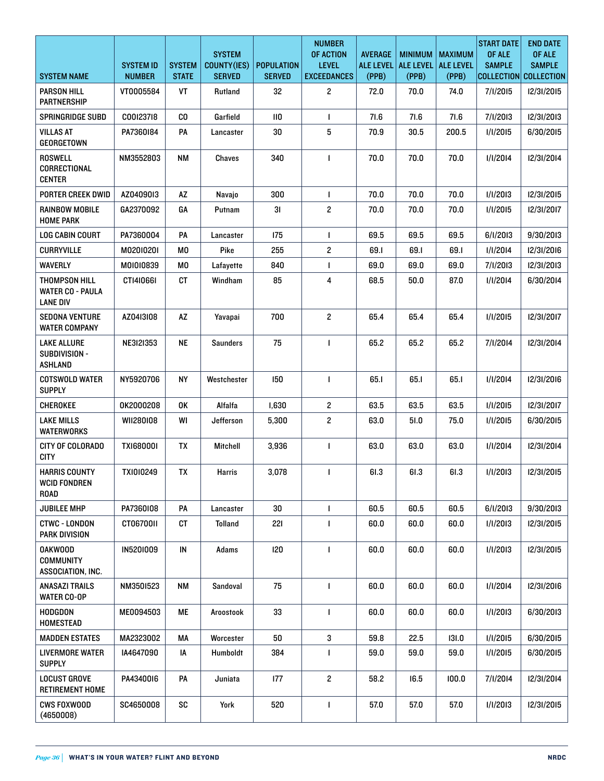|                                                             | <b>SYSTEM ID</b><br><b>NUMBER</b> | <b>SYSTEM</b><br><b>STATE</b> | <b>SYSTEM</b><br>COUNTY(IES) | <b>POPULATION</b><br><b>SERVED</b> | <b>NUMBER</b><br>OF ACTION<br><b>LEVEL</b> | <b>AVERAGE</b><br><b>ALE LEVEL</b> | <b>MINIMUM</b><br><b>ALE LEVEL</b> | <b>MAXIMUM</b><br><b>ALE LEVEL</b><br>(PPB) | <b>START DATE</b><br>OF ALE<br><b>SAMPLE</b><br>COLLECTION COLLECTION | <b>END DATE</b><br>OF ALE<br><b>SAMPLE</b> |
|-------------------------------------------------------------|-----------------------------------|-------------------------------|------------------------------|------------------------------------|--------------------------------------------|------------------------------------|------------------------------------|---------------------------------------------|-----------------------------------------------------------------------|--------------------------------------------|
| <b>SYSTEM NAME</b>                                          |                                   |                               | <b>SERVED</b>                |                                    | <b>EXCEEDANCES</b>                         | (PPB)                              | (PPB)                              |                                             |                                                                       |                                            |
| <b>PARSON HILL</b><br><b>PARTNERSHIP</b>                    | VT0005584                         | VT                            | Rutland                      | 32                                 | $\overline{c}$                             | 72.0                               | 70.0                               | 74.0                                        | 7/1/2015                                                              | 12/31/2015                                 |
| <b>SPRINGRIDGE SUBD</b>                                     | C00I237I8                         | CO                            | Garfield                     | $\mathsf{II0}$                     | $\mathbf{I}$                               | 71.6                               | 71.6                               | 71.6                                        | 7/1/2013                                                              | 12/31/2013                                 |
| <b>VILLAS AT</b><br>GEORGETOWN                              | PA7360184                         | PA                            | Lancaster                    | 30                                 | 5                                          | 70.9                               | 30.5                               | 200.5                                       | 1/1/2015                                                              | 6/30/2015                                  |
| <b>ROSWELL</b><br>CORRECTIONAL<br><b>CENTER</b>             | NM3552803                         | <b>NM</b>                     | Chaves                       | 340                                | $\mathbf{I}$                               | 70.0                               | 70.0                               | 70.0                                        | 1/1/2014                                                              | 12/31/2014                                 |
| <b>PORTER CREEK DWID</b>                                    | AZ0409013                         | AZ                            | Navajo                       | 300                                | $\mathbf{I}$                               | 70.0                               | 70.0                               | 70.0                                        | 1/1/2013                                                              | 12/31/2015                                 |
| <b>RAINBOW MOBILE</b><br><b>HOME PARK</b>                   | GA2370092                         | GА                            | Putnam                       | 31                                 | $\overline{\mathbf{c}}$                    | 70.0                               | 70.0                               | 70.0                                        | 1/1/2015                                                              | 12/31/2017                                 |
| <b>LOG CABIN COURT</b>                                      | PA7360004                         | PA                            | Lancaster                    | 175                                | $\mathbf{I}$                               | 69.5                               | 69.5                               | 69.5                                        | 6/1/2013                                                              | 9/30/2013                                  |
| <b>CURRYVILLE</b>                                           | M02010201                         | M0                            | Pike                         | 255                                | 2                                          | 69.1                               | 69.1                               | 69.1                                        | 1/1/2014                                                              | 12/31/2016                                 |
| <b>WAVERLY</b>                                              | M01010839                         | M <sub>0</sub>                | Lafayette                    | 840                                | $\mathbf{I}$                               | 69.0                               | 69.0                               | 69.0                                        | 7/I/2013                                                              | 12/31/2013                                 |
| THOMPSON HILL<br><b>WATER CO - PAULA</b><br><b>LANE DIV</b> | CT1410661                         | CT                            | Windham                      | 85                                 | 4                                          | 68.5                               | 50.0                               | 87.0                                        | 1/1/2014                                                              | 6/30/2014                                  |
| <b>SEDONA VENTURE</b><br><b>WATER COMPANY</b>               | AZ04I3I08                         | AZ                            | Yavapai                      | 700                                | $\overline{\mathbf{c}}$                    | 65.4                               | 65.4                               | 65.4                                        | 1/1/2015                                                              | 12/31/2017                                 |
| <b>LAKE ALLURE</b><br>SUBDIVISION -<br><b>ASHLAND</b>       | NE3121353                         | <b>NE</b>                     | <b>Saunders</b>              | 75                                 | $\mathbf{I}$                               | 65.2                               | 65.2                               | 65.2                                        | 7/1/2014                                                              | 12/31/2014                                 |
| <b>COTSWOLD WATER</b><br><b>SUPPLY</b>                      | NY5920706                         | <b>NY</b>                     | Westchester                  | 150                                | $\mathbf{I}$                               | 65.1                               | 65.1                               | 65.1                                        | 1/1/2014                                                              | 12/31/2016                                 |
| <b>CHEROKEE</b>                                             | 0K2000208                         | 0K                            | Alfalfa                      | 1,630                              | $\overline{\mathbf{c}}$                    | 63.5                               | 63.5                               | 63.5                                        | 1/1/2015                                                              | 12/31/2017                                 |
| <b>LAKE MILLS</b><br>WATERWORKS                             | WII280I08                         | WI                            | Jefferson                    | 5,300                              | $\overline{\mathbf{c}}$                    | 63.0                               | 51.0                               | 75.0                                        | 1/1/2015                                                              | 6/30/2015                                  |
| CITY OF COLORADO<br><b>CITY</b>                             | <b>TXI680001</b>                  | TX                            | <b>Mitchell</b>              | 3,936                              | $\mathbf{I}$                               | 63.0                               | 63.0                               | 63.0                                        | 1/1/2014                                                              | 12/31/2014                                 |
| <b>HARRIS COUNTY</b><br><b>WCID FONDREN</b><br><b>ROAD</b>  | TX1010249                         | TX                            | Harris                       | 3,078                              | $\mathbf{I}$                               | 61.3                               | 61.3                               | 61.3                                        | 1/1/2013                                                              | 12/31/2015                                 |
| <b>JUBILEE MHP</b>                                          | PA7360108                         | PA                            | Lancaster                    | 30                                 | $\mathbf{I}$                               | 60.5                               | 60.5                               | 60.5                                        | 6/1/2013                                                              | 9/30/2013                                  |
| <b>CTWC - LONDON</b><br><b>PARK DIVISION</b>                | CT06700II                         | CT                            | <b>Tolland</b>               | 221                                | $\mathbf{I}$                               | 60.0                               | 60.0                               | 60.0                                        | 1/1/2013                                                              | 12/31/2015                                 |
| <b>OAKWOOD</b><br><b>COMMUNITY</b><br>ASSOCIATION, INC.     | IN5201009                         | ${\sf IN}$                    | Adams                        | 120                                | $\blacksquare$                             | 60.0                               | 60.0                               | 60.0                                        | 1/1/2013                                                              | 12/31/2015                                 |
| ANASAZI TRAILS<br><b>WATER CO-OP</b>                        | NM3501523                         | <b>NM</b>                     | Sandoval                     | 75                                 | $\mathbf{I}$                               | 60.0                               | 60.0                               | 60.0                                        | 1/1/2014                                                              | 12/31/2016                                 |
| <b>HODGDON</b><br>HOMESTEAD                                 | ME0094503                         | МE                            | Aroostook                    | 33                                 | $\mathbf{I}$                               | 60.0                               | 60.0                               | 60.0                                        | 1/1/2013                                                              | 6/30/2013                                  |
| <b>MADDEN ESTATES</b>                                       | MA2323002                         | МA                            | Worcester                    | 50                                 | 3                                          | 59.8                               | 22.5                               | 131.0                                       | 1/1/2015                                                              | 6/30/2015                                  |
| LIVERMORE WATER<br><b>SUPPLY</b>                            | IA4647090                         | IA                            | Humboldt                     | 384                                | $\mathbf{I}$                               | 59.0                               | 59.0                               | 59.0                                        | 1/1/2015                                                              | 6/30/2015                                  |
| <b>LOCUST GROVE</b><br><b>RETIREMENT HOME</b>               | PA4340016                         | PA                            | Juniata                      | 177                                | $\overline{\mathbf{c}}$                    | 58.2                               | 16.5                               | 100.0                                       | 7/1/2014                                                              | 12/31/2014                                 |
| <b>CWS FOXWOOD</b><br>(4650008)                             | SC4650008                         | SC                            | York                         | 520                                | $\mathbf{I}$                               | 57.0                               | 57.0                               | 57.0                                        | 1/1/2013                                                              | 12/31/2015                                 |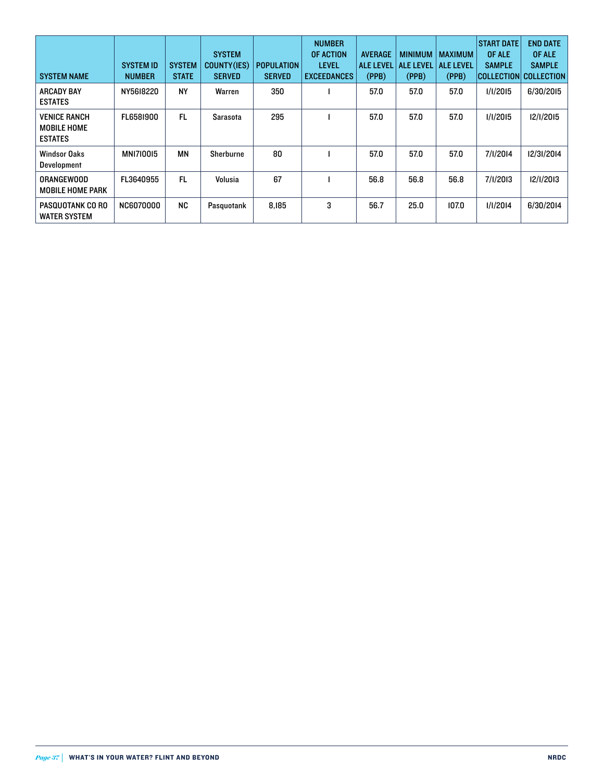| <b>SYSTEM NAME</b>                                          | <b>SYSTEM ID</b><br><b>NUMBER</b> | <b>SYSTEM</b><br><b>STATE</b> | <b>SYSTEM</b><br><b>COUNTY(IES)</b><br><b>SERVED</b> | <b>POPULATION</b><br><b>SERVED</b> | <b>NUMBER</b><br>OF ACTION<br><b>LEVEL</b><br><b>EXCEEDANCES</b> | <b>AVERAGE</b><br><b>ALE LEVEL</b><br>(PPB) | <b>MINIMUM</b><br><b>ALE LEVEL</b><br>(PPB) | <b>MAXIMUM</b><br><b>ALE LEVEL</b><br>(PPB) | <b>START DATE</b><br>OF ALE<br><b>SAMPLE</b><br> COLLECTION  COLLECTION | <b>END DATE</b><br>OF ALE<br><b>SAMPLE</b> |
|-------------------------------------------------------------|-----------------------------------|-------------------------------|------------------------------------------------------|------------------------------------|------------------------------------------------------------------|---------------------------------------------|---------------------------------------------|---------------------------------------------|-------------------------------------------------------------------------|--------------------------------------------|
| <b>ARCADY BAY</b><br><b>ESTATES</b>                         | NY5618220                         | <b>NY</b>                     | Warren                                               | 350                                |                                                                  | 57.0                                        | 57.0                                        | 57.0                                        | 1/1/2015                                                                | 6/30/2015                                  |
| <b>VENICE RANCH</b><br><b>MOBILE HOME</b><br><b>ESTATES</b> | FL6581900                         | FL.                           | Sarasota                                             | 295                                |                                                                  | 57.0                                        | 57.0                                        | 57.0                                        | 1/1/2015                                                                | 12/1/2015                                  |
| <b>Windsor Oaks</b><br><b>Development</b>                   | <b>MNI7I0015</b>                  | ΜN                            | Sherburne                                            | 80                                 |                                                                  | 57.0                                        | 57.0                                        | 57.0                                        | 7/1/2014                                                                | 12/31/2014                                 |
| <b>ORANGEWOOD</b><br><b>MOBILE HOME PARK</b>                | FL3640955                         | FL.                           | Volusia                                              | 67                                 |                                                                  | 56.8                                        | 56.8                                        | 56.8                                        | 7/1/2013                                                                | 12/1/2013                                  |
| PASQUOTANK CO RO<br><b>WATER SYSTEM</b>                     | <b>NC6070000</b>                  | <b>NC</b>                     | Pasquotank                                           | 8,185                              | 3                                                                | 56.7                                        | 25.0                                        | 107.0                                       | 1/1/2014                                                                | 6/30/2014                                  |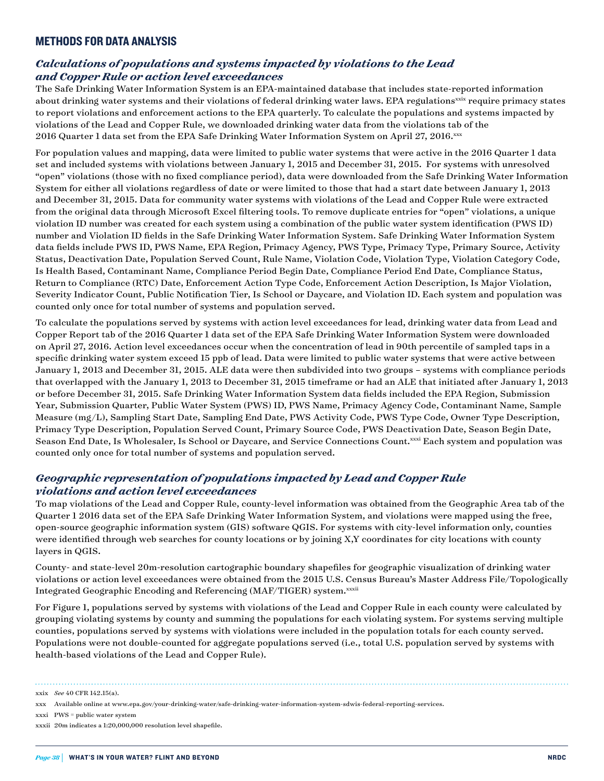#### METHODS FOR DATA ANALYSIS

#### *Calculations of populations and systems impacted by violations to the Lead and Copper Rule or action level exceedances*

The Safe Drinking Water Information System is an EPA-maintained database that includes state-reported information about drinking water systems and their violations of federal drinking water laws. EPA regulations<sup>xxix</sup> require primacy states to report violations and enforcement actions to the EPA quarterly. To calculate the populations and systems impacted by violations of the Lead and Copper Rule, we downloaded drinking water data from the violations tab of the 2016 Quarter 1 data set from the EPA Safe Drinking Water Information System on April 27, 2016.xxx

For population values and mapping, data were limited to public water systems that were active in the 2016 Quarter 1 data set and included systems with violations between January 1, 2015 and December 31, 2015. For systems with unresolved "open" violations (those with no fixed compliance period), data were downloaded from the Safe Drinking Water Information System for either all violations regardless of date or were limited to those that had a start date between January 1, 2013 and December 31, 2015. Data for community water systems with violations of the Lead and Copper Rule were extracted from the original data through Microsoft Excel filtering tools. To remove duplicate entries for "open" violations, a unique violation ID number was created for each system using a combination of the public water system identification (PWS ID) number and Violation ID fields in the Safe Drinking Water Information System. Safe Drinking Water Information System data fields include PWS ID, PWS Name, EPA Region, Primacy Agency, PWS Type, Primacy Type, Primary Source, Activity Status, Deactivation Date, Population Served Count, Rule Name, Violation Code, Violation Type, Violation Category Code, Is Health Based, Contaminant Name, Compliance Period Begin Date, Compliance Period End Date, Compliance Status, Return to Compliance (RTC) Date, Enforcement Action Type Code, Enforcement Action Description, Is Major Violation, Severity Indicator Count, Public Notification Tier, Is School or Daycare, and Violation ID. Each system and population was counted only once for total number of systems and population served.

To calculate the populations served by systems with action level exceedances for lead, drinking water data from Lead and Copper Report tab of the 2016 Quarter 1 data set of the EPA Safe Drinking Water Information System were downloaded on April 27, 2016. Action level exceedances occur when the concentration of lead in 90th percentile of sampled taps in a specific drinking water system exceed 15 ppb of lead. Data were limited to public water systems that were active between January 1, 2013 and December 31, 2015. ALE data were then subdivided into two groups – systems with compliance periods that overlapped with the January 1, 2013 to December 31, 2015 timeframe or had an ALE that initiated after January 1, 2013 or before December 31, 2015. Safe Drinking Water Information System data fields included the EPA Region, Submission Year, Submission Quarter, Public Water System (PWS) ID, PWS Name, Primacy Agency Code, Contaminant Name, Sample Measure (mg/L), Sampling Start Date, Sampling End Date, PWS Activity Code, PWS Type Code, Owner Type Description, Primacy Type Description, Population Served Count, Primary Source Code, PWS Deactivation Date, Season Begin Date, Season End Date, Is Wholesaler, Is School or Daycare, and Service Connections Count.xxxi Each system and population was counted only once for total number of systems and population served.

#### *Geographic representation of populations impacted by Lead and Copper Rule violations and action level exceedances*

To map violations of the Lead and Copper Rule, county-level information was obtained from the Geographic Area tab of the Quarter 1 2016 data set of the EPA Safe Drinking Water Information System, and violations were mapped using the free, open-source geographic information system (GIS) software QGIS. For systems with city-level information only, counties were identified through web searches for county locations or by joining X,Y coordinates for city locations with county layers in QGIS.

County- and state-level 20m-resolution cartographic boundary shapefiles for geographic visualization of drinking water violations or action level exceedances were obtained from the 2015 U.S. Census Bureau's Master Address File/Topologically Integrated Geographic Encoding and Referencing (MAF/TIGER) system.xxxii

For Figure 1, populations served by systems with violations of the Lead and Copper Rule in each county were calculated by grouping violating systems by county and summing the populations for each violating system. For systems serving multiple counties, populations served by systems with violations were included in the population totals for each county served. Populations were not double-counted for aggregate populations served (i.e., total U.S. population served by systems with health-based violations of the Lead and Copper Rule).

xxxi PWS = public water system

xxix *See* 40 CFR 142.15(a).

xxx Available online at [www.epa.gov/your-drinking-water/safe-drinking-water-information-system-sdwis-federal-reporting-services.](http://www.epa.gov/your-drinking-water/safe-drinking-water-information-system-sdwis-federal-reporting-services)

xxxii 20m indicates a 1:20,000,000 resolution level shapefile.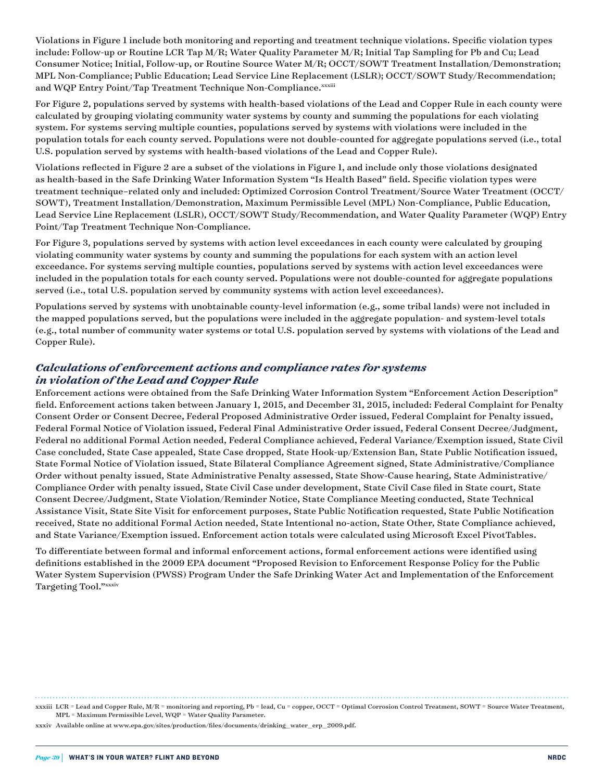Violations in Figure 1 include both monitoring and reporting and treatment technique violations. Specific violation types include: Follow-up or Routine LCR Tap M/R; Water Quality Parameter M/R; Initial Tap Sampling for Pb and Cu; Lead Consumer Notice; Initial, Follow-up, or Routine Source Water M/R; OCCT/SOWT Treatment Installation/Demonstration; MPL Non-Compliance; Public Education; Lead Service Line Replacement (LSLR); OCCT/SOWT Study/Recommendation; and WQP Entry Point/Tap Treatment Technique Non-Compliance. ${}^{xxxxii}$ 

For Figure 2, populations served by systems with health-based violations of the Lead and Copper Rule in each county were calculated by grouping violating community water systems by county and summing the populations for each violating system. For systems serving multiple counties, populations served by systems with violations were included in the population totals for each county served. Populations were not double-counted for aggregate populations served (i.e., total U.S. population served by systems with health-based violations of the Lead and Copper Rule).

Violations reflected in Figure 2 are a subset of the violations in Figure 1, and include only those violations designated as health-based in the Safe Drinking Water Information System "Is Health Based" field. Specific violation types were treatment technique–related only and included: Optimized Corrosion Control Treatment/Source Water Treatment (OCCT/ SOWT), Treatment Installation/Demonstration, Maximum Permissible Level (MPL) Non-Compliance, Public Education, Lead Service Line Replacement (LSLR), OCCT/SOWT Study/Recommendation, and Water Quality Parameter (WQP) Entry Point/Tap Treatment Technique Non-Compliance.

For Figure 3, populations served by systems with action level exceedances in each county were calculated by grouping violating community water systems by county and summing the populations for each system with an action level exceedance. For systems serving multiple counties, populations served by systems with action level exceedances were included in the population totals for each county served. Populations were not double-counted for aggregate populations served (i.e., total U.S. population served by community systems with action level exceedances).

Populations served by systems with unobtainable county-level information (e.g., some tribal lands) were not included in the mapped populations served, but the populations were included in the aggregate population- and system-level totals (e.g., total number of community water systems or total U.S. population served by systems with violations of the Lead and Copper Rule).

#### *Calculations of enforcement actions and compliance rates for systems in violation of the Lead and Copper Rule*

Enforcement actions were obtained from the Safe Drinking Water Information System "Enforcement Action Description" field. Enforcement actions taken between January 1, 2015, and December 31, 2015, included: Federal Complaint for Penalty Consent Order or Consent Decree, Federal Proposed Administrative Order issued, Federal Complaint for Penalty issued, Federal Formal Notice of Violation issued, Federal Final Administrative Order issued, Federal Consent Decree/Judgment, Federal no additional Formal Action needed, Federal Compliance achieved, Federal Variance/Exemption issued, State Civil Case concluded, State Case appealed, State Case dropped, State Hook-up/Extension Ban, State Public Notification issued, State Formal Notice of Violation issued, State Bilateral Compliance Agreement signed, State Administrative/Compliance Order without penalty issued, State Administrative Penalty assessed, State Show-Cause hearing, State Administrative/ Compliance Order with penalty issued, State Civil Case under development, State Civil Case filed in State court, State Consent Decree/Judgment, State Violation/Reminder Notice, State Compliance Meeting conducted, State Technical Assistance Visit, State Site Visit for enforcement purposes, State Public Notification requested, State Public Notification received, State no additional Formal Action needed, State Intentional no-action, State Other, State Compliance achieved, and State Variance/Exemption issued. Enforcement action totals were calculated using Microsoft Excel PivotTables.

To differentiate between formal and informal enforcement actions, formal enforcement actions were identified using definitions established in the 2009 EPA document "Proposed Revision to Enforcement Response Policy for the Public Water System Supervision (PWSS) Program Under the Safe Drinking Water Act and Implementation of the Enforcement Targeting Tool."xxxiv

xxxiv Available online at [www.epa.gov/sites/production/files/documents/drinking\\_water\\_erp\\_2009.pdf](file:///Users/suerossi/Desktop/Flint%20water%20IP%2016-06-A/Text/www.epa.gov/sites/production/files/documents/drinking_water_erp_2009.pdf).

xxxiii LCR = Lead and Copper Rule, M/R = monitoring and reporting, Pb = lead, Cu = copper, OCCT = Optimal Corrosion Control Treatment, SOWT = Source Water Treatment, MPL = Maximum Permissible Level, WQP = Water Quality Parameter.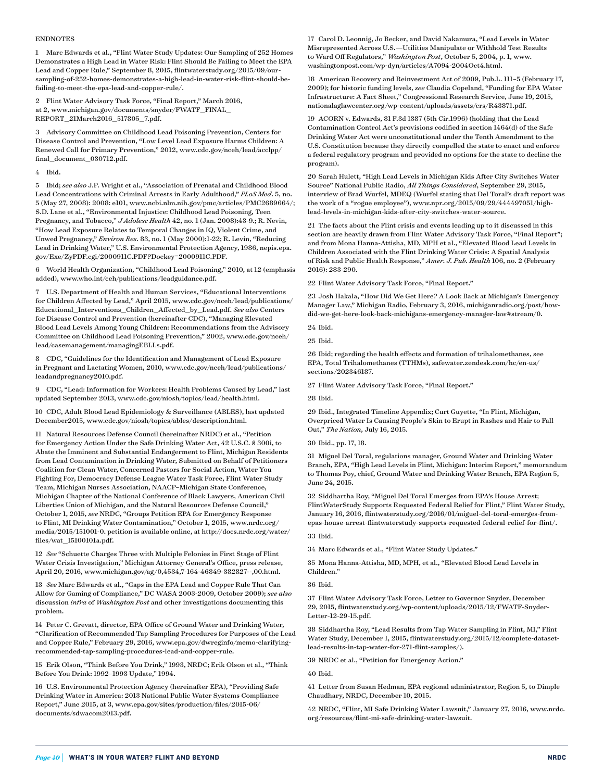#### ENDNOTES

1 Marc Edwards et al., "Flint Water Study Updates: Our Sampling of 252 Homes Demonstrates a High Lead in Water Risk: Flint Should Be Failing to Meet the EPA Lead and Copper Rule," September 8, 2015, [flintwaterstudy.org/2015/09/our](http://flintwaterstudy.org/2015/09/our-sampling-of-252-homes-demonstrates-a-high-lead-in-water-risk-flint-should-be-failing-to-meet-the-epa-lead-and-copper-rule/)[sampling-of-252-homes-demonstrates-a-high-lead-in-water-risk-flint-should-be](http://flintwaterstudy.org/2015/09/our-sampling-of-252-homes-demonstrates-a-high-lead-in-water-risk-flint-should-be-failing-to-meet-the-epa-lead-and-copper-rule/)[failing-to-meet-the-epa-lead-and-copper-rule/](http://flintwaterstudy.org/2015/09/our-sampling-of-252-homes-demonstrates-a-high-lead-in-water-risk-flint-should-be-failing-to-meet-the-epa-lead-and-copper-rule/).

2 Flint Water Advisory Task Force, "Final Report," March 2016, at 2, [www.michigan.gov/documents/snyder/FWATF\\_FINAL\\_](http://www.michigan.gov/documents/snyder/FWATF_FINAL_REPORT_21March2016_517805_7.pdf) [REPORT\\_21March2016\\_517805\\_7.pdf.](http://www.michigan.gov/documents/snyder/FWATF_FINAL_REPORT_21March2016_517805_7.pdf)

3 Advisory Committee on Childhood Lead Poisoning Prevention, Centers for Disease Control and Prevention, "Low Level Lead Exposure Harms Children: A Renewed Call for Primary Prevention," 2012, [www.cdc.gov/nceh/lead/acclpp/](http://www.cdc.gov/nceh/lead/acclpp/final_document_030712.pdf) [final\\_document\\_030712.pdf.](http://www.cdc.gov/nceh/lead/acclpp/final_document_030712.pdf)

#### 4 Ibid.

5 Ibid; *see also* J.P. Wright et al., "Association of Prenatal and Childhood Blood Lead Concentrations with Criminal Arrests in Early Adulthood," *PLoS Med*. 5, no. 5 (May 27, 2008): 2008: e101, [www.ncbi.nlm.nih.gov/pmc/articles/PMC2689664/](http://www.ncbi.nlm.nih.gov/pmc/articles/PMC2689664/); S.D. Lane et al., "Environmental Injustice: Childhood Lead Poisoning, Teen Pregnancy, and Tobacco," *J Adolesc Health* 42, no. 1 (Jan. 2008):43-9.; R. Nevin, "How Lead Exposure Relates to Temporal Changes in IQ, Violent Crime, and Unwed Pregnancy," *Environ Res.* 83, no. 1 (May 2000):1-22; R. Levin, "Reducing Lead in Drinking Water," U.S. Environmental Protection Agency, 1986, [nepis.epa.](http://nepis.epa.gov/Exe/ZyPDF.cgi/2000911C.PDF?Dockey=2000911C.PDF) [gov/Exe/ZyPDF.cgi/2000911C.PDF?Dockey=2000911C.PDF.](http://nepis.epa.gov/Exe/ZyPDF.cgi/2000911C.PDF?Dockey=2000911C.PDF)

6 World Health Organization, "Childhood Lead Poisoning," 2010, at 12 (emphasis added), [www.who.int/ceh/publications/leadguidance.pdf.](http://www.who.int/ceh/publications/leadguidance.pdf)

7 U.S. Department of Health and Human Services, "Educational Interventions for Children Affected by Lead," April 2015, [www.cdc.gov/nceh/lead/publications/](http://www.cdc.gov/nceh/lead/publications/Educational_Interventions_Children_Affected_by_Lead.pdf) [Educational\\_Interventions\\_Children\\_Affected\\_by\\_Lead.pdf](http://www.cdc.gov/nceh/lead/publications/Educational_Interventions_Children_Affected_by_Lead.pdf). *See also* Centers for Disease Control and Prevention (hereinafter CDC), "Managing Elevated Blood Lead Levels Among Young Children: Recommendations from the Advisory Committee on Childhood Lead Poisoning Prevention," 2002, [www.cdc.gov/nceh/](http://www.cdc.gov/nceh/lead/casemanagement/managingEBLLs.pdf) [lead/casemanagement/managingEBLLs.pdf.](http://www.cdc.gov/nceh/lead/casemanagement/managingEBLLs.pdf)

8 CDC, "Guidelines for the Identification and Management of Lead Exposure in Pregnant and Lactating Women, 2010, [www.cdc.gov/nceh/lead/publications/](http://www.cdc.gov/nceh/lead/publications/leadandpregnancy2010.pdf) [leadandpregnancy2010.pdf.](http://www.cdc.gov/nceh/lead/publications/leadandpregnancy2010.pdf)

9 CDC, "Lead: Information for Workers: Health Problems Caused by Lead," last updated September 2013, [www.cdc.gov/niosh/topics/lead/health.html](http://www.cdc.gov/niosh/topics/lead/health.html).

10 CDC, Adult Blood Lead Epidemiology & Surveillance (ABLES), last updated December2015, [www.cdc.gov/niosh/topics/ables/description.html.](http://www.cdc.gov/niosh/topics/ables/description.html)

11 Natural Resources Defense Council (hereinafter NRDC) et al., "Petition for Emergency Action Under the Safe Drinking Water Act, 42 U.S.C. § 300i, to Abate the Imminent and Substantial Endangerment to Flint, Michigan Residents from Lead Contamination in Drinking Water, Submitted on Behalf of Petitioners Coalition for Clean Water, Concerned Pastors for Social Action, Water You Fighting For, Democracy Defense League Water Task Force, Flint Water Study Team, Michigan Nurses Association, NAACP–Michigan State Conference, Michigan Chapter of the National Conference of Black Lawyers, American Civil Liberties Union of Michigan, and the Natural Resources Defense Council," October 1, 2015, *see* NRDC, "Groups Petition EPA for Emergency Response to Flint, MI Drinking Water Contamination," October 1, 2015, [www.nrdc.org/](https://www.nrdc.org/media/2015/151001-0) [media/2015/151001-0](https://www.nrdc.org/media/2015/151001-0). petition is available online, at [http://docs.nrdc.org/water/](http://docs.nrdc.org/water/files/wat_15100101a.pdf) [files/wat\\_15100101a.pdf.](http://docs.nrdc.org/water/files/wat_15100101a.pdf)

12 *See* "Schuette Charges Three with Multiple Felonies in First Stage of Flint Water Crisis Investigation," Michigan Attorney General's Office, press release, April 20, 2016, [www.michigan.gov/ag/0,4534,7-164-46849-382827--,00.html.](http://www.michigan.gov/ag/0,4534,7-164-46849-382827--,00.html)

13 *See* Marc Edwards et al., "Gaps in the EPA Lead and Copper Rule That Can Allow for Gaming of Compliance," DC WASA 2003-2009, October 2009); *see also* discussion *infra* of *Washington Post* and other investigations documenting this problem.

14 Peter C. Grevatt, director, EPA Office of Ground Water and Drinking Water, "Clarification of Recommended Tap Sampling Procedures for Purposes of the Lead and Copper Rule," February 29, 2016, [www.epa.gov/dwreginfo/memo-clarifying](https://www.epa.gov/dwreginfo/memo-clarifying-recommended-tap-sampling-procedures-lead-and-copper-rule)[recommended-tap-sampling-procedures-lead-and-copper-rule](https://www.epa.gov/dwreginfo/memo-clarifying-recommended-tap-sampling-procedures-lead-and-copper-rule).

15 Erik Olson, "Think Before You Drink," 1993, NRDC; Erik Olson et al., "Think Before You Drink: 1992–1993 Update," 1994.

16 U.S. Environmental Protection Agency (hereinafter EPA), "Providing Safe Drinking Water in America: 2013 National Public Water Systems Compliance Report," June 2015, at 3, [www.epa.gov/sites/production/files/2015-06/](https://www.epa.gov/sites/production/files/2015-06/documents/sdwacom2013.pdf) [documents/sdwacom2013.pdf](https://www.epa.gov/sites/production/files/2015-06/documents/sdwacom2013.pdf).

17 Carol D. Leonnig, Jo Becker, and David Nakamura, "Lead Levels in Water Misrepresented Across U.S.—Utilities Manipulate or Withhold Test Results to Ward Off Regulators," *Washington Post*, October 5, 2004, p. 1, www. washingtonpost.com/wp-dyn/articles/A7094-2004Oct4.html.

18 American Recovery and Reinvestment Act of 2009, Pub.L. 111–5 (February 17, 2009); for historic funding levels, *see* Claudia Copeland, "Funding for EPA Water Infrastructure: A Fact Sheet," Congressional Research Service, June 19, 2015, [nationalaglawcenter.org/wp-content/uploads/assets/crs/R43871.pdf](http://nationalaglawcenter.org/wp-content/uploads/assets/crs/R43871.pdf).

19 ACORN v. Edwards, 81 F.3d 1387 (5th Cir.1996) (holding that the Lead Contamination Control Act's provisions codified in section 1464(d) of the Safe Drinking Water Act were unconstitutional under the Tenth Amendment to the U.S. Constitution because they directly compelled the state to enact and enforce a federal regulatory program and provided no options for the state to decline the program).

20 Sarah Hulett, "High Lead Levels in Michigan Kids After City Switches Water Source" National Public Radio, *All Things Considered*, September 29, 2015, interview of Brad Wurfel, MDEQ (Wurfel stating that Del Toral's draft report was the work of a "rogue employee"), www.npr.org/2015/09/29/444497051/highlead-levels-in-michigan-kids-after-city-switches-water-source.

21 The facts about the Flint crisis and events leading up to it discussed in this section are heavily drawn from Flint Water Advisory Task Force, "Final Report"; and from Mona Hanna-Attisha, MD, MPH et al., "Elevated Blood Lead Levels in Children Associated with the Flint Drinking Water Crisis: A Spatial Analysis of Risk and Public Health Response," *Amer. J. Pub. Health* 106, no. 2 (February 2016): 283-290.

22 Flint Water Advisory Task Force, "Final Report."

23 Josh Hakala, "How Did We Get Here? A Look Back at Michigan's Emergency Manager Law," Michigan Radio, February 3, 2016, [michiganradio.org/post/how](http://michiganradio.org/post/how-did-we-get-here-look-back-michigans-emergency-manager-law#stream/0)[did-we-get-here-look-back-michigans-emergency-manager-law#stream/0](http://michiganradio.org/post/how-did-we-get-here-look-back-michigans-emergency-manager-law#stream/0).

26 Ibid; regarding the health effects and formation of trihalomethanes, see EPA, Total Trihalomethanes (TTHMs), [safewater.zendesk.com/hc/en-us/](https://safewater.zendesk.com/hc/en-us/sections/202346187) [sections/202346187.](https://safewater.zendesk.com/hc/en-us/sections/202346187)

27 Flint Water Advisory Task Force, "Final Report."

#### 28 Ibid.

29 Ibid., Integrated Timeline Appendix; Curt Guyette, "In Flint, Michigan, Overpriced Water Is Causing People's Skin to Erupt in Rashes and Hair to Fall Out," *The Nation*, July 16, 2015.

30 Ibid., pp. 17, 18.

31 Miguel Del Toral, regulations manager, Ground Water and Drinking Water Branch, EPA, "High Lead Levels in Flint, Michigan: Interim Report," memorandum to Thomas Poy, chief, Ground Water and Drinking Water Branch, EPA Region 5, June 24, 2015.

32 Siddhartha Roy, "Miguel Del Toral Emerges from EPA's House Arrest; FlintWaterStudy Supports Requested Federal Relief for Flint," Flint Water Study, January 16, 2016, [flintwaterstudy.org/2016/01/miguel-del-toral-emerges-from](http://flintwaterstudy.org/2016/01/miguel-del-toral-emerges-from-epas-house-arrest-flintwaterstudy-supports-requested-federal-relief-for-flint/)[epas-house-arrest-flintwaterstudy-supports-requested-federal-relief-for-flint/](http://flintwaterstudy.org/2016/01/miguel-del-toral-emerges-from-epas-house-arrest-flintwaterstudy-supports-requested-federal-relief-for-flint/).

33 Ibid.

34 Marc Edwards et al., "Flint Water Study Updates."

35 Mona Hanna-Attisha, MD, MPH, et al., "Elevated Blood Lead Levels in Children."

36 Ibid.

37 Flint Water Advisory Task Force, Letter to Governor Snyder, December 29, 2015, [flintwaterstudy.org/wp-content/uploads/2015/12/FWATF-Snyder-](http://flintwaterstudy.org/wp-content/uploads/2015/12/FWATF-Snyder-Letter-12-29-15.pdf)[Letter-12-29-15.pdf](http://flintwaterstudy.org/wp-content/uploads/2015/12/FWATF-Snyder-Letter-12-29-15.pdf).

38 Siddhartha Roy, "Lead Results from Tap Water Sampling in Flint, MI," Flint Water Study, December 1, 2015, [flintwaterstudy.org/2015/12/complete-dataset](http://flintwaterstudy.org/2015/12/complete-dataset-lead-results-in-tap-water-for-271-flint-samples/)[lead-results-in-tap-water-for-271-flint-samples/\)](http://flintwaterstudy.org/2015/12/complete-dataset-lead-results-in-tap-water-for-271-flint-samples/).

39 NRDC et al., "Petition for Emergency Action."

#### 40 Ibid.

41 Letter from Susan Hedman, EPA regional administrator, Region 5, to Dimple Chaudhary, NRDC, December 10, 2015.

42 NRDC, "Flint, MI Safe Drinking Water Lawsuit," January 27, 2016, [www.nrdc.](https://www.nrdc.org/resources/flint-mi-safe-drinking-water-lawsuit) [org/resources/flint-mi-safe-drinking-water-lawsuit.](https://www.nrdc.org/resources/flint-mi-safe-drinking-water-lawsuit)

<sup>24</sup> Ibid.

<sup>25</sup> Ibid.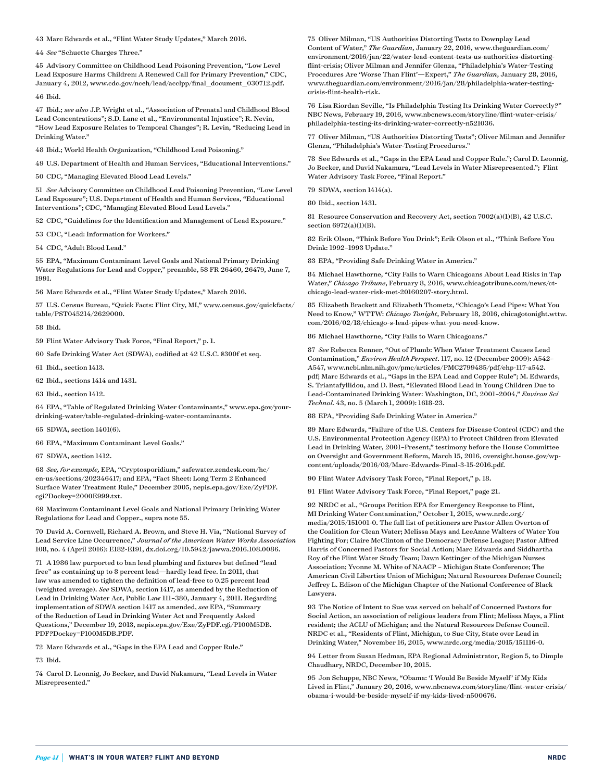43 Marc Edwards et al., "Flint Water Study Updates," March 2016.

44 *See* "Schuette Charges Three."

45 Advisory Committee on Childhood Lead Poisoning Prevention, "Low Level Lead Exposure Harms Children: A Renewed Call for Primary Prevention," CDC, January 4, 2012, www.cdc.gov/nceh/lead/acclpp/final\_document\_030712.pdf.

46 Ibid.

47 Ibid.; *see also* J.P. Wright et al., "Association of Prenatal and Childhood Blood Lead Concentrations"; S.D. Lane et al., "Environmental Injustice"; R. Nevin, "How Lead Exposure Relates to Temporal Changes"; R. Levin, "Reducing Lead in Drinking Water."

48 Ibid.; World Health Organization, "Childhood Lead Poisoning."

49 U.S. Department of Health and Human Services, "Educational Interventions."

50 CDC, "Managing Elevated Blood Lead Levels."

51 *See* Advisory Committee on Childhood Lead Poisoning Prevention, "Low Level Lead Exposure"; U.S. Department of Health and Human Services, "Educational Interventions"; CDC, "Managing Elevated Blood Lead Levels."

52 CDC, "Guidelines for the Identification and Management of Lead Exposure."

53 CDC, "Lead: Information for Workers."

54 CDC, "Adult Blood Lead."

55 EPA, "Maximum Contaminant Level Goals and National Primary Drinking Water Regulations for Lead and Copper," preamble, 58 FR 26460, 26479, June 7, 1991.

56 Marc Edwards et al., "Flint Water Study Updates," March 2016.

57 U.S. Census Bureau, "Quick Facts: Flint City, MI," [www.census.gov/quickfacts/](http://www.census.gov/quickfacts/table/PST045214/2629000) [table/PST045214/2629000](http://www.census.gov/quickfacts/table/PST045214/2629000).

58 Ibid.

59 Flint Water Advisory Task Force, "Final Report," p. 1.

60 Safe Drinking Water Act (SDWA), codified at 42 U.S.C. §300f et seq.

61 Ibid., section 1413.

62 Ibid., sections 1414 and 1431.

63 Ibid., section 1412.

64 EPA, "Table of Regulated Drinking Water Contaminants," [www.epa.gov/your](https://www.epa.gov/your-drinking-water/table-regulated-drinking-water-contaminants)[drinking-water/table-regulated-drinking-water-contaminants](https://www.epa.gov/your-drinking-water/table-regulated-drinking-water-contaminants).

65 SDWA, section 1401(6).

66 EPA, "Maximum Contaminant Level Goals."

67 SDWA, section 1412.

68 *See, for example,* EPA, "Cryptosporidium," [safewater.zendesk.com/hc/](https://safewater.zendesk.com/hc/en-us/sections/202346417) [en-us/sections/202346417](https://safewater.zendesk.com/hc/en-us/sections/202346417); and EPA, "Fact Sheet: Long Term 2 Enhanced Surface Water Treatment Rule," December 2005, [nepis.epa.gov/Exe/ZyPDF.](http://nepis.epa.gov/Exe/ZyPDF.cgi?Dockey=2000E999.txt) [cgi?Dockey=2000E999.txt.](http://nepis.epa.gov/Exe/ZyPDF.cgi?Dockey=2000E999.txt)

69 Maximum Contaminant Level Goals and National Primary Drinking Water Regulations for Lead and Copper., supra note 55.

70 David A. Cornwell, Richard A. Brown, and Steve H. Via, "National Survey of Lead Service Line Occurrence," *Journal of the American Water Works Association* 108, no. 4 (April 2016): E182-E191, [dx.doi.org/10.5942/jawwa.2016.108.0086](http://dx.doi.org/10.5942/jawwa.2016.108.0086).

71 A 1986 law purported to ban lead plumbing and fixtures but defined "lead free" as containing up to 8 percent lead—hardly lead free. In 2011, that law was amended to tighten the definition of lead-free to 0.25 percent lead (weighted average). *See* SDWA, section 1417, as amended by the Reduction of Lead in Drinking Water Act, Public Law 111–380, January 4, 2011. Regarding implementation of SDWA section 1417 as amended, *see* EPA, "Summary of the Reduction of Lead in Drinking Water Act and Frequently Asked Questions," December 19, 2013, [nepis.epa.gov/Exe/ZyPDF.cgi/P100M5DB.](http://nepis.epa.gov/Exe/ZyPDF.cgi/P100M5DB.PDF?Dockey=P100M5DB.PDF) [PDF?Dockey=P100M5DB.PDF](http://nepis.epa.gov/Exe/ZyPDF.cgi/P100M5DB.PDF?Dockey=P100M5DB.PDF).

72 Marc Edwards et al., "Gaps in the EPA Lead and Copper Rule."

73 Ibid.

74 Carol D. Leonnig, Jo Becker, and David Nakamura, "Lead Levels in Water Misrepresented."

75 Oliver Milman, "US Authorities Distorting Tests to Downplay Lead Content of Water," *The Guardian*, January 22, 2016, [www.theguardian.com/](http://www.theguardian.com/environment/2016/jan/22/water-lead-content-tests-us-authorities-distorting-flint-crisis) [environment/2016/jan/22/water-lead-content-tests-us-authorities-distorting](http://www.theguardian.com/environment/2016/jan/22/water-lead-content-tests-us-authorities-distorting-flint-crisis)[flint-crisis](http://www.theguardian.com/environment/2016/jan/22/water-lead-content-tests-us-authorities-distorting-flint-crisis); Oliver Milman and Jennifer Glenza, "Philadelphia's Water-Testing Procedures Are 'Worse Than Flint'—Expert," *The Guardian*, January 28, 2016, [www.theguardian.com/environment/2016/jan/28/philadelphia-water-testing](http://www.theguardian.com/environment/2016/jan/28/philadelphia-water-testing-crisis-flint-health-risk)[crisis-flint-health-risk](http://www.theguardian.com/environment/2016/jan/28/philadelphia-water-testing-crisis-flint-health-risk).

76 Lisa Riordan Seville, "Is Philadelphia Testing Its Drinking Water Correctly?" NBC News, February 19, 2016, [www.nbcnews.com/storyline/flint-water-crisis/](http://www.nbcnews.com/storyline/flint-water-crisis/philadelphia-testing-its-drinking-water-correctly-n521036) [philadelphia-testing-its-drinking-water-correctly-n521036.](http://www.nbcnews.com/storyline/flint-water-crisis/philadelphia-testing-its-drinking-water-correctly-n521036)

77 Oliver Milman, "US Authorities Distorting Tests"; Oliver Milman and Jennifer Glenza, "Philadelphia's Water-Testing Procedures."

78 See Edwards et al., "Gaps in the EPA Lead and Copper Rule."; Carol D. Leonnig, Jo Becker, and David Nakamura, "Lead Levels in Water Misrepresented."; Flint Water Advisory Task Force, "Final Report."

79 SDWA, section 1414(a).

80 Ibid., section 1431.

81 Resource Conservation and Recovery Act, section 7002(a)(1)(B), 42 U.S.C. section 6972(a)(1)(B).

82 Erik Olson, "Think Before You Drink"; Erik Olson et al., "Think Before You Drink: 1992–1993 Update."

83 EPA, "Providing Safe Drinking Water in America."

84 Michael Hawthorne, "City Fails to Warn Chicagoans About Lead Risks in Tap Water," *Chicago Tribune*, February 8, 2016, [www.chicagotribune.com/news/ct](http://www.chicagotribune.com/news/ct-chicago-lead-water-risk-met-20160207-story.html)[chicago-lead-water-risk-met-20160207-story.html](http://www.chicagotribune.com/news/ct-chicago-lead-water-risk-met-20160207-story.html).

85 Elizabeth Brackett and Elizabeth Thometz, "Chicago's Lead Pipes: What You Need to Know," WTTW: *Chicago Tonight*, February 18, 2016, chicagotonight.wttw. com/2016/02/18/chicago-s-lead-pipes-what-you-need-know.

86 Michael Hawthorne, "City Fails to Warn Chicagoans."

87 *See* Rebecca Renner, "Out of Plumb: When Water Treatment Causes Lead Contamination," *Environ Health Perspect.* 117, no. 12 (December 2009): A542– A547, [www.ncbi.nlm.nih.gov/pmc/articles/PMC2799485/pdf/ehp-117-a542.](http://www.ncbi.nlm.nih.gov/pmc/articles/PMC2799485/pdf/ehp-117-a542.pdf) [pdf](http://www.ncbi.nlm.nih.gov/pmc/articles/PMC2799485/pdf/ehp-117-a542.pdf); Marc Edwards et al., "Gaps in the EPA Lead and Copper Rule"; M. Edwards, S. Triantafyllidou, and D. Best, "Elevated Blood Lead in Young Children Due to Lead-Contaminated Drinking Water: Washington, DC, 2001–2004," *Environ Sci Technol.* 43, no. 5 (March 1, 2009): 1618-23.

88 EPA, "Providing Safe Drinking Water in America."

89 Marc Edwards, "Failure of the U.S. Centers for Disease Control (CDC) and the U.S. Environmental Protection Agency (EPA) to Protect Children from Elevated Lead in Drinking Water, 2001–Present," testimony before the House Committee on Oversight and Government Reform, March 15, 2016, [oversight.house.gov/wp](https://oversight.house.gov/wp-content/uploads/2016/03/Marc-Edwards-Final-3-15-2016.pdf)[content/uploads/2016/03/Marc-Edwards-Final-3-15-2016.pdf](https://oversight.house.gov/wp-content/uploads/2016/03/Marc-Edwards-Final-3-15-2016.pdf).

90 Flint Water Advisory Task Force, "Final Report," p. 18.

91 Flint Water Advisory Task Force, "Final Report," page 21.

92 NRDC et al., "Groups Petition EPA for Emergency Response to Flint, MI Drinking Water Contamination," October 1, 2015, [www.nrdc.org/](https://www.nrdc.org/media/2015/151001-0) [media/2015/151001-0](https://www.nrdc.org/media/2015/151001-0). The full list of petitioners are Pastor Allen Overton of the Coalition for Clean Water; Melissa Mays and LeeAnne Walters of Water You Fighting For; Claire McClinton of the Democracy Defense League; Pastor Alfred Harris of Concerned Pastors for Social Action; Marc Edwards and Siddhartha Roy of the Flint Water Study Team; Dawn Kettinger of the Michigan Nurses Association; Yvonne M. White of NAACP – Michigan State Conference; The American Civil Liberties Union of Michigan; Natural Resources Defense Council; Jeffrey L. Edison of the Michigan Chapter of the National Conference of Black Lawyers.

93 The Notice of Intent to Sue was served on behalf of Concerned Pastors for Social Action, an association of religious leaders from Flint; Melissa Mays, a Flint resident; the ACLU of Michigan; and the Natural Resources Defense Council. NRDC et al., "Residents of Flint, Michigan, to Sue City, State over Lead in Drinking Water," November 16, 2015, [www.nrdc.org/media/2015/151116-0.](https://www.nrdc.org/media/2015/151116-0)

94 Letter from Susan Hedman, EPA Regional Administrator, Region 5, to Dimple Chaudhary, NRDC, December 10, 2015.

95 Jon Schuppe, NBC News, "Obama: 'I Would Be Beside Myself' if My Kids Lived in Flint," January 20, 2016, [www.nbcnews.com/storyline/flint-water-crisis/](http://www.nbcnews.com/storyline/flint-water-crisis/obama-i-would-be-beside-myself-if-my-kids-lived-n500676) [obama-i-would-be-beside-myself-if-my-kids-lived-n500676](http://www.nbcnews.com/storyline/flint-water-crisis/obama-i-would-be-beside-myself-if-my-kids-lived-n500676).